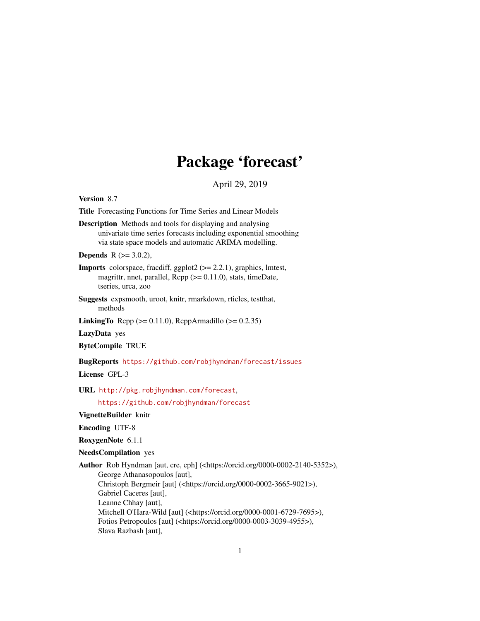# Package 'forecast'

April 29, 2019

<span id="page-0-0"></span>Version 8.7

Title Forecasting Functions for Time Series and Linear Models

Description Methods and tools for displaying and analysing univariate time series forecasts including exponential smoothing via state space models and automatic ARIMA modelling.

**Depends** R  $(>= 3.0.2)$ ,

- Imports colorspace, fracdiff, ggplot2 (>= 2.2.1), graphics, lmtest, magrittr, nnet, parallel,  $\text{Rcpp} (> = 0.11.0)$ , stats, timeDate, tseries, urca, zoo
- Suggests expsmooth, uroot, knitr, rmarkdown, rticles, testthat, methods
- **LinkingTo** Rcpp ( $>= 0.11.0$ ), RcppArmadillo ( $>= 0.2.35$ )

LazyData yes

ByteCompile TRUE

BugReports <https://github.com/robjhyndman/forecast/issues>

License GPL-3

URL <http://pkg.robjhyndman.com/forecast>,

<https://github.com/robjhyndman/forecast>

# VignetteBuilder knitr

Encoding UTF-8

RoxygenNote 6.1.1

# NeedsCompilation yes

Author Rob Hyndman [aut, cre, cph] (<https://orcid.org/0000-0002-2140-5352>), George Athanasopoulos [aut], Christoph Bergmeir [aut] (<https://orcid.org/0000-0002-3665-9021>), Gabriel Caceres [aut], Leanne Chhay [aut], Mitchell O'Hara-Wild [aut] (<https://orcid.org/0000-0001-6729-7695>), Fotios Petropoulos [aut] (<https://orcid.org/0000-0003-3039-4955>), Slava Razbash [aut],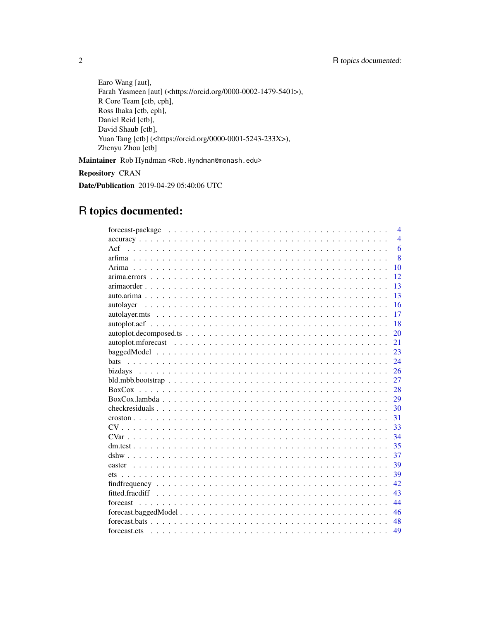Earo Wang [aut], Farah Yasmeen [aut] (<https://orcid.org/0000-0002-1479-5401>), R Core Team [ctb, cph], Ross Ihaka [ctb, cph], Daniel Reid [ctb], David Shaub [ctb], Yuan Tang [ctb] (<https://orcid.org/0000-0001-5243-233X>), Zhenyu Zhou [ctb]

Maintainer Rob Hyndman <Rob.Hyndman@monash.edu>

Repository CRAN

Date/Publication 2019-04-29 05:40:06 UTC

# R topics documented:

| $\overline{\mathcal{A}}$ |
|--------------------------|
| $\overline{\mathcal{A}}$ |
| 6<br>Act                 |
| $\overline{8}$           |
| 10                       |
| 12                       |
| 13                       |
| 13                       |
| 16                       |
| 17                       |
| 18                       |
| 20                       |
| 21                       |
| 23                       |
| bats<br>24               |
| 26                       |
| 27                       |
| 28                       |
| 29                       |
| 30                       |
| 31                       |
| 33                       |
| 34                       |
| 35                       |
| 37                       |
| 39                       |
| 39                       |
| 42                       |
| 43                       |
| 44                       |
| 46                       |
| 48                       |
| 49                       |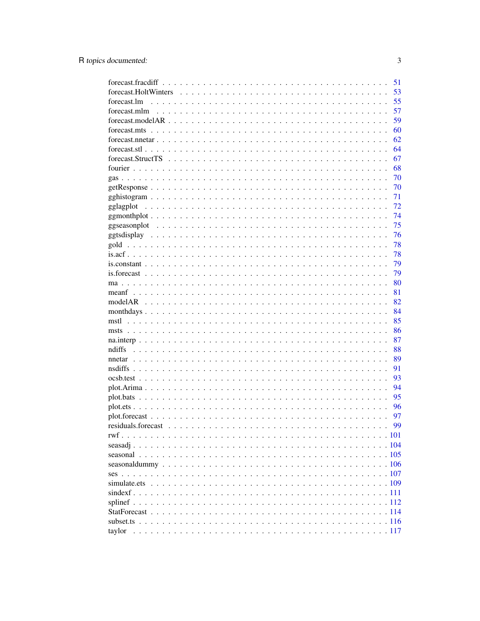|             | 51 |
|-------------|----|
|             | 53 |
| forecast.lm | 55 |
|             | 57 |
|             | 59 |
|             | 60 |
|             | 62 |
|             | 64 |
|             | 67 |
|             | 68 |
|             | 70 |
|             | 70 |
|             | 71 |
|             | 72 |
|             | 74 |
|             | 75 |
|             | 76 |
|             | 78 |
|             | 78 |
|             | 79 |
|             | 79 |
|             | 80 |
|             | 81 |
|             | 82 |
|             | 84 |
|             | 85 |
|             | 86 |
|             | 87 |
| ndiffs      | 88 |
|             | 89 |
|             | 91 |
|             | 93 |
|             | 94 |
|             | 95 |
|             | 96 |
|             | 97 |
|             | 99 |
|             |    |
|             |    |
|             |    |
|             |    |
|             |    |
|             |    |
|             |    |
|             |    |
|             |    |
|             |    |
|             |    |
|             |    |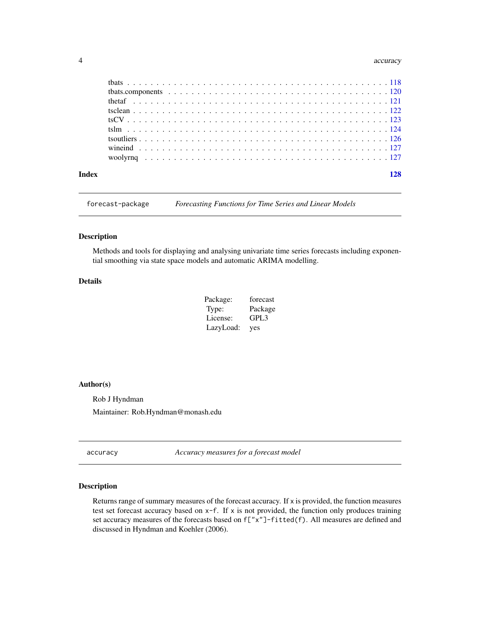#### <span id="page-3-0"></span>4 accuracy and  $\frac{4}{3}$  accuracy and  $\frac{4}{3}$  accuracy accuracy accuracy accuracy accuracy

forecast-package *Forecasting Functions for Time Series and Linear Models*

#### Description

Methods and tools for displaying and analysing univariate time series forecasts including exponential smoothing via state space models and automatic ARIMA modelling.

# Details

| Package:  | forecast |
|-----------|----------|
| Type:     | Package  |
| License:  | GPL3     |
| LazyLoad: | yes      |

#### Author(s)

Rob J Hyndman

Maintainer: Rob.Hyndman@monash.edu

accuracy *Accuracy measures for a forecast model*

#### Description

Returns range of summary measures of the forecast accuracy. If x is provided, the function measures test set forecast accuracy based on  $x-f$ . If x is not provided, the function only produces training set accuracy measures of the forecasts based on f["x"]-fitted(f). All measures are defined and discussed in Hyndman and Koehler (2006).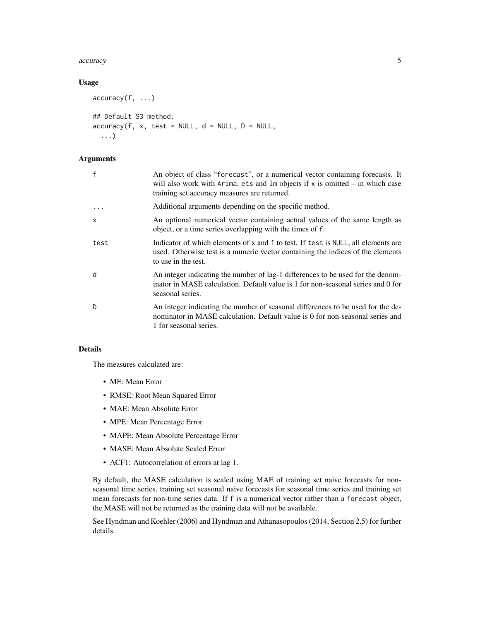#### accuracy 5 and 3 accuracy 5 and 3 accuracy 5 accuracy 5 accuracy 5 accuracy 5 accuracy 5 accuracy 5 accuracy 5  $\sim$

# Usage

```
accuracy(f, ...)
## Default S3 method:
accuracy(f, x, test = NULL, d = NULL, D = NULL,...)
```
#### Arguments

| $\mathbf{f}$ | An object of class "forecast", or a numerical vector containing forecasts. It<br>will also work with Arima, ets and $lm$ objects if $x$ is omitted $-$ in which case<br>training set accuracy measures are returned. |
|--------------|----------------------------------------------------------------------------------------------------------------------------------------------------------------------------------------------------------------------|
| $\ddots$ .   | Additional arguments depending on the specific method.                                                                                                                                                               |
| $\mathsf{x}$ | An optional numerical vector containing actual values of the same length as<br>object, or a time series overlapping with the times of f.                                                                             |
| test         | Indicator of which elements of x and f to test. If test is NULL, all elements are<br>used. Otherwise test is a numeric vector containing the indices of the elements<br>to use in the test.                          |
| d            | An integer indicating the number of lag-1 differences to be used for the denom-<br>inator in MASE calculation. Default value is 1 for non-seasonal series and 0 for<br>seasonal series.                              |
| D            | An integer indicating the number of seasonal differences to be used for the de-<br>nominator in MASE calculation. Default value is 0 for non-seasonal series and<br>1 for seasonal series.                           |

# Details

The measures calculated are:

- ME: Mean Error
- RMSE: Root Mean Squared Error
- MAE: Mean Absolute Error
- MPE: Mean Percentage Error
- MAPE: Mean Absolute Percentage Error
- MASE: Mean Absolute Scaled Error
- ACF1: Autocorrelation of errors at lag 1.

By default, the MASE calculation is scaled using MAE of training set naive forecasts for nonseasonal time series, training set seasonal naive forecasts for seasonal time series and training set mean forecasts for non-time series data. If f is a numerical vector rather than a forecast object, the MASE will not be returned as the training data will not be available.

See Hyndman and Koehler (2006) and Hyndman and Athanasopoulos (2014, Section 2.5) for further details.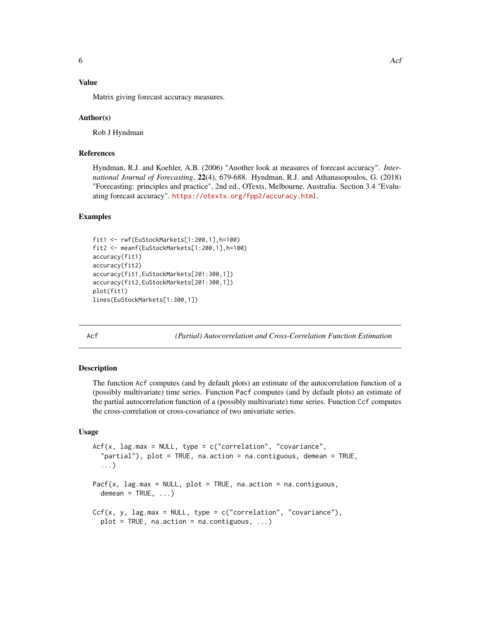# <span id="page-5-0"></span>Value

Matrix giving forecast accuracy measures.

#### Author(s)

Rob J Hyndman

# References

Hyndman, R.J. and Koehler, A.B. (2006) "Another look at measures of forecast accuracy". *International Journal of Forecasting*, 22(4), 679-688. Hyndman, R.J. and Athanasopoulos, G. (2018) "Forecasting: principles and practice", 2nd ed., OTexts, Melbourne, Australia. Section 3.4 "Evaluating forecast accuracy". <https://otexts.org/fpp2/accuracy.html>.

#### Examples

```
fit1 <- rwf(EuStockMarkets[1:200,1],h=100)
fit2 <- meanf(EuStockMarkets[1:200,1],h=100)
accuracy(fit1)
accuracy(fit2)
accuracy(fit1,EuStockMarkets[201:300,1])
accuracy(fit2,EuStockMarkets[201:300,1])
plot(fit1)
lines(EuStockMarkets[1:300,1])
```
<span id="page-5-1"></span>Acf *(Partial) Autocorrelation and Cross-Correlation Function Estimation*

# <span id="page-5-2"></span>Description

The function Acf computes (and by default plots) an estimate of the autocorrelation function of a (possibly multivariate) time series. Function Pacf computes (and by default plots) an estimate of the partial autocorrelation function of a (possibly multivariate) time series. Function Ccf computes the cross-correlation or cross-covariance of two univariate series.

#### Usage

```
Acf(x, lag.max = NULL, type = c("correlation", "covariance","partial"), plot = TRUE, na.action = na.contiguous, demean = TRUE,
  ...)
Pacf(x, lag.max = NULL, plot = TRUE, na.action = na.contiguous,
 demean = TRUE, ...)
Ccf(x, y, lag.max = NULL, type = c("correlation", "covariance"),plot = TRUE, na.action = na.contiguous, ...)
```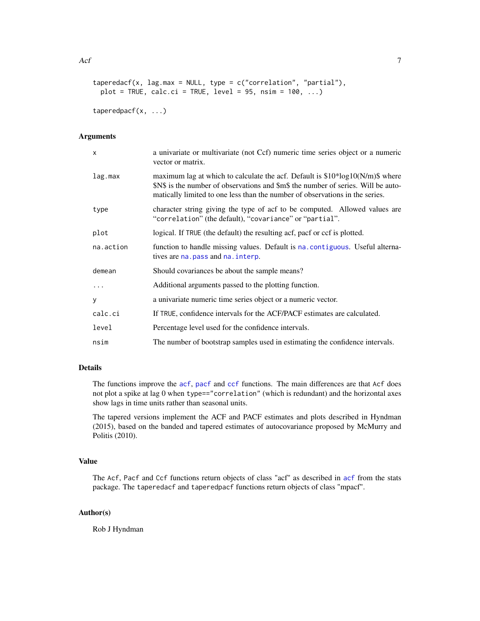```
taperedacf(x, lag.max = NULL, type = c("correlation", "partial"),plot = TRUE, calc.ci = TRUE, level = 95, nsim = 100, ...)
```
taperedpacf(x, ...)

#### Arguments

| x         | a univariate or multivariate (not Ccf) numeric time series object or a numeric<br>vector or matrix.                                                                                                                                                |
|-----------|----------------------------------------------------------------------------------------------------------------------------------------------------------------------------------------------------------------------------------------------------|
| lag.max   | maximum lag at which to calculate the acf. Default is $$10*log10(N/m)$$ where<br>\$N\$ is the number of observations and \$m\$ the number of series. Will be auto-<br>matically limited to one less than the number of observations in the series. |
| type      | character string giving the type of acf to be computed. Allowed values are<br>"correlation" (the default), "covariance" or "partial".                                                                                                              |
| plot      | logical. If TRUE (the default) the resulting acf, pacf or ccf is plotted.                                                                                                                                                                          |
| na.action | function to handle missing values. Default is na. contiguous. Useful alterna-<br>tives are na. pass and na. interp.                                                                                                                                |
| demean    | Should covariances be about the sample means?                                                                                                                                                                                                      |
| $\ddots$  | Additional arguments passed to the plotting function.                                                                                                                                                                                              |
| y         | a univariate numeric time series object or a numeric vector.                                                                                                                                                                                       |
| calc.ci   | If TRUE, confidence intervals for the ACF/PACF estimates are calculated.                                                                                                                                                                           |
| level     | Percentage level used for the confidence intervals.                                                                                                                                                                                                |
| nsim      | The number of bootstrap samples used in estimating the confidence intervals.                                                                                                                                                                       |

# Details

The functions improve the [acf](#page-0-0), [pacf](#page-0-0) and [ccf](#page-0-0) functions. The main differences are that Acf does not plot a spike at lag 0 when type=="correlation" (which is redundant) and the horizontal axes show lags in time units rather than seasonal units.

The tapered versions implement the ACF and PACF estimates and plots described in Hyndman (2015), based on the banded and tapered estimates of autocovariance proposed by McMurry and Politis (2010).

# Value

The Acf, Pacf and Ccf functions return objects of class "acf" as described in [acf](#page-0-0) from the stats package. The taperedacf and taperedpacf functions return objects of class "mpacf".

# Author(s)

Rob J Hyndman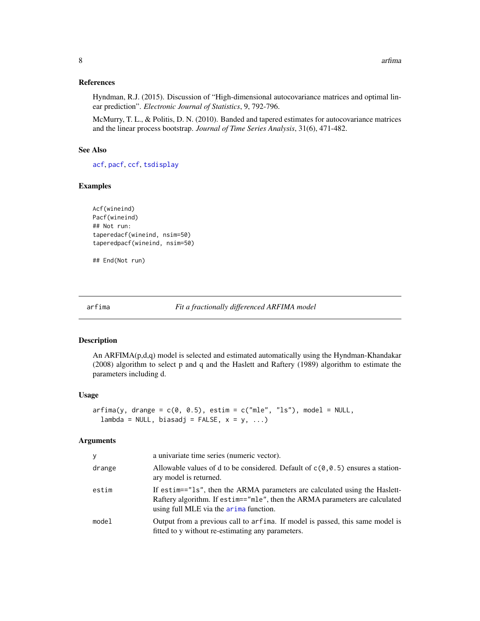#### <span id="page-7-0"></span>References

Hyndman, R.J. (2015). Discussion of "High-dimensional autocovariance matrices and optimal linear prediction". *Electronic Journal of Statistics*, 9, 792-796.

McMurry, T. L., & Politis, D. N. (2010). Banded and tapered estimates for autocovariance matrices and the linear process bootstrap. *Journal of Time Series Analysis*, 31(6), 471-482.

#### See Also

[acf](#page-0-0), [pacf](#page-0-0), [ccf](#page-0-0), [tsdisplay](#page-75-1)

#### Examples

```
Acf(wineind)
Pacf(wineind)
## Not run:
taperedacf(wineind, nsim=50)
taperedpacf(wineind, nsim=50)
```
## End(Not run)

<span id="page-7-1"></span>arfima *Fit a fractionally differenced ARFIMA model*

#### Description

An  $ARFIMA(p,d,q)$  model is selected and estimated automatically using the Hyndman-Khandakar (2008) algorithm to select p and q and the Haslett and Raftery (1989) algorithm to estimate the parameters including d.

#### Usage

```
\text{arg}(y, \text{ drange} = c(0, 0.5), \text{ estim} = c("mle", "ls"), \text{ model} = NULL,lambda = NULL, biasadj = FALSE, x = y, ...)
```
#### Arguments

| y      | a univariate time series (numeric vector).                                                                                                                                                          |
|--------|-----------------------------------------------------------------------------------------------------------------------------------------------------------------------------------------------------|
| drange | Allowable values of d to be considered. Default of $c(\theta, \theta.5)$ ensures a station-<br>ary model is returned.                                                                               |
| estim  | If estim=="1s", then the ARMA parameters are calculated using the Haslett-<br>Raftery algorithm. If estim=="mle", then the ARMA parameters are calculated<br>using full MLE via the arima function. |
| model  | Output from a previous call to arfima. If model is passed, this same model is<br>fitted to y without re-estimating any parameters.                                                                  |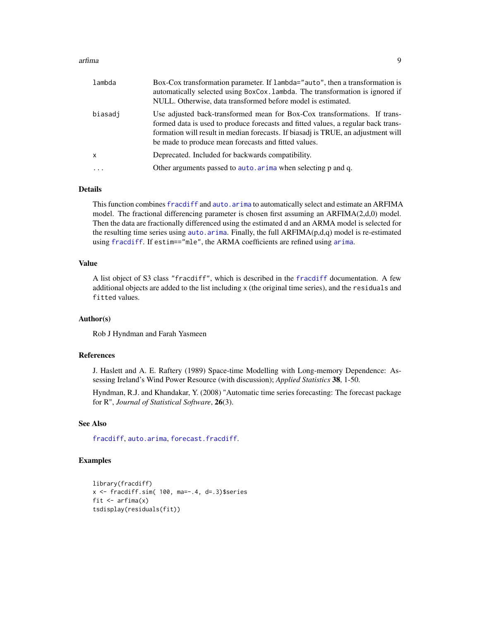#### arfima to the contract of the contract of the contract of the contract of the contract of the contract of the contract of the contract of the contract of the contract of the contract of the contract of the contract of the

| lambda       | Box-Cox transformation parameter. If lambda="auto", then a transformation is<br>automatically selected using BoxCox. Lambda. The transformation is ignored if<br>NULL. Otherwise, data transformed before model is estimated.                                                                               |
|--------------|-------------------------------------------------------------------------------------------------------------------------------------------------------------------------------------------------------------------------------------------------------------------------------------------------------------|
| biasadi      | Use adjusted back-transformed mean for Box-Cox transformations. If trans-<br>formed data is used to produce forecasts and fitted values, a regular back trans-<br>formation will result in median forecasts. If biasadj is TRUE, an adjustment will<br>be made to produce mean forecasts and fitted values. |
| $\mathsf{x}$ | Deprecated. Included for backwards compatibility.                                                                                                                                                                                                                                                           |
| $\cdot$      | Other arguments passed to auto. arima when selecting p and q.                                                                                                                                                                                                                                               |
|              |                                                                                                                                                                                                                                                                                                             |

# Details

This function combines [fracdiff](#page-0-0) and auto. arima to automatically select and estimate an ARFIMA model. The fractional differencing parameter is chosen first assuming an ARFIMA(2,d,0) model. Then the data are fractionally differenced using the estimated d and an ARMA model is selected for the resulting time series using [auto.arima](#page-12-1). Finally, the full ARFIMA(p,d,q) model is re-estimated using [fracdiff](#page-0-0). If estim=="mle", the ARMA coefficients are refined using [arima](#page-0-0).

# Value

A list object of S3 class "fracdiff", which is described in the [fracdiff](#page-0-0) documentation. A few additional objects are added to the list including x (the original time series), and the residuals and fitted values.

# Author(s)

Rob J Hyndman and Farah Yasmeen

#### References

J. Haslett and A. E. Raftery (1989) Space-time Modelling with Long-memory Dependence: Assessing Ireland's Wind Power Resource (with discussion); *Applied Statistics* 38, 1-50.

Hyndman, R.J. and Khandakar, Y. (2008) "Automatic time series forecasting: The forecast package for R", *Journal of Statistical Software*, 26(3).

#### See Also

[fracdiff](#page-0-0), [auto.arima](#page-12-1), [forecast.fracdiff](#page-50-1).

# Examples

```
library(fracdiff)
x \le- fracdiff.sim( 100, ma=-.4, d=.3)$series
fit \leftarrow arfima(x)tsdisplay(residuals(fit))
```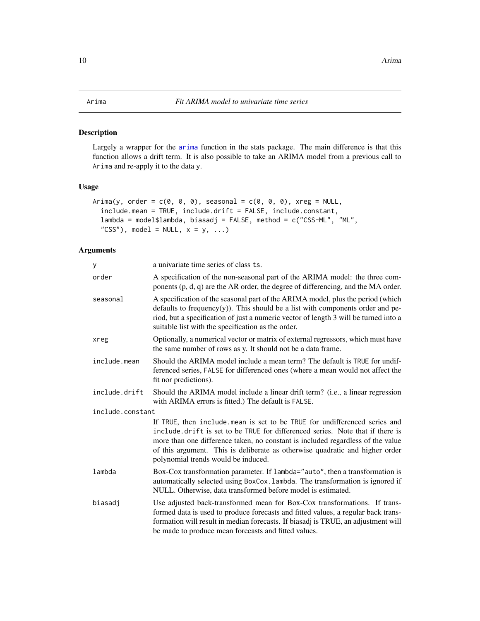#### <span id="page-9-1"></span><span id="page-9-0"></span>Description

Largely a wrapper for the [arima](#page-0-0) function in the stats package. The main difference is that this function allows a drift term. It is also possible to take an ARIMA model from a previous call to Arima and re-apply it to the data y.

# Usage

```
Arima(y, order = c(\emptyset, \emptyset, \emptyset), seasonal = c(\emptyset, \emptyset, \emptyset), xreg = NULL,
  include.mean = TRUE, include.drift = FALSE, include.constant,
  lambda = model$lambda, biasadj = FALSE, method = c("CSS-ML", "ML",
  "CSS"), model = NULL, x = y, ...)
```
# Arguments

| y                | a univariate time series of class ts.                                                                                                                                                                                                                                                                                                                                |
|------------------|----------------------------------------------------------------------------------------------------------------------------------------------------------------------------------------------------------------------------------------------------------------------------------------------------------------------------------------------------------------------|
| order            | A specification of the non-seasonal part of the ARIMA model: the three com-<br>ponents (p, d, q) are the AR order, the degree of differencing, and the MA order.                                                                                                                                                                                                     |
| seasonal         | A specification of the seasonal part of the ARIMA model, plus the period (which<br>defaults to frequency $(y)$ ). This should be a list with components order and pe-<br>riod, but a specification of just a numeric vector of length 3 will be turned into a<br>suitable list with the specification as the order.                                                  |
| xreg             | Optionally, a numerical vector or matrix of external regressors, which must have<br>the same number of rows as y. It should not be a data frame.                                                                                                                                                                                                                     |
| include.mean     | Should the ARIMA model include a mean term? The default is TRUE for undif-<br>ferenced series, FALSE for differenced ones (where a mean would not affect the<br>fit nor predictions).                                                                                                                                                                                |
| include.drift    | Should the ARIMA model include a linear drift term? (i.e., a linear regression<br>with ARIMA errors is fitted.) The default is FALSE.                                                                                                                                                                                                                                |
| include.constant |                                                                                                                                                                                                                                                                                                                                                                      |
|                  | If TRUE, then include mean is set to be TRUE for undifferenced series and<br>include drift is set to be TRUE for differenced series. Note that if there is<br>more than one difference taken, no constant is included regardless of the value<br>of this argument. This is deliberate as otherwise quadratic and higher order<br>polynomial trends would be induced. |
| lambda           | Box-Cox transformation parameter. If lambda="auto", then a transformation is<br>automatically selected using BoxCox. Lambda. The transformation is ignored if<br>NULL. Otherwise, data transformed before model is estimated.                                                                                                                                        |
| biasadi          | Use adjusted back-transformed mean for Box-Cox transformations. If trans-<br>formed data is used to produce forecasts and fitted values, a regular back trans-<br>formation will result in median forecasts. If biasadj is TRUE, an adjustment will<br>be made to produce mean forecasts and fitted values.                                                          |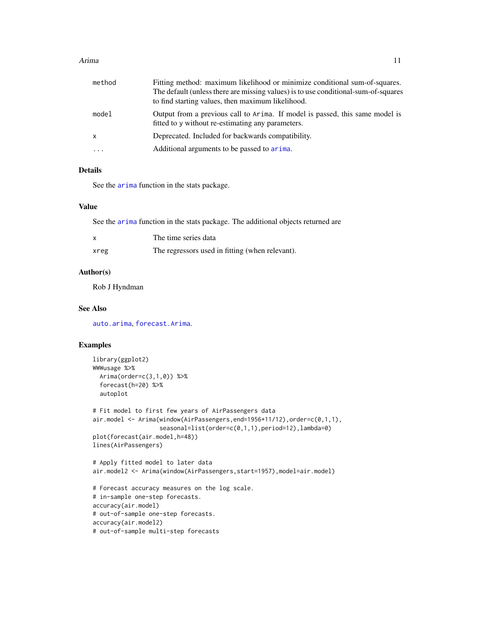#### Arima and the contract of the contract of the contract of the contract of the contract of the contract of the contract of the contract of the contract of the contract of the contract of the contract of the contract of the

| method     | Fitting method: maximum likelihood or minimize conditional sum-of-squares.                                                        |
|------------|-----------------------------------------------------------------------------------------------------------------------------------|
|            | The default (unless there are missing values) is to use conditional-sum-of-squares                                                |
|            | to find starting values, then maximum likelihood.                                                                                 |
| model      | Output from a previous call to Arima. If model is passed, this same model is<br>fitted to y without re-estimating any parameters. |
| x          | Deprecated. Included for backwards compatibility.                                                                                 |
| $\ddots$ . | Additional arguments to be passed to arima.                                                                                       |

# Details

See the [arima](#page-0-0) function in the stats package.

# Value

See the [arima](#page-0-0) function in the stats package. The additional objects returned are

| x    | The time series data                            |
|------|-------------------------------------------------|
| xreg | The regressors used in fitting (when relevant). |

# Author(s)

Rob J Hyndman

#### See Also

[auto.arima](#page-12-1), [forecast.Arima](#page-50-2).

# Examples

```
library(ggplot2)
WWWusage %>%
  Arima(order=c(3,1,0)) %>%
  forecast(h=20) %>%
  autoplot
# Fit model to first few years of AirPassengers data
air.model <- Arima(window(AirPassengers,end=1956+11/12),order=c(0,1,1),
                   seasonal=list(order=c(0,1,1),period=12),lambda=0)
plot(forecast(air.model,h=48))
lines(AirPassengers)
# Apply fitted model to later data
air.model2 <- Arima(window(AirPassengers,start=1957),model=air.model)
# Forecast accuracy measures on the log scale.
# in-sample one-step forecasts.
accuracy(air.model)
# out-of-sample one-step forecasts.
accuracy(air.model2)
# out-of-sample multi-step forecasts
```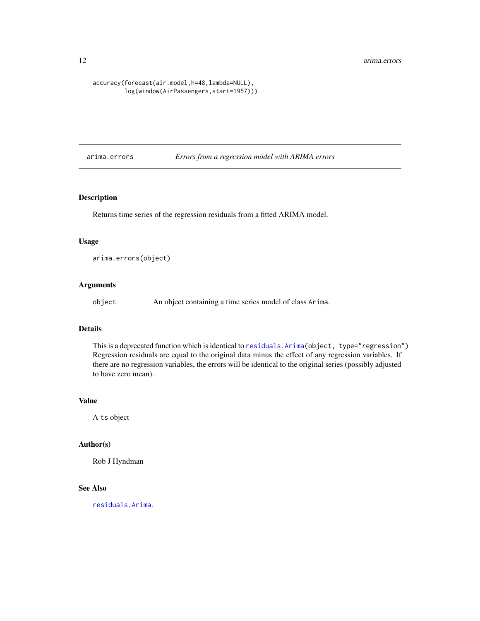#### <span id="page-11-0"></span>12 arima.errors

#### accuracy(forecast(air.model,h=48,lambda=NULL), log(window(AirPassengers,start=1957)))

arima.errors *Errors from a regression model with ARIMA errors*

# Description

Returns time series of the regression residuals from a fitted ARIMA model.

# Usage

arima.errors(object)

# Arguments

object An object containing a time series model of class Arima.

### Details

This is a deprecated function which is identical to [residuals.Arima\(](#page-98-1)object, type="regression") Regression residuals are equal to the original data minus the effect of any regression variables. If there are no regression variables, the errors will be identical to the original series (possibly adjusted to have zero mean).

# Value

A ts object

# Author(s)

Rob J Hyndman

# See Also

[residuals.Arima](#page-98-1).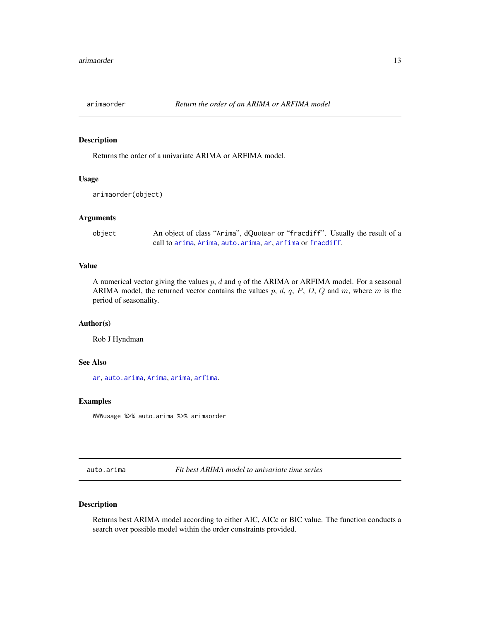<span id="page-12-0"></span>

#### Description

Returns the order of a univariate ARIMA or ARFIMA model.

# Usage

```
arimaorder(object)
```
# Arguments

```
object An object of class "Arima", dQuotear or "fracdiff". Usually the result of a
                call to arima, Arima, auto.arima, ar, arfima or fracdiff.
```
#### Value

A numerical vector giving the values  $p$ ,  $d$  and  $q$  of the ARIMA or ARFIMA model. For a seasonal ARIMA model, the returned vector contains the values  $p$ ,  $d$ ,  $q$ ,  $P$ ,  $D$ ,  $Q$  and  $m$ , where  $m$  is the period of seasonality.

# Author(s)

Rob J Hyndman

# See Also

[ar](#page-0-0), [auto.arima](#page-12-1), [Arima](#page-9-1), [arima](#page-0-0), [arfima](#page-7-1).

#### Examples

WWWusage %>% auto.arima %>% arimaorder

<span id="page-12-1"></span>auto.arima *Fit best ARIMA model to univariate time series*

# Description

Returns best ARIMA model according to either AIC, AICc or BIC value. The function conducts a search over possible model within the order constraints provided.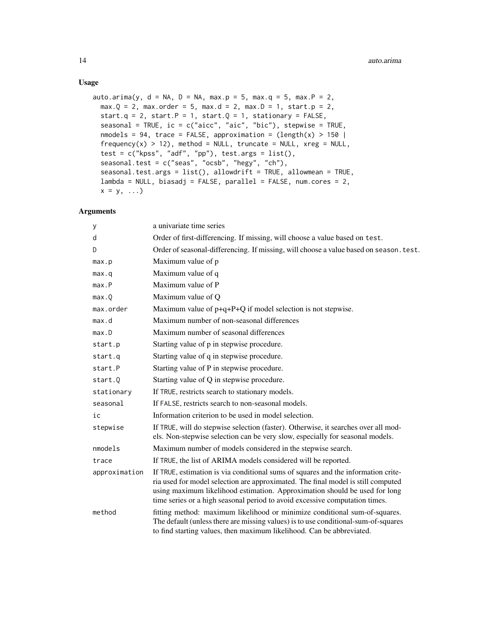# Usage

```
auto.arima(y, d = NA, D = NA, max.p = 5, max.q = 5, max.P = 2,
 max.Q = 2, max.c der = 5, max.d = 2, max.D = 1, start.p = 2,
  start.q = 2, start.P = 1, start.Q = 1, stationary = FALSE,
  seasonal = TRUE, ic = c("aicc", "aic", "bic"), stepwise = TRUE,
 nmodels = 94, trace = FALSE, approximation = \text{ (length(x) > 150)}frequency(x) > 12, method = NULL, truncate = NULL, xreg = NULL,
  test = c("kpss", "adf", "pp"), test.args = list(),seasonal.test = c("seas", "ocsb", "hegy", "ch"),seasonal.test.args = list(), allowdrift = TRUE, allowmean = TRUE,
  lambda = NULL, biasadj = FALSE, parallel = FALSE, num.cores = 2,
 x = y, \ldots
```
# Arguments

| у             | a univariate time series                                                                                                                                                                                                                                                                                                           |
|---------------|------------------------------------------------------------------------------------------------------------------------------------------------------------------------------------------------------------------------------------------------------------------------------------------------------------------------------------|
| d             | Order of first-differencing. If missing, will choose a value based on test.                                                                                                                                                                                                                                                        |
| D             | Order of seasonal-differencing. If missing, will choose a value based on season. test.                                                                                                                                                                                                                                             |
| max.p         | Maximum value of p                                                                                                                                                                                                                                                                                                                 |
| max.q         | Maximum value of q                                                                                                                                                                                                                                                                                                                 |
| max.P         | Maximum value of P                                                                                                                                                                                                                                                                                                                 |
| max.Q         | Maximum value of Q                                                                                                                                                                                                                                                                                                                 |
| max.order     | Maximum value of $p+q+P+Q$ if model selection is not stepwise.                                                                                                                                                                                                                                                                     |
| max.d         | Maximum number of non-seasonal differences                                                                                                                                                                                                                                                                                         |
| max.D         | Maximum number of seasonal differences                                                                                                                                                                                                                                                                                             |
| start.p       | Starting value of p in stepwise procedure.                                                                                                                                                                                                                                                                                         |
| start.q       | Starting value of q in stepwise procedure.                                                                                                                                                                                                                                                                                         |
| start.P       | Starting value of P in stepwise procedure.                                                                                                                                                                                                                                                                                         |
| start.0       | Starting value of Q in stepwise procedure.                                                                                                                                                                                                                                                                                         |
| stationary    | If TRUE, restricts search to stationary models.                                                                                                                                                                                                                                                                                    |
| seasonal      | If FALSE, restricts search to non-seasonal models.                                                                                                                                                                                                                                                                                 |
| ic            | Information criterion to be used in model selection.                                                                                                                                                                                                                                                                               |
| stepwise      | If TRUE, will do stepwise selection (faster). Otherwise, it searches over all mod-<br>els. Non-stepwise selection can be very slow, especially for seasonal models.                                                                                                                                                                |
| nmodels       | Maximum number of models considered in the stepwise search.                                                                                                                                                                                                                                                                        |
| trace         | If TRUE, the list of ARIMA models considered will be reported.                                                                                                                                                                                                                                                                     |
| approximation | If TRUE, estimation is via conditional sums of squares and the information crite-<br>ria used for model selection are approximated. The final model is still computed<br>using maximum likelihood estimation. Approximation should be used for long<br>time series or a high seasonal period to avoid excessive computation times. |
| method        | fitting method: maximum likelihood or minimize conditional sum-of-squares.<br>The default (unless there are missing values) is to use conditional-sum-of-squares<br>to find starting values, then maximum likelihood. Can be abbreviated.                                                                                          |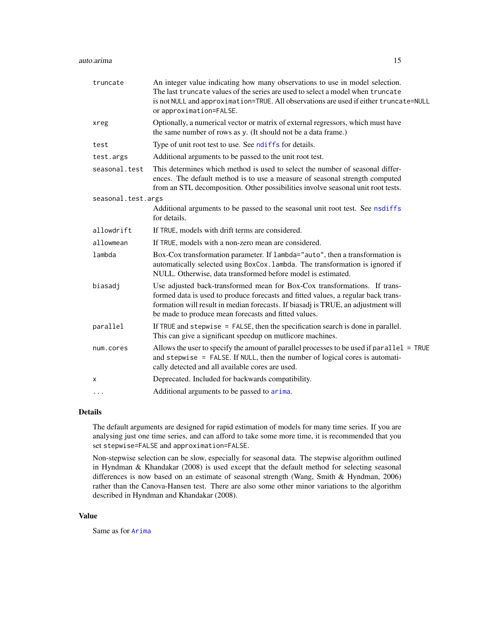| truncate           | An integer value indicating how many observations to use in model selection.<br>The last truncate values of the series are used to select a model when truncate<br>is not NULL and approximation=TRUE. All observations are used if either truncate=NULL<br>or approximation=FALSE.                         |
|--------------------|-------------------------------------------------------------------------------------------------------------------------------------------------------------------------------------------------------------------------------------------------------------------------------------------------------------|
| xreg               | Optionally, a numerical vector or matrix of external regressors, which must have<br>the same number of rows as y. (It should not be a data frame.)                                                                                                                                                          |
| test               | Type of unit root test to use. See ndiffs for details.                                                                                                                                                                                                                                                      |
| test.args          | Additional arguments to be passed to the unit root test.                                                                                                                                                                                                                                                    |
| seasonal.test      | This determines which method is used to select the number of seasonal differ-<br>ences. The default method is to use a measure of seasonal strength computed<br>from an STL decomposition. Other possibilities involve seasonal unit root tests.                                                            |
| seasonal.test.args |                                                                                                                                                                                                                                                                                                             |
|                    | Additional arguments to be passed to the seasonal unit root test. See nsdiffs<br>for details.                                                                                                                                                                                                               |
| allowdrift         | If TRUE, models with drift terms are considered.                                                                                                                                                                                                                                                            |
| allowmean          | If TRUE, models with a non-zero mean are considered.                                                                                                                                                                                                                                                        |
| lambda             | Box-Cox transformation parameter. If lambda="auto", then a transformation is<br>automatically selected using BoxCox. Lambda. The transformation is ignored if<br>NULL. Otherwise, data transformed before model is estimated.                                                                               |
| biasadj            | Use adjusted back-transformed mean for Box-Cox transformations. If trans-<br>formed data is used to produce forecasts and fitted values, a regular back trans-<br>formation will result in median forecasts. If biasadj is TRUE, an adjustment will<br>be made to produce mean forecasts and fitted values. |
| parallel           | If TRUE and stepwise $=$ FALSE, then the specification search is done in parallel.<br>This can give a significant speedup on mutlicore machines.                                                                                                                                                            |
| num.cores          | Allows the user to specify the amount of parallel processes to be used if parallel = TRUE<br>and stepwise = FALSE. If NULL, then the number of logical cores is automati-<br>cally detected and all available cores are used.                                                                               |
| х                  | Deprecated. Included for backwards compatibility.                                                                                                                                                                                                                                                           |
| $\cdots$           | Additional arguments to be passed to arima.                                                                                                                                                                                                                                                                 |

#### Details

The default arguments are designed for rapid estimation of models for many time series. If you are analysing just one time series, and can afford to take some more time, it is recommended that you set stepwise=FALSE and approximation=FALSE.

Non-stepwise selection can be slow, especially for seasonal data. The stepwise algorithm outlined in Hyndman & Khandakar (2008) is used except that the default method for selecting seasonal differences is now based on an estimate of seasonal strength (Wang, Smith & Hyndman, 2006) rather than the Canova-Hansen test. There are also some other minor variations to the algorithm described in Hyndman and Khandakar (2008).

#### Value

Same as for [Arima](#page-9-1)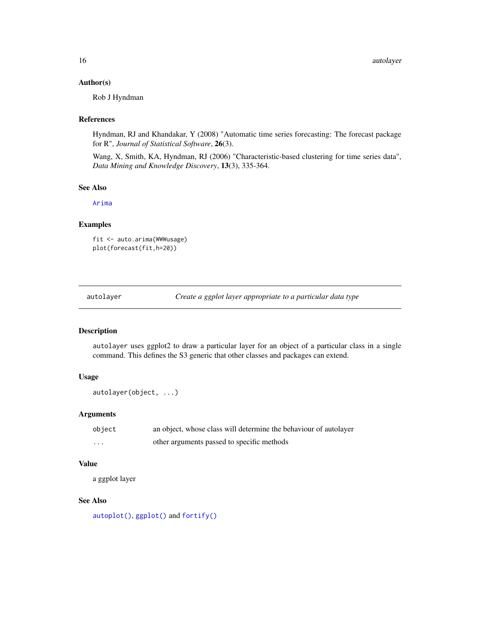#### <span id="page-15-0"></span>Author(s)

Rob J Hyndman

#### References

Hyndman, RJ and Khandakar, Y (2008) "Automatic time series forecasting: The forecast package for R", *Journal of Statistical Software*, 26(3).

Wang, X, Smith, KA, Hyndman, RJ (2006) "Characteristic-based clustering for time series data", *Data Mining and Knowledge Discovery*, 13(3), 335-364.

#### See Also

[Arima](#page-9-1)

# Examples

fit <- auto.arima(WWWusage) plot(forecast(fit,h=20))

autolayer *Create a ggplot layer appropriate to a particular data type*

#### Description

autolayer uses ggplot2 to draw a particular layer for an object of a particular class in a single command. This defines the S3 generic that other classes and packages can extend.

#### Usage

autolayer(object, ...)

# Arguments

| object   | an object, whose class will determine the behaviour of autolayer |
|----------|------------------------------------------------------------------|
| $\cdots$ | other arguments passed to specific methods                       |

#### Value

a ggplot layer

# See Also

[autoplot\(\)](#page-0-0), [ggplot\(\)](#page-0-0) and [fortify\(\)](#page-0-0)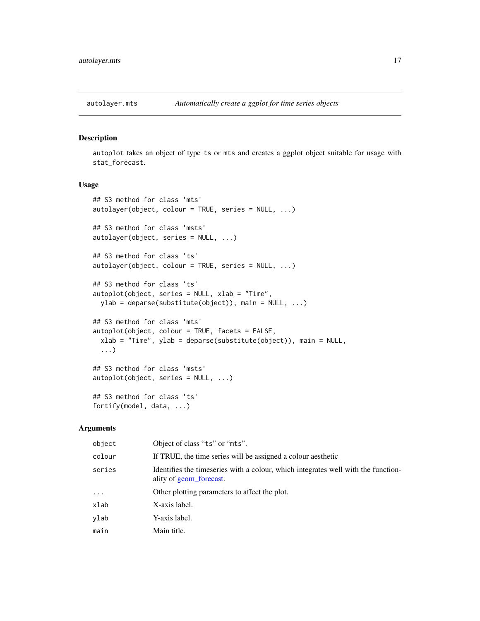<span id="page-16-0"></span>

# Description

autoplot takes an object of type ts or mts and creates a ggplot object suitable for usage with stat\_forecast.

# Usage

```
## S3 method for class 'mts'
autolayer(object, colour = TRUE, series = NULL, ...)
## S3 method for class 'msts'
autolayer(object, series = NULL, ...)
## S3 method for class 'ts'
autolayer(object, colour = TRUE, series = NULL, ...)
## S3 method for class 'ts'
autoplot(object, series = NULL, xlab = "Time",
 ylab = deparse(substitute(object)), main = NULL, ...)
## S3 method for class 'mts'
autoplot(object, colour = TRUE, facets = FALSE,
 xlab = "Time", ylab = deparse(substitute(object)), main = NULL,
  ...)
## S3 method for class 'msts'
autoplot(object, series = NULL, ...)
## S3 method for class 'ts'
fortify(model, data, ...)
```
#### Arguments

| object   | Object of class "ts" or "mts".                                                                               |
|----------|--------------------------------------------------------------------------------------------------------------|
| colour   | If TRUE, the time series will be assigned a colour aesthetic                                                 |
| series   | Identifies the timeseries with a colour, which integrates well with the function-<br>ality of geom_forecast. |
| $\cdots$ | Other plotting parameters to affect the plot.                                                                |
| xlab     | X-axis label.                                                                                                |
| ylab     | Y-axis label.                                                                                                |
| main     | Main title.                                                                                                  |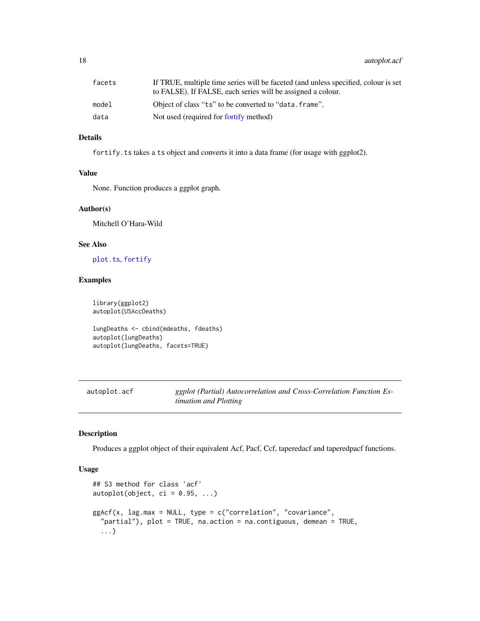<span id="page-17-0"></span>18 autoplot.acf

# Details

for tify. ts takes a ts object and converts it into a data frame (for usage with ggplot2).

# Value

None. Function produces a ggplot graph.

#### Author(s)

Mitchell O'Hara-Wild

#### See Also

[plot.ts](#page-0-0), [fortify](#page-0-0)

# Examples

library(ggplot2) autoplot(USAccDeaths) lungDeaths <- cbind(mdeaths, fdeaths)

autoplot(lungDeaths) autoplot(lungDeaths, facets=TRUE)

autoplot.acf *ggplot (Partial) Autocorrelation and Cross-Correlation Function Estimation and Plotting*

# Description

Produces a ggplot object of their equivalent Acf, Pacf, Ccf, taperedacf and taperedpacf functions.

#### Usage

```
## S3 method for class 'acf'
autoplot(object, ci = 0.95, ...)ggAcf(x, lag.max = NULL, type = c("correlation", "covariance",
  "partial"), plot = TRUE, na.action = na.contiguous, demean = TRUE,
  ...)
```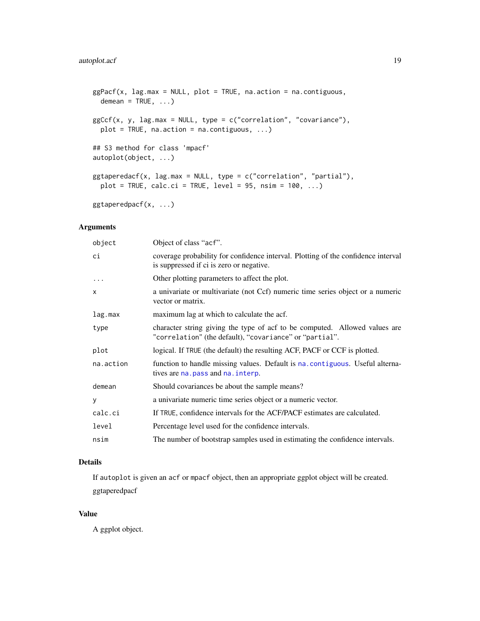```
ggPacf(x, lag.max = NULL, plot = TRUE, na.action = na.contiguous,
 demean = TRUE, ...)
ggCcf(x, y, lag.max = NULL, type = c("correlation", "covariance"),
 plot = TRUE, na.action = na.contiguous, ...)
## S3 method for class 'mpacf'
autoplot(object, ...)
ggtaperedacf(x, lag.max = NULL, type = c("correlation", "partial"),
 plot = TRUE, calc.ci = TRUE, level = 95, nsim = 100, ...)
ggtaperedpacf(x, ...)
```
Arguments

| object       | Object of class "acf".                                                                                                                |
|--------------|---------------------------------------------------------------------------------------------------------------------------------------|
| ci           | coverage probability for confidence interval. Plotting of the confidence interval<br>is suppressed if ci is zero or negative.         |
| $\ddots$     | Other plotting parameters to affect the plot.                                                                                         |
| $\mathsf{x}$ | a univariate or multivariate (not Ccf) numeric time series object or a numeric<br>vector or matrix.                                   |
| lag.max      | maximum lag at which to calculate the acf.                                                                                            |
| type         | character string giving the type of acf to be computed. Allowed values are<br>"correlation" (the default), "covariance" or "partial". |
| plot         | logical. If TRUE (the default) the resulting ACF, PACF or CCF is plotted.                                                             |
| na.action    | function to handle missing values. Default is na. contiguous. Useful alterna-<br>tives are na. pass and na. interp.                   |
| demean       | Should covariances be about the sample means?                                                                                         |
| У            | a univariate numeric time series object or a numeric vector.                                                                          |
| calc.ci      | If TRUE, confidence intervals for the ACF/PACF estimates are calculated.                                                              |
| level        | Percentage level used for the confidence intervals.                                                                                   |
| nsim         | The number of bootstrap samples used in estimating the confidence intervals.                                                          |

# Details

If autoplot is given an acf or mpacf object, then an appropriate ggplot object will be created. ggtaperedpacf

# Value

A ggplot object.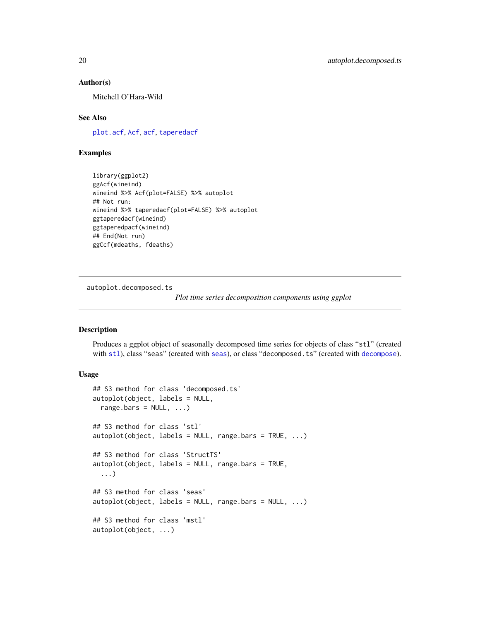#### Author(s)

Mitchell O'Hara-Wild

# See Also

[plot.acf](#page-0-0), [Acf](#page-5-1), [acf](#page-0-0), [taperedacf](#page-5-2)

# Examples

library(ggplot2) ggAcf(wineind) wineind %>% Acf(plot=FALSE) %>% autoplot ## Not run: wineind %>% taperedacf(plot=FALSE) %>% autoplot ggtaperedacf(wineind) ggtaperedpacf(wineind) ## End(Not run) ggCcf(mdeaths, fdeaths)

autoplot.decomposed.ts

*Plot time series decomposition components using ggplot*

# Description

Produces a ggplot object of seasonally decomposed time series for objects of class "stl" (created with [stl](#page-0-0)), class "seas" (created with [seas](#page-0-0)), or class "decomposed.ts" (created with [decompose](#page-0-0)).

#### Usage

```
## S3 method for class 'decomposed.ts'
autoplot(object, labels = NULL,
 range.bars = NULL, ...## S3 method for class 'stl'
autoplot(object, labels = NULL, range.bars = TRUE, ...)
## S3 method for class 'StructTS'
autoplot(object, labels = NULL, range.bars = TRUE,
  ...)
## S3 method for class 'seas'
autoplot(object, labels = NULL, range.bars = NULL, ...)
## S3 method for class 'mstl'
autoplot(object, ...)
```
<span id="page-19-0"></span>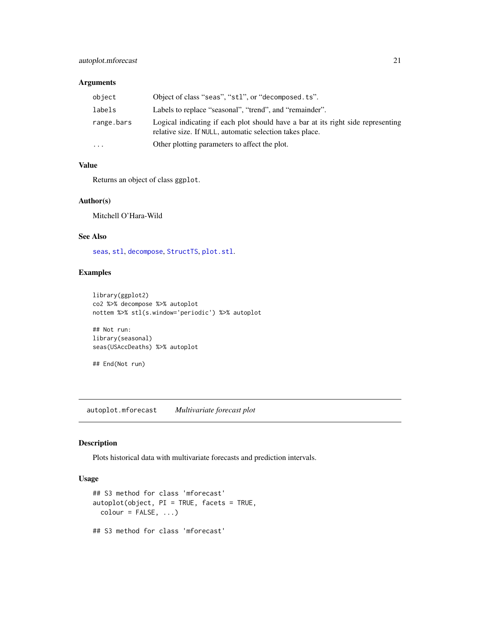# <span id="page-20-0"></span>autoplot.mforecast 21

# Arguments

| object     | Object of class "seas", "st1", or "decomposed. ts".                                                                                          |
|------------|----------------------------------------------------------------------------------------------------------------------------------------------|
| labels     | Labels to replace "seasonal", "trend", and "remainder".                                                                                      |
| range.bars | Logical indicating if each plot should have a bar at its right side representing<br>relative size. If NULL, automatic selection takes place. |
| $\ddots$   | Other plotting parameters to affect the plot.                                                                                                |

# Value

Returns an object of class ggplot.

#### Author(s)

Mitchell O'Hara-Wild

# See Also

[seas](#page-0-0), [stl](#page-0-0), [decompose](#page-0-0), [StructTS](#page-0-0), [plot.stl](#page-0-0).

# Examples

```
library(ggplot2)
co2 %>% decompose %>% autoplot
nottem %>% stl(s.window='periodic') %>% autoplot
## Not run:
```
library(seasonal) seas(USAccDeaths) %>% autoplot

## End(Not run)

autoplot.mforecast *Multivariate forecast plot*

#### Description

Plots historical data with multivariate forecasts and prediction intervals.

# Usage

```
## S3 method for class 'mforecast'
autoplot(object, PI = TRUE, facets = TRUE,
 color = FALSE, ...)## S3 method for class 'mforecast'
```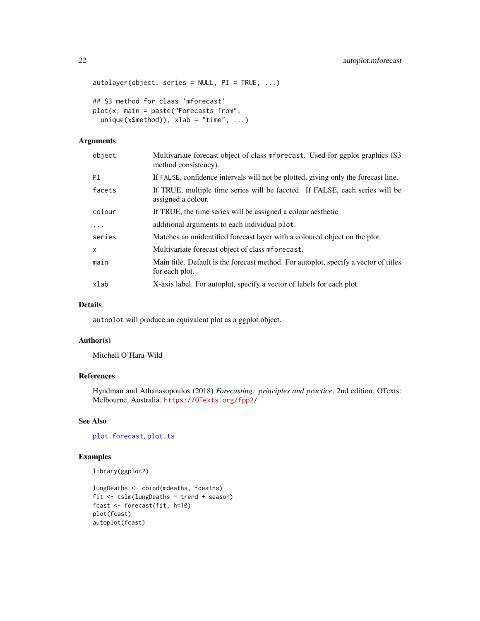```
autolayer(object, series = NULL, PI = TRUE, ...)## S3 method for class 'mforecast'
plot(x, main = paste("Forecasts from",unique(x$method)), xlab = "time", ...)
```
#### Arguments

| object   | Multivariate forecast object of class mforecast. Used for ggplot graphics (S3)<br>method consistency). |
|----------|--------------------------------------------------------------------------------------------------------|
| ΡI       | If FALSE, confidence intervals will not be plotted, giving only the forecast line.                     |
| facets   | If TRUE, multiple time series will be faceted. If FALSE, each series will be<br>assigned a colour.     |
| colour   | If TRUE, the time series will be assigned a colour aesthetic                                           |
| $\cdots$ | additional arguments to each individual plot.                                                          |
| series   | Matches an unidentified forecast layer with a coloured object on the plot.                             |
| x        | Multivariate forecast object of class mforecast.                                                       |
| main     | Main title. Default is the forecast method. For autoplot, specify a vector of titles<br>for each plot. |
| xlab     | X-axis label. For autoplot, specify a vector of labels for each plot.                                  |

### Details

autoplot will produce an equivalent plot as a ggplot object.

# Author(s)

Mitchell O'Hara-Wild

# References

Hyndman and Athanasopoulos (2018) *Forecasting: principles and practice*, 2nd edition, OTexts: Melbourne, Australia. <https://OTexts.org/fpp2/>

# See Also

[plot.forecast](#page-96-1), [plot.ts](#page-0-0)

# Examples

```
library(ggplot2)
```

```
lungDeaths <- cbind(mdeaths, fdeaths)
fit <- tslm(lungDeaths ~ trend + season)
fcast <- forecast(fit, h=10)
plot(fcast)
autoplot(fcast)
```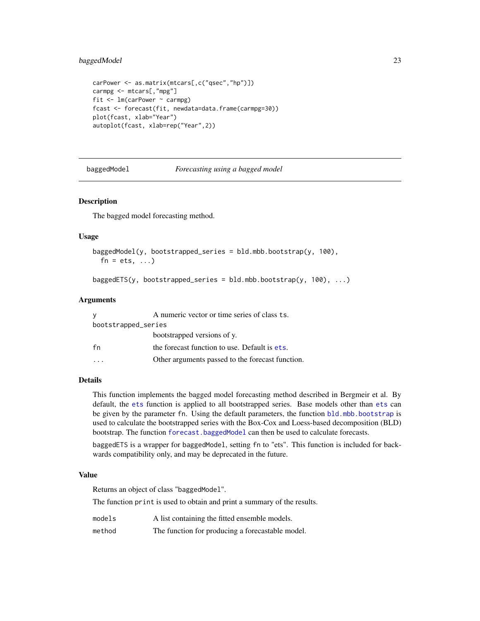# <span id="page-22-0"></span>baggedModel 23

```
carPower <- as.matrix(mtcars[,c("qsec","hp")])
carmpg <- mtcars[,"mpg"]
fit <- lm(carPower ~ carmpg)
fcast <- forecast(fit, newdata=data.frame(carmpg=30))
plot(fcast, xlab="Year")
autoplot(fcast, xlab=rep("Year",2))
```
baggedModel *Forecasting using a bagged model*

#### <span id="page-22-1"></span>Description

The bagged model forecasting method.

#### Usage

```
baggedModel(y, bootstrapped_series = bld.mbb.bootstrap(y, 100),
  fn = ets, ...
```

```
baggedETS(y, bootstrapped_series = bld.mbb.bootstrap(y, 100), ...)
```
#### Arguments

| У                   | A numeric vector or time series of class ts.     |  |
|---------------------|--------------------------------------------------|--|
| bootstrapped_series |                                                  |  |
|                     | bootstrapped versions of y.                      |  |
| fn                  | the forecast function to use. Default is ets.    |  |
|                     | Other arguments passed to the forecast function. |  |

# Details

This function implements the bagged model forecasting method described in Bergmeir et al. By default, the [ets](#page-38-1) function is applied to all bootstrapped series. Base models other than [ets](#page-38-1) can be given by the parameter fn. Using the default parameters, the function [bld.mbb.bootstrap](#page-26-1) is used to calculate the bootstrapped series with the Box-Cox and Loess-based decomposition (BLD) bootstrap. The function [forecast.baggedModel](#page-45-1) can then be used to calculate forecasts.

baggedETS is a wrapper for baggedModel, setting fn to "ets". This function is included for backwards compatibility only, and may be deprecated in the future.

#### Value

Returns an object of class "baggedModel".

The function print is used to obtain and print a summary of the results.

models A list containing the fitted ensemble models.

method The function for producing a forecastable model.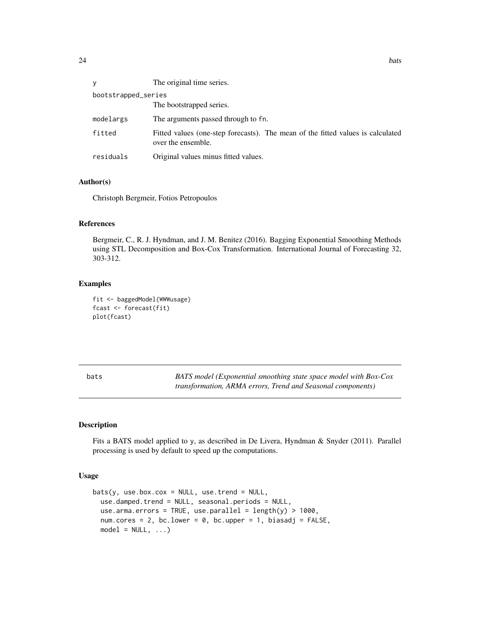<span id="page-23-0"></span>

| V                   | The original time series.                                                                             |  |
|---------------------|-------------------------------------------------------------------------------------------------------|--|
| bootstrapped_series |                                                                                                       |  |
|                     | The bootstrapped series.                                                                              |  |
| modelargs           | The arguments passed through to fn.                                                                   |  |
| fitted              | Fitted values (one-step forecasts). The mean of the fitted values is calculated<br>over the ensemble. |  |
| residuals           | Original values minus fitted values.                                                                  |  |

#### Author(s)

Christoph Bergmeir, Fotios Petropoulos

#### References

Bergmeir, C., R. J. Hyndman, and J. M. Benitez (2016). Bagging Exponential Smoothing Methods using STL Decomposition and Box-Cox Transformation. International Journal of Forecasting 32, 303-312.

# Examples

```
fit <- baggedModel(WWWusage)
fcast <- forecast(fit)
plot(fcast)
```

| bats | BATS model (Exponential smoothing state space model with Box-Cox   |
|------|--------------------------------------------------------------------|
|      | <i>transformation, ARMA errors, Trend and Seasonal components)</i> |

# Description

Fits a BATS model applied to y, as described in De Livera, Hyndman & Snyder (2011). Parallel processing is used by default to speed up the computations.

#### Usage

```
bits(y, use-box.cox = NULL, use.train = NULL,use.damped.trend = NULL, seasonal.periods = NULL,
 use.arma.errors = TRUE, use.parallel = length(y) > 1000,
 num.cores = 2, bc.lower = 0, bc.upper = 1, biasadj = FALSE,
 model = NULL, ...)
```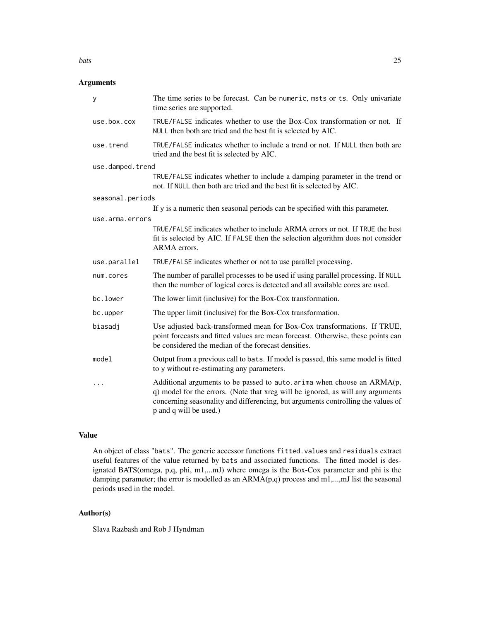#### bats 25

# Arguments

| у                | The time series to be forecast. Can be numeric, msts or ts. Only univariate<br>time series are supported.                                                                                                                                                                |
|------------------|--------------------------------------------------------------------------------------------------------------------------------------------------------------------------------------------------------------------------------------------------------------------------|
| use.box.cox      | TRUE/FALSE indicates whether to use the Box-Cox transformation or not. If<br>NULL then both are tried and the best fit is selected by AIC.                                                                                                                               |
| use.trend        | TRUE/FALSE indicates whether to include a trend or not. If NULL then both are<br>tried and the best fit is selected by AIC.                                                                                                                                              |
| use.damped.trend |                                                                                                                                                                                                                                                                          |
|                  | TRUE/FALSE indicates whether to include a damping parameter in the trend or<br>not. If NULL then both are tried and the best fit is selected by AIC.                                                                                                                     |
| seasonal.periods |                                                                                                                                                                                                                                                                          |
|                  | If y is a numeric then seasonal periods can be specified with this parameter.                                                                                                                                                                                            |
| use.arma.errors  |                                                                                                                                                                                                                                                                          |
|                  | TRUE/FALSE indicates whether to include ARMA errors or not. If TRUE the best<br>fit is selected by AIC. If FALSE then the selection algorithm does not consider<br>ARMA errors.                                                                                          |
| use.parallel     | TRUE/FALSE indicates whether or not to use parallel processing.                                                                                                                                                                                                          |
| num.cores        | The number of parallel processes to be used if using parallel processing. If NULL<br>then the number of logical cores is detected and all available cores are used.                                                                                                      |
| bc.lower         | The lower limit (inclusive) for the Box-Cox transformation.                                                                                                                                                                                                              |
| bc.upper         | The upper limit (inclusive) for the Box-Cox transformation.                                                                                                                                                                                                              |
| biasadj          | Use adjusted back-transformed mean for Box-Cox transformations. If TRUE,<br>point forecasts and fitted values are mean forecast. Otherwise, these points can<br>be considered the median of the forecast densities.                                                      |
| model            | Output from a previous call to bats. If model is passed, this same model is fitted<br>to y without re-estimating any parameters.                                                                                                                                         |
| .                | Additional arguments to be passed to auto. arima when choose an ARMA(p,<br>q) model for the errors. (Note that xreg will be ignored, as will any arguments<br>concerning seasonality and differencing, but arguments controlling the values of<br>p and q will be used.) |

#### Value

An object of class "bats". The generic accessor functions fitted.values and residuals extract useful features of the value returned by bats and associated functions. The fitted model is designated BATS(omega, p,q, phi, m1,...mJ) where omega is the Box-Cox parameter and phi is the damping parameter; the error is modelled as an ARMA(p,q) process and m1,...,mJ list the seasonal periods used in the model.

# Author(s)

Slava Razbash and Rob J Hyndman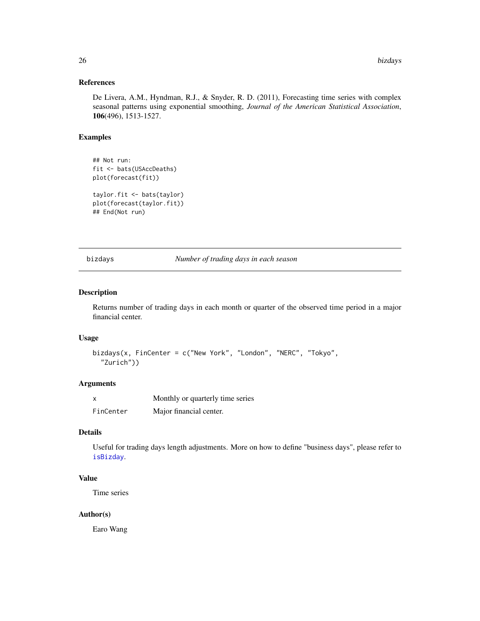# <span id="page-25-0"></span>References

De Livera, A.M., Hyndman, R.J., & Snyder, R. D. (2011), Forecasting time series with complex seasonal patterns using exponential smoothing, *Journal of the American Statistical Association*, 106(496), 1513-1527.

# Examples

```
## Not run:
fit <- bats(USAccDeaths)
plot(forecast(fit))
taylor.fit <- bats(taylor)
plot(forecast(taylor.fit))
## End(Not run)
```
bizdays *Number of trading days in each season*

# Description

Returns number of trading days in each month or quarter of the observed time period in a major financial center.

#### Usage

```
bizdays(x, FinCenter = c("New York", "London", "NERC", "Tokyo",
  "Zurich"))
```
# Arguments

|           | Monthly or quarterly time series |
|-----------|----------------------------------|
| FinCenter | Major financial center.          |

# Details

Useful for trading days length adjustments. More on how to define "business days", please refer to [isBizday](#page-0-0).

# Value

Time series

# Author(s)

Earo Wang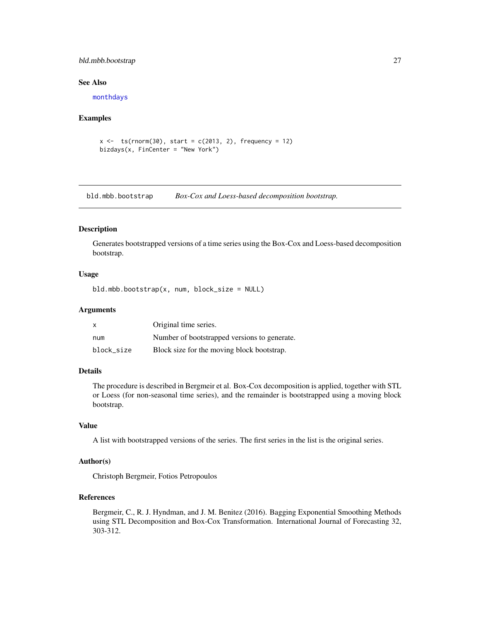# <span id="page-26-0"></span>bld.mbb.bootstrap 27

#### See Also

[monthdays](#page-83-1)

#### Examples

```
x \leftarrow ts(rnorm(30), start = c(2013, 2), frequency = 12)bizdays(x, FinCenter = "New York")
```
<span id="page-26-1"></span>bld.mbb.bootstrap *Box-Cox and Loess-based decomposition bootstrap.*

# Description

Generates bootstrapped versions of a time series using the Box-Cox and Loess-based decomposition bootstrap.

# Usage

bld.mbb.bootstrap(x, num, block\_size = NULL)

# Arguments

| X          | Original time series.                        |
|------------|----------------------------------------------|
| num        | Number of bootstrapped versions to generate. |
| block size | Block size for the moving block bootstrap.   |

# Details

The procedure is described in Bergmeir et al. Box-Cox decomposition is applied, together with STL or Loess (for non-seasonal time series), and the remainder is bootstrapped using a moving block bootstrap.

#### Value

A list with bootstrapped versions of the series. The first series in the list is the original series.

# Author(s)

Christoph Bergmeir, Fotios Petropoulos

# References

Bergmeir, C., R. J. Hyndman, and J. M. Benitez (2016). Bagging Exponential Smoothing Methods using STL Decomposition and Box-Cox Transformation. International Journal of Forecasting 32, 303-312.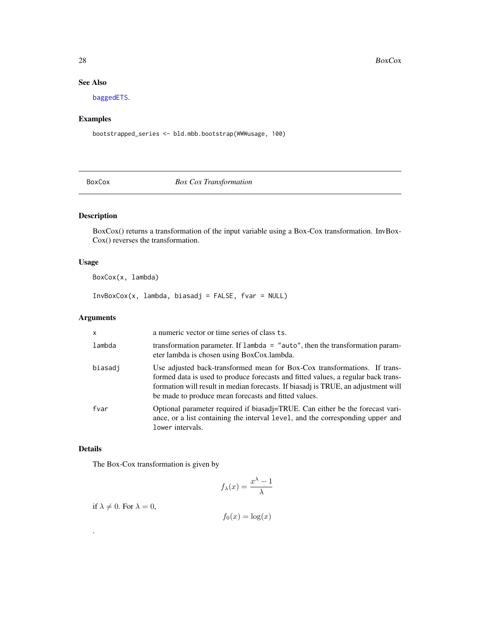# See Also

[baggedETS](#page-22-1).

# Examples

bootstrapped\_series <- bld.mbb.bootstrap(WWWusage, 100)

<span id="page-27-1"></span>BoxCox *Box Cox Transformation*

# Description

BoxCox() returns a transformation of the input variable using a Box-Cox transformation. InvBox-Cox() reverses the transformation.

# Usage

BoxCox(x, lambda)

 $InvBoxCox(x, lambda, biasadj = FALSE, fvar = NULL)$ 

# Arguments

| X       | a numeric vector or time series of class ts.                                                                                                                                                                                                                                                                |
|---------|-------------------------------------------------------------------------------------------------------------------------------------------------------------------------------------------------------------------------------------------------------------------------------------------------------------|
| lambda  | transformation parameter. If lambda = "auto", then the transformation param-<br>eter lambda is chosen using BoxCox.lambda.                                                                                                                                                                                  |
| biasadi | Use adjusted back-transformed mean for Box-Cox transformations. If trans-<br>formed data is used to produce forecasts and fitted values, a regular back trans-<br>formation will result in median forecasts. If biasadj is TRUE, an adjustment will<br>be made to produce mean forecasts and fitted values. |
| fvar    | Optional parameter required if biasadj=TRUE. Can either be the forecast vari-<br>ance, or a list containing the interval level, and the corresponding upper and<br>lower intervals.                                                                                                                         |

# Details

.

The Box-Cox transformation is given by

$$
f_{\lambda}(x) = \frac{x^{\lambda} - 1}{\lambda}
$$

if  $\lambda \neq 0$ . For  $\lambda = 0$ ,

 $f_0(x) = \log(x)$ 

<span id="page-27-0"></span>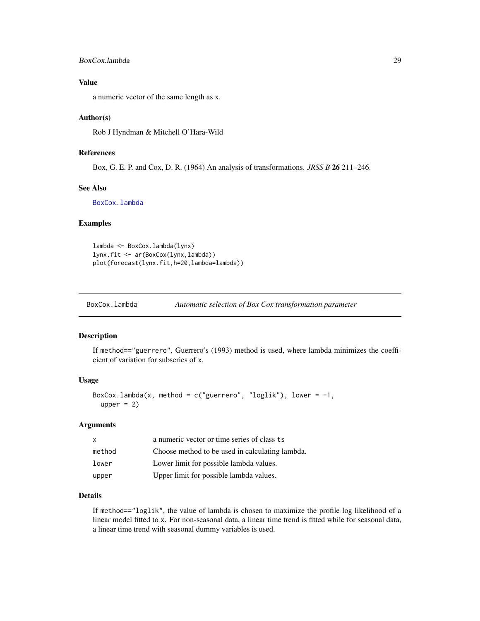## <span id="page-28-0"></span>BoxCox.lambda 29

# Value

a numeric vector of the same length as x.

#### Author(s)

Rob J Hyndman & Mitchell O'Hara-Wild

#### References

Box, G. E. P. and Cox, D. R. (1964) An analysis of transformations. *JRSS B* 26 211–246.

### See Also

[BoxCox.lambda](#page-28-1)

# Examples

```
lambda <- BoxCox.lambda(lynx)
lynx.fit <- ar(BoxCox(lynx,lambda))
plot(forecast(lynx.fit,h=20,lambda=lambda))
```
<span id="page-28-1"></span>BoxCox.lambda *Automatic selection of Box Cox transformation parameter*

#### Description

If method=="guerrero", Guerrero's (1993) method is used, where lambda minimizes the coefficient of variation for subseries of x.

#### Usage

```
BoxCox.lambda(x, method = c("guerrero", "loglik"), lower = -1,
 upper = 2
```
#### Arguments

| $\mathsf{x}$ | a numeric vector or time series of class ts     |
|--------------|-------------------------------------------------|
| method       | Choose method to be used in calculating lambda. |
| lower        | Lower limit for possible lambda values.         |
| upper        | Upper limit for possible lambda values.         |

# Details

If method=="loglik", the value of lambda is chosen to maximize the profile log likelihood of a linear model fitted to x. For non-seasonal data, a linear time trend is fitted while for seasonal data, a linear time trend with seasonal dummy variables is used.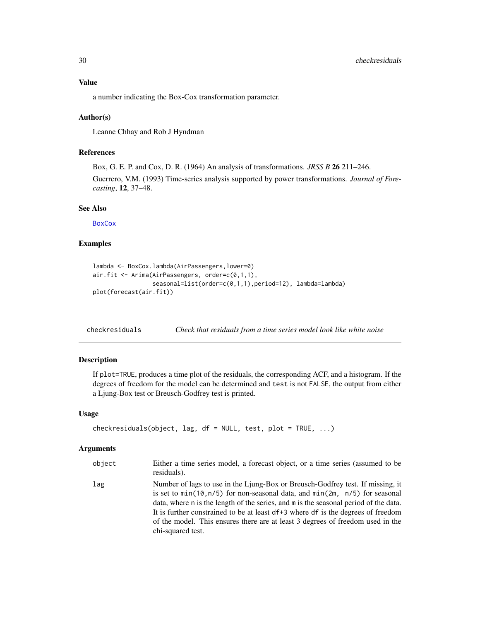# <span id="page-29-0"></span>Value

a number indicating the Box-Cox transformation parameter.

# Author(s)

Leanne Chhay and Rob J Hyndman

# References

Box, G. E. P. and Cox, D. R. (1964) An analysis of transformations. *JRSS B* 26 211–246.

Guerrero, V.M. (1993) Time-series analysis supported by power transformations. *Journal of Forecasting*, 12, 37–48.

#### See Also

**[BoxCox](#page-27-1)** 

#### Examples

```
lambda <- BoxCox.lambda(AirPassengers,lower=0)
air.fit <- Arima(AirPassengers, order=c(0,1,1),
                 seasonal=list(order=c(0,1,1),period=12), lambda=lambda)
plot(forecast(air.fit))
```
checkresiduals *Check that residuals from a time series model look like white noise*

#### Description

If plot=TRUE, produces a time plot of the residuals, the corresponding ACF, and a histogram. If the degrees of freedom for the model can be determined and test is not FALSE, the output from either a Ljung-Box test or Breusch-Godfrey test is printed.

#### Usage

```
checkresiduals(object, lag, df = NULL, test, plot = TRUE, ...)
```
#### Arguments

| object | Either a time series model, a forecast object, or a time series (assumed to be<br>residuals).                                                                                                                                                                                                                                                                                                                                                        |
|--------|------------------------------------------------------------------------------------------------------------------------------------------------------------------------------------------------------------------------------------------------------------------------------------------------------------------------------------------------------------------------------------------------------------------------------------------------------|
| lag    | Number of lags to use in the Ljung-Box or Breusch-Godfrey test. If missing, it<br>is set to $min(10, n/5)$ for non-seasonal data, and $min(2m, n/5)$ for seasonal<br>data, where n is the length of the series, and m is the seasonal period of the data.<br>It is further constrained to be at least df+3 where df is the degrees of freedom<br>of the model. This ensures there are at least 3 degrees of freedom used in the<br>chi-squared test. |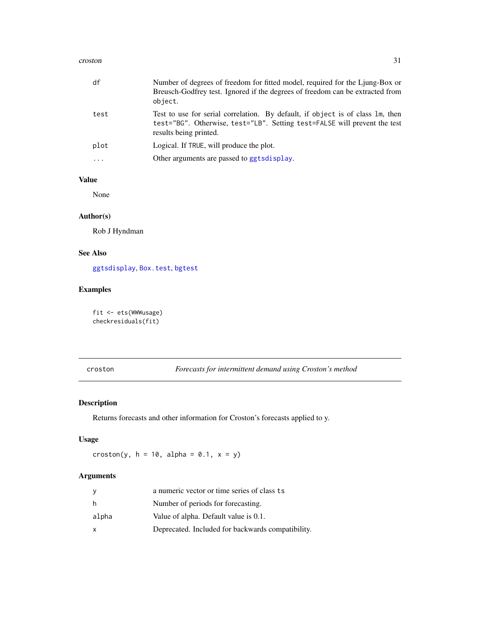#### <span id="page-30-0"></span>croston 31

| df       | Number of degrees of freedom for fitted model, required for the Ljung-Box or<br>Breusch-Godfrey test. Ignored if the degrees of freedom can be extracted from<br>object.              |
|----------|---------------------------------------------------------------------------------------------------------------------------------------------------------------------------------------|
| test     | Test to use for serial correlation. By default, if object is of class 1m, then<br>test="BG". Otherwise, test="LB". Setting test=FALSE will prevent the test<br>results being printed. |
| plot     | Logical. If TRUE, will produce the plot.                                                                                                                                              |
| $\cdots$ | Other arguments are passed to ggtsdisplay.                                                                                                                                            |

# Value

None

# Author(s)

Rob J Hyndman

# See Also

[ggtsdisplay](#page-75-2), [Box.test](#page-0-0), [bgtest](#page-0-0)

# Examples

fit <- ets(WWWusage) checkresiduals(fit)

croston *Forecasts for intermittent demand using Croston's method*

# Description

Returns forecasts and other information for Croston's forecasts applied to y.

# Usage

croston(y,  $h = 10$ , alpha = 0.1,  $x = y$ )

# Arguments

|       | a numeric vector or time series of class ts       |
|-------|---------------------------------------------------|
| h.    | Number of periods for forecasting.                |
| alpha | Value of alpha. Default value is 0.1.             |
| x     | Deprecated. Included for backwards compatibility. |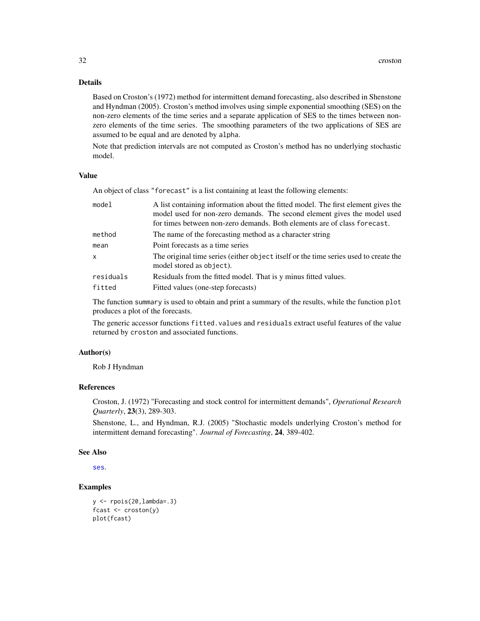# Details

Based on Croston's (1972) method for intermittent demand forecasting, also described in Shenstone and Hyndman (2005). Croston's method involves using simple exponential smoothing (SES) on the non-zero elements of the time series and a separate application of SES to the times between nonzero elements of the time series. The smoothing parameters of the two applications of SES are assumed to be equal and are denoted by alpha.

Note that prediction intervals are not computed as Croston's method has no underlying stochastic model.

#### Value

An object of class "forecast" is a list containing at least the following elements:

| A list containing information about the fitted model. The first element gives the<br>model used for non-zero demands. The second element gives the model used<br>for times between non-zero demands. Both elements are of class forecast. |
|-------------------------------------------------------------------------------------------------------------------------------------------------------------------------------------------------------------------------------------------|
| The name of the forecasting method as a character string                                                                                                                                                                                  |
| Point forecasts as a time series                                                                                                                                                                                                          |
| The original time series (either object itself or the time series used to create the<br>model stored as object).                                                                                                                          |
| Residuals from the fitted model. That is y minus fitted values.                                                                                                                                                                           |
| Fitted values (one-step forecasts)                                                                                                                                                                                                        |
|                                                                                                                                                                                                                                           |

The function summary is used to obtain and print a summary of the results, while the function plot produces a plot of the forecasts.

The generic accessor functions fitted.values and residuals extract useful features of the value returned by croston and associated functions.

#### Author(s)

Rob J Hyndman

# References

Croston, J. (1972) "Forecasting and stock control for intermittent demands", *Operational Research Quarterly*, 23(3), 289-303.

Shenstone, L., and Hyndman, R.J. (2005) "Stochastic models underlying Croston's method for intermittent demand forecasting". *Journal of Forecasting*, 24, 389-402.

#### See Also

[ses](#page-106-1).

# Examples

```
y <- rpois(20,lambda=.3)
fcast <- croston(y)
plot(fcast)
```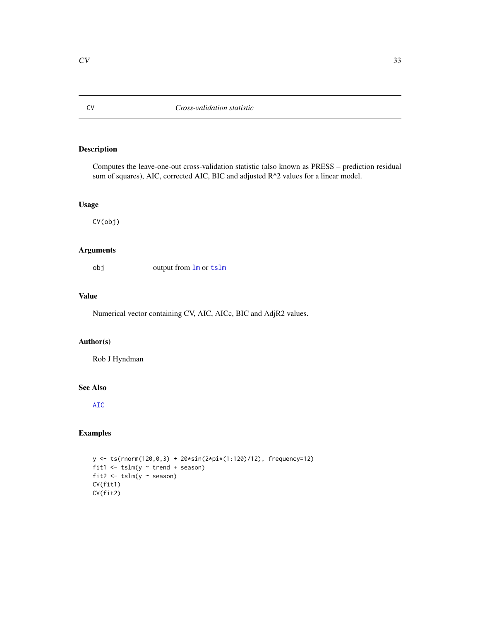# Description

Computes the leave-one-out cross-validation statistic (also known as PRESS – prediction residual sum of squares), AIC, corrected AIC, BIC and adjusted R^2 values for a linear model.

# Usage

CV(obj)

# Arguments

obj output from [lm](#page-0-0) or [tslm](#page-123-1)

# Value

Numerical vector containing CV, AIC, AICc, BIC and AdjR2 values.

# Author(s)

Rob J Hyndman

# See Also

[AIC](#page-0-0)

# Examples

```
y <- ts(rnorm(120,0,3) + 20*sin(2*pi*(1:120)/12), frequency=12)
fit1 \le tslm(y \sim trend + season)
fit2 \leftarrow tslm(y \sim season)
CV(fit1)
CV(fit2)
```
<span id="page-32-1"></span><span id="page-32-0"></span>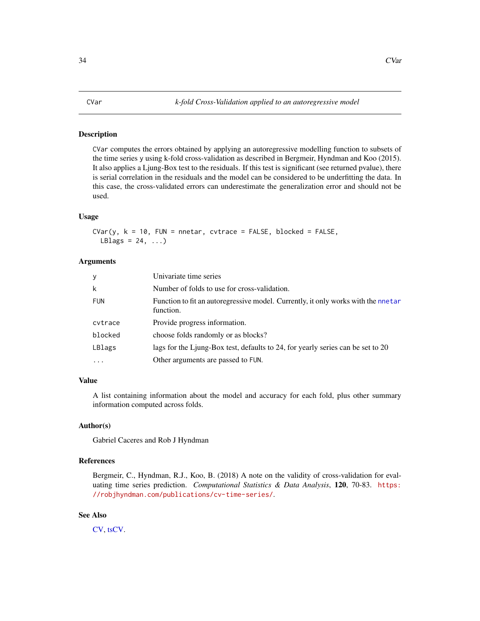#### <span id="page-33-0"></span>Description

CVar computes the errors obtained by applying an autoregressive modelling function to subsets of the time series y using k-fold cross-validation as described in Bergmeir, Hyndman and Koo (2015). It also applies a Ljung-Box test to the residuals. If this test is significant (see returned pvalue), there is serial correlation in the residuals and the model can be considered to be underfitting the data. In this case, the cross-validated errors can underestimate the generalization error and should not be used.

#### Usage

CVar(y,  $k = 10$ , FUN = nnetar, cvtrace = FALSE, blocked = FALSE, LBlags =  $24, ...$ )

#### Arguments

| У          | Univariate time series                                                                         |
|------------|------------------------------------------------------------------------------------------------|
| k          | Number of folds to use for cross-validation.                                                   |
| <b>FUN</b> | Function to fit an autoregressive model. Currently, it only works with the nnetar<br>function. |
| cytrace    | Provide progress information.                                                                  |
| blocked    | choose folds randomly or as blocks?                                                            |
| LBlags     | lags for the Ljung-Box test, defaults to 24, for yearly series can be set to 20                |
| $\cdots$   | Other arguments are passed to FUN.                                                             |

#### Value

A list containing information about the model and accuracy for each fold, plus other summary information computed across folds.

# Author(s)

Gabriel Caceres and Rob J Hyndman

# References

Bergmeir, C., Hyndman, R.J., Koo, B. (2018) A note on the validity of cross-validation for evaluating time series prediction. *Computational Statistics & Data Analysis*, 120, 70-83. [https:](https://robjhyndman.com/publications/cv-time-series/) [//robjhyndman.com/publications/cv-time-series/](https://robjhyndman.com/publications/cv-time-series/).

# See Also

[CV,](#page-32-1) [tsCV.](#page-122-1)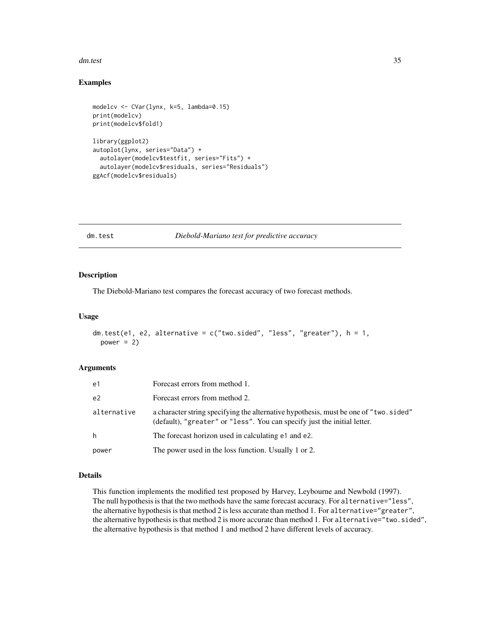#### <span id="page-34-0"></span>dm.test 35

# Examples

```
modelcv <- CVar(lynx, k=5, lambda=0.15)
print(modelcv)
print(modelcv$fold1)
library(ggplot2)
autoplot(lynx, series="Data") +
 autolayer(modelcv$testfit, series="Fits") +
 autolayer(modelcv$residuals, series="Residuals")
ggAcf(modelcv$residuals)
```
### dm.test *Diebold-Mariano test for predictive accuracy*

#### Description

The Diebold-Mariano test compares the forecast accuracy of two forecast methods.

#### Usage

```
dm.test(e1, e2, alternative = c("two.sided", "less", "greater"), h = 1,power = 2)
```
# Arguments

| e1             | Forecast errors from method 1.                                                                                                                                   |
|----------------|------------------------------------------------------------------------------------------------------------------------------------------------------------------|
| e <sub>2</sub> | Forecast errors from method 2.                                                                                                                                   |
| alternative    | a character string specifying the alternative hypothesis, must be one of "two.sided"<br>(default), "greater" or "less". You can specify just the initial letter. |
| h              | The forecast horizon used in calculating e1 and e2.                                                                                                              |
| power          | The power used in the loss function. Usually 1 or 2.                                                                                                             |

#### Details

This function implements the modified test proposed by Harvey, Leybourne and Newbold (1997). The null hypothesis is that the two methods have the same forecast accuracy. For alternative="less", the alternative hypothesis is that method 2 is less accurate than method 1. For alternative="greater", the alternative hypothesis is that method 2 is more accurate than method 1. For alternative="two.sided", the alternative hypothesis is that method 1 and method 2 have different levels of accuracy.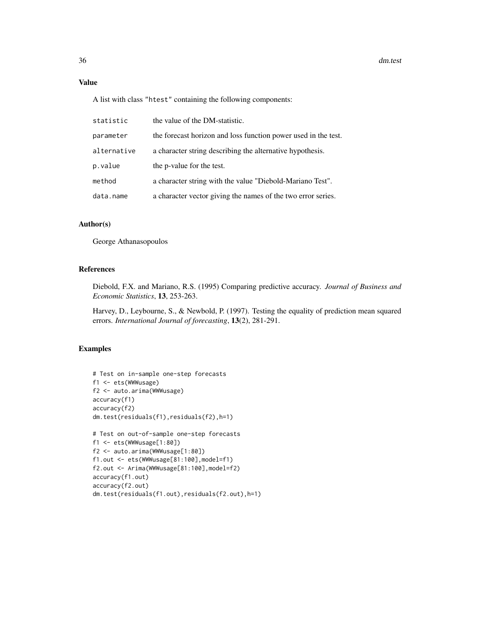# Value

A list with class "htest" containing the following components:

| statistic   | the value of the DM-statistic.                                 |
|-------------|----------------------------------------------------------------|
| parameter   | the forecast horizon and loss function power used in the test. |
| alternative | a character string describing the alternative hypothesis.      |
| p.value     | the p-value for the test.                                      |
| method      | a character string with the value "Diebold-Mariano Test".      |
| data.name   | a character vector giving the names of the two error series.   |

# Author(s)

George Athanasopoulos

# References

Diebold, F.X. and Mariano, R.S. (1995) Comparing predictive accuracy. *Journal of Business and Economic Statistics*, 13, 253-263.

Harvey, D., Leybourne, S., & Newbold, P. (1997). Testing the equality of prediction mean squared errors. *International Journal of forecasting*, 13(2), 281-291.

# Examples

```
# Test on in-sample one-step forecasts
f1 <- ets(WWWusage)
f2 <- auto.arima(WWWusage)
accuracy(f1)
accuracy(f2)
dm.test(residuals(f1),residuals(f2),h=1)
# Test on out-of-sample one-step forecasts
f1 <- ets(WWWusage[1:80])
f2 <- auto.arima(WWWusage[1:80])
f1.out <- ets(WWWusage[81:100],model=f1)
f2.out <- Arima(WWWusage[81:100],model=f2)
accuracy(f1.out)
accuracy(f2.out)
dm.test(residuals(f1.out),residuals(f2.out),h=1)
```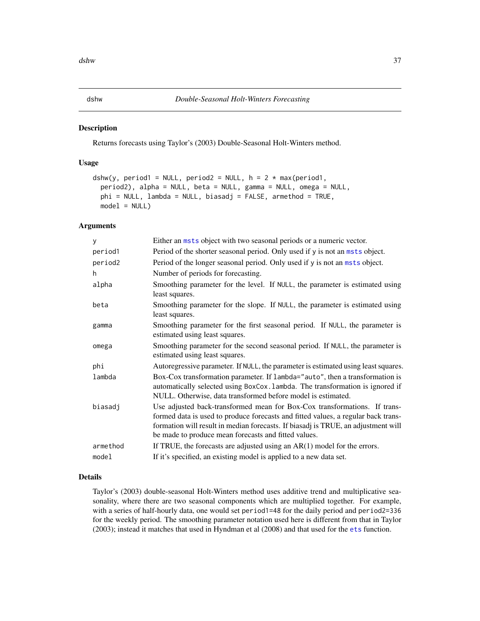#### Description

Returns forecasts using Taylor's (2003) Double-Seasonal Holt-Winters method.

## Usage

```
dshw(y, period1 = NULL, period2 = NULL, h = 2 * max(period1,period2), alpha = NULL, beta = NULL, gamma = NULL, omega = NULL,
 phi = NULL, lambda = NULL, biasadj = FALSE, armethod = TRUE,
 model = NULL)
```
#### Arguments

| У        | Either an msts object with two seasonal periods or a numeric vector.                                                                                                                                                                                                                                        |
|----------|-------------------------------------------------------------------------------------------------------------------------------------------------------------------------------------------------------------------------------------------------------------------------------------------------------------|
| period1  | Period of the shorter seasonal period. Only used if y is not an msts object.                                                                                                                                                                                                                                |
| period2  | Period of the longer seasonal period. Only used if y is not an msts object.                                                                                                                                                                                                                                 |
| h        | Number of periods for forecasting.                                                                                                                                                                                                                                                                          |
| alpha    | Smoothing parameter for the level. If NULL, the parameter is estimated using<br>least squares.                                                                                                                                                                                                              |
| beta     | Smoothing parameter for the slope. If NULL, the parameter is estimated using<br>least squares.                                                                                                                                                                                                              |
| gamma    | Smoothing parameter for the first seasonal period. If NULL, the parameter is<br>estimated using least squares.                                                                                                                                                                                              |
| omega    | Smoothing parameter for the second seasonal period. If NULL, the parameter is<br>estimated using least squares.                                                                                                                                                                                             |
| phi      | Autoregressive parameter. If NULL, the parameter is estimated using least squares.                                                                                                                                                                                                                          |
| lambda   | Box-Cox transformation parameter. If lambda="auto", then a transformation is<br>automatically selected using BoxCox. lambda. The transformation is ignored if<br>NULL. Otherwise, data transformed before model is estimated.                                                                               |
| biasadj  | Use adjusted back-transformed mean for Box-Cox transformations. If trans-<br>formed data is used to produce forecasts and fitted values, a regular back trans-<br>formation will result in median forecasts. If biasadj is TRUE, an adjustment will<br>be made to produce mean forecasts and fitted values. |
| armethod | If TRUE, the forecasts are adjusted using an $AR(1)$ model for the errors.                                                                                                                                                                                                                                  |
| model    | If it's specified, an existing model is applied to a new data set.                                                                                                                                                                                                                                          |
|          |                                                                                                                                                                                                                                                                                                             |

#### Details

Taylor's (2003) double-seasonal Holt-Winters method uses additive trend and multiplicative seasonality, where there are two seasonal components which are multiplied together. For example, with a series of half-hourly data, one would set period1=48 for the daily period and period2=336 for the weekly period. The smoothing parameter notation used here is different from that in Taylor (2003); instead it matches that used in Hyndman et al (2008) and that used for the [ets](#page-38-0) function.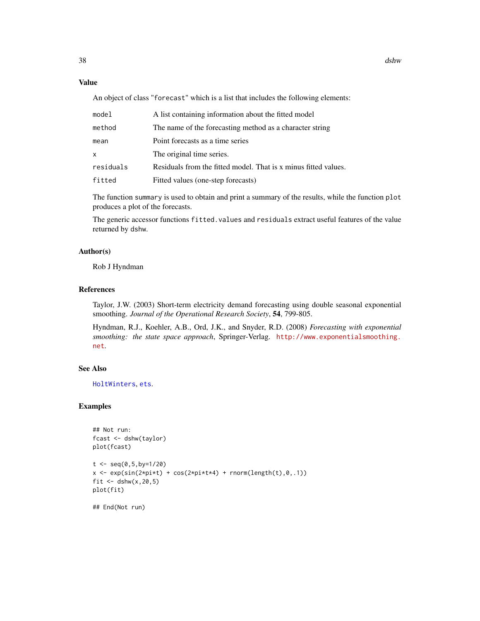# Value

An object of class "forecast" which is a list that includes the following elements:

| model     | A list containing information about the fitted model            |
|-----------|-----------------------------------------------------------------|
| method    | The name of the forecasting method as a character string        |
| mean      | Point forecasts as a time series                                |
| x         | The original time series.                                       |
| residuals | Residuals from the fitted model. That is x minus fitted values. |
| fitted    | Fitted values (one-step forecasts)                              |

The function summary is used to obtain and print a summary of the results, while the function plot produces a plot of the forecasts.

The generic accessor functions fitted.values and residuals extract useful features of the value returned by dshw.

## Author(s)

Rob J Hyndman

# References

Taylor, J.W. (2003) Short-term electricity demand forecasting using double seasonal exponential smoothing. *Journal of the Operational Research Society*, 54, 799-805.

Hyndman, R.J., Koehler, A.B., Ord, J.K., and Snyder, R.D. (2008) *Forecasting with exponential smoothing: the state space approach*, Springer-Verlag. [http://www.exponentialsmoothing.](http://www.exponentialsmoothing.net) [net](http://www.exponentialsmoothing.net).

#### See Also

[HoltWinters](#page-0-0), [ets](#page-38-0).

# Examples

```
## Not run:
fcast <- dshw(taylor)
plot(fcast)
t < - seq(0,5,by=1/20)
x \leftarrow \exp(\sin(2\pi\pi x t) + \cos(2\pi\pi x t) + \text{norm}(\text{length}(t), 0, .1))fit \le dshw(x, 20, 5)plot(fit)
```
## End(Not run)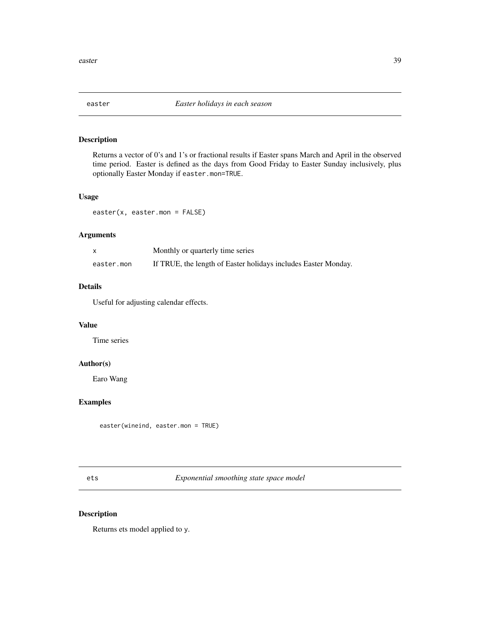# Description

Returns a vector of 0's and 1's or fractional results if Easter spans March and April in the observed time period. Easter is defined as the days from Good Friday to Easter Sunday inclusively, plus optionally Easter Monday if easter.mon=TRUE.

## Usage

easter(x, easter.mon = FALSE)

## Arguments

|            | Monthly or quarterly time series                               |
|------------|----------------------------------------------------------------|
| easter.mon | If TRUE, the length of Easter holidays includes Easter Monday. |

## Details

Useful for adjusting calendar effects.

## Value

Time series

## Author(s)

Earo Wang

# Examples

easter(wineind, easter.mon = TRUE)

<span id="page-38-0"></span>ets *Exponential smoothing state space model*

# Description

Returns ets model applied to y.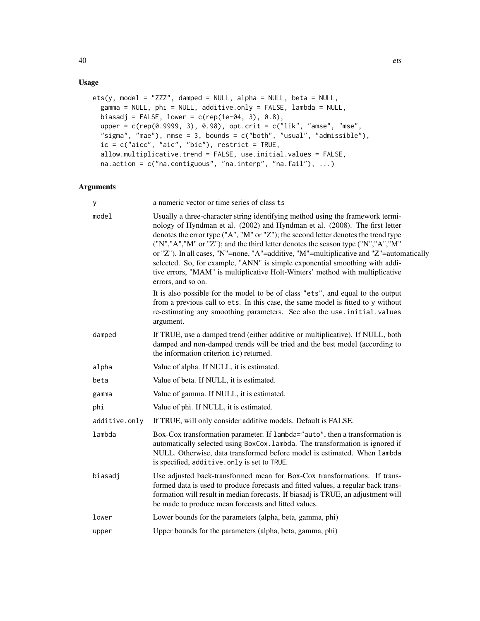# Usage

```
ets(y, model = "ZZZ", damped = NULL, alpha = NULL, beta = NULL,
  gamma = NULL, phi = NULL, additive.only = FALSE, lambda = NULL,
 biasadj = FALSE, lower = c(rep(1e-04, 3), 0.8),
  upper = c(rep(0.9999, 3), 0.98), opt.crit = c("lik", "amse", "mse",
  "sigma", "mae"), nmse = 3, bounds = c("both", "usual", "admissible"),
  ic = c("aicc", "aic", "bic"), restrict = TRUE,allow.multiplicative.trend = FALSE, use.initial.values = FALSE,
  na.action = c("na.contiguous", "na.interp", "na.fail"), ...)
```
# Arguments

| У             | a numeric vector or time series of class ts                                                                                                                                                                                                                                                                                                                                                                                                                                                                                                                                                                             |
|---------------|-------------------------------------------------------------------------------------------------------------------------------------------------------------------------------------------------------------------------------------------------------------------------------------------------------------------------------------------------------------------------------------------------------------------------------------------------------------------------------------------------------------------------------------------------------------------------------------------------------------------------|
| model         | Usually a three-character string identifying method using the framework termi-<br>nology of Hyndman et al. (2002) and Hyndman et al. (2008). The first letter<br>denotes the error type ("A", "M" or "Z"); the second letter denotes the trend type<br>("N","A","M" or "Z"); and the third letter denotes the season type ("N","A","M"<br>or "Z"). In all cases, "N"=none, "A"=additive, "M"=multiplicative and "Z"=automatically<br>selected. So, for example, "ANN" is simple exponential smoothing with addi-<br>tive errors, "MAM" is multiplicative Holt-Winters' method with multiplicative<br>errors, and so on. |
|               | It is also possible for the model to be of class "ets", and equal to the output<br>from a previous call to ets. In this case, the same model is fitted to y without<br>re-estimating any smoothing parameters. See also the use . initial. values<br>argument.                                                                                                                                                                                                                                                                                                                                                          |
| damped        | If TRUE, use a damped trend (either additive or multiplicative). If NULL, both<br>damped and non-damped trends will be tried and the best model (according to<br>the information criterion ic) returned.                                                                                                                                                                                                                                                                                                                                                                                                                |
| alpha         | Value of alpha. If NULL, it is estimated.                                                                                                                                                                                                                                                                                                                                                                                                                                                                                                                                                                               |
| beta          | Value of beta. If NULL, it is estimated.                                                                                                                                                                                                                                                                                                                                                                                                                                                                                                                                                                                |
| gamma         | Value of gamma. If NULL, it is estimated.                                                                                                                                                                                                                                                                                                                                                                                                                                                                                                                                                                               |
| phi           | Value of phi. If NULL, it is estimated.                                                                                                                                                                                                                                                                                                                                                                                                                                                                                                                                                                                 |
| additive.only | If TRUE, will only consider additive models. Default is FALSE.                                                                                                                                                                                                                                                                                                                                                                                                                                                                                                                                                          |
| lambda        | Box-Cox transformation parameter. If lambda="auto", then a transformation is<br>automatically selected using BoxCox. Lambda. The transformation is ignored if<br>NULL. Otherwise, data transformed before model is estimated. When lambda<br>is specified, additive.only is set to TRUE.                                                                                                                                                                                                                                                                                                                                |
| biasadj       | Use adjusted back-transformed mean for Box-Cox transformations. If trans-<br>formed data is used to produce forecasts and fitted values, a regular back trans-<br>formation will result in median forecasts. If biasadj is TRUE, an adjustment will<br>be made to produce mean forecasts and fitted values.                                                                                                                                                                                                                                                                                                             |
| lower         | Lower bounds for the parameters (alpha, beta, gamma, phi)                                                                                                                                                                                                                                                                                                                                                                                                                                                                                                                                                               |
| upper         | Upper bounds for the parameters (alpha, beta, gamma, phi)                                                                                                                                                                                                                                                                                                                                                                                                                                                                                                                                                               |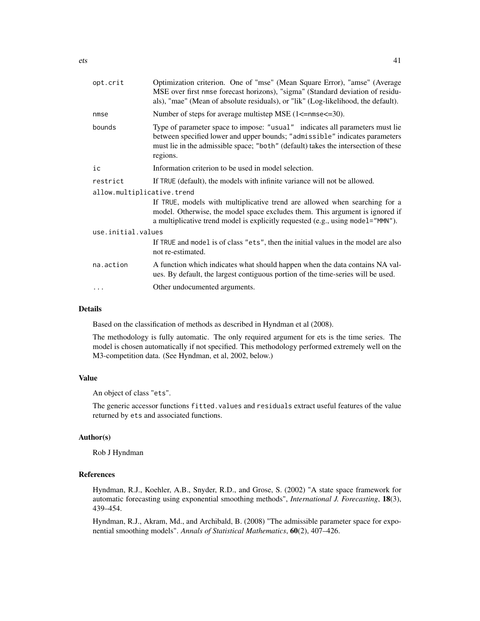| opt.crit                   | Optimization criterion. One of "mse" (Mean Square Error), "amse" (Average<br>MSE over first nmse forecast horizons), "sigma" (Standard deviation of residu-<br>als), "mae" (Mean of absolute residuals), or "lik" (Log-likelihood, the default).              |
|----------------------------|---------------------------------------------------------------------------------------------------------------------------------------------------------------------------------------------------------------------------------------------------------------|
| nmse                       | Number of steps for average multistep MSE (1<=nmse<=30).                                                                                                                                                                                                      |
| bounds                     | Type of parameter space to impose: "usual" indicates all parameters must lie<br>between specified lower and upper bounds; "admissible" indicates parameters<br>must lie in the admissible space; "both" (default) takes the intersection of these<br>regions. |
| ic                         | Information criterion to be used in model selection.                                                                                                                                                                                                          |
| restrict                   | If TRUE (default), the models with infinite variance will not be allowed.                                                                                                                                                                                     |
| allow.multiplicative.trend |                                                                                                                                                                                                                                                               |
|                            | If TRUE, models with multiplicative trend are allowed when searching for a<br>model. Otherwise, the model space excludes them. This argument is ignored if<br>a multiplicative trend model is explicitly requested (e.g., using model="MMN").                 |
| use.initial.values         |                                                                                                                                                                                                                                                               |
|                            | If TRUE and model is of class "ets", then the initial values in the model are also<br>not re-estimated.                                                                                                                                                       |
| na.action                  | A function which indicates what should happen when the data contains NA val-<br>ues. By default, the largest contiguous portion of the time-series will be used.                                                                                              |
|                            | Other undocumented arguments.                                                                                                                                                                                                                                 |
|                            |                                                                                                                                                                                                                                                               |

#### Details

Based on the classification of methods as described in Hyndman et al (2008).

The methodology is fully automatic. The only required argument for ets is the time series. The model is chosen automatically if not specified. This methodology performed extremely well on the M3-competition data. (See Hyndman, et al, 2002, below.)

## Value

An object of class "ets".

The generic accessor functions fitted.values and residuals extract useful features of the value returned by ets and associated functions.

#### Author(s)

Rob J Hyndman

## References

Hyndman, R.J., Koehler, A.B., Snyder, R.D., and Grose, S. (2002) "A state space framework for automatic forecasting using exponential smoothing methods", *International J. Forecasting*, 18(3), 439–454.

Hyndman, R.J., Akram, Md., and Archibald, B. (2008) "The admissible parameter space for exponential smoothing models". *Annals of Statistical Mathematics*, 60(2), 407–426.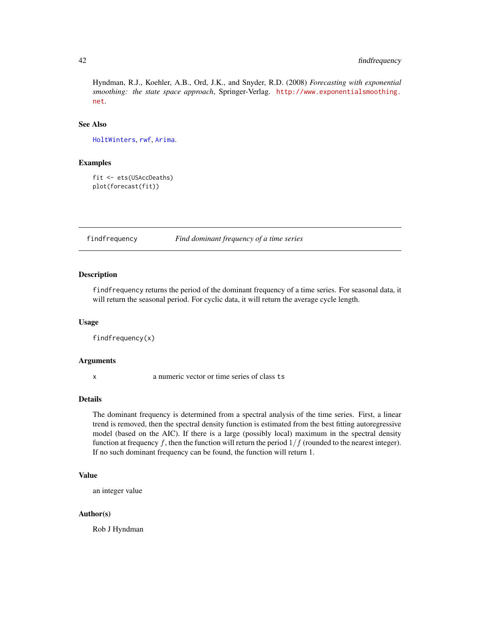# 42 findfrequency

Hyndman, R.J., Koehler, A.B., Ord, J.K., and Snyder, R.D. (2008) *Forecasting with exponential smoothing: the state space approach*, Springer-Verlag. [http://www.exponentialsmoothing.](http://www.exponentialsmoothing.net) [net](http://www.exponentialsmoothing.net).

# See Also

[HoltWinters](#page-0-0), [rwf](#page-100-0), [Arima](#page-9-0).

## Examples

fit <- ets(USAccDeaths) plot(forecast(fit))

findfrequency *Find dominant frequency of a time series*

#### Description

findfrequency returns the period of the dominant frequency of a time series. For seasonal data, it will return the seasonal period. For cyclic data, it will return the average cycle length.

## Usage

findfrequency(x)

#### Arguments

x a numeric vector or time series of class ts

#### Details

The dominant frequency is determined from a spectral analysis of the time series. First, a linear trend is removed, then the spectral density function is estimated from the best fitting autoregressive model (based on the AIC). If there is a large (possibly local) maximum in the spectral density function at frequency f, then the function will return the period  $1/f$  (rounded to the nearest integer). If no such dominant frequency can be found, the function will return 1.

#### Value

an integer value

## Author(s)

Rob J Hyndman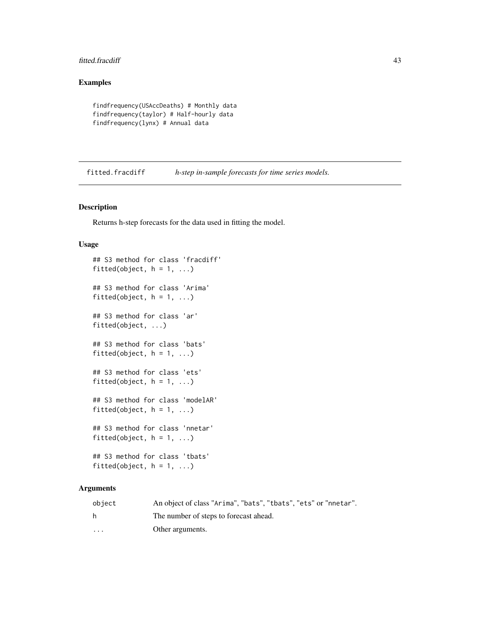#### fitted.fracdiff 43

# Examples

```
findfrequency(USAccDeaths) # Monthly data
findfrequency(taylor) # Half-hourly data
findfrequency(lynx) # Annual data
```
fitted.fracdiff *h-step in-sample forecasts for time series models.*

# Description

Returns h-step forecasts for the data used in fitting the model.

#### Usage

```
## S3 method for class 'fracdiff'
fitted(object, h = 1, ...)
## S3 method for class 'Arima'
fitted(object, h = 1, ...)
## S3 method for class 'ar'
fitted(object, ...)
## S3 method for class 'bats'
fitted(object, h = 1, ...)
## S3 method for class 'ets'
fitted(object, h = 1, ...)
## S3 method for class 'modelAR'
fitted(object, h = 1, ...)
## S3 method for class 'nnetar'
fitted(object, h = 1, ...)
## S3 method for class 'tbats'
fitted(object, h = 1, ...)
```
# Arguments

| object  | An object of class "Arima", "bats", "tbats", "ets" or "nnetar". |
|---------|-----------------------------------------------------------------|
| h       | The number of steps to forecast ahead.                          |
| $\cdot$ | Other arguments.                                                |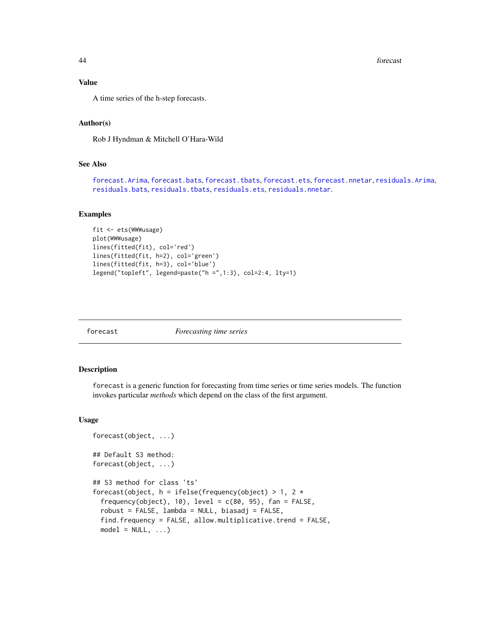44 forecast

## Value

A time series of the h-step forecasts.

## Author(s)

Rob J Hyndman & Mitchell O'Hara-Wild

# See Also

[forecast.Arima](#page-50-0), [forecast.bats](#page-47-0), [forecast.tbats](#page-47-1), [forecast.ets](#page-48-0), [forecast.nnetar](#page-61-0), [residuals.Arima](#page-98-0), [residuals.bats](#page-98-0), [residuals.tbats](#page-98-0), [residuals.ets](#page-98-0), [residuals.nnetar](#page-98-0).

## Examples

```
fit <- ets(WWWusage)
plot(WWWusage)
lines(fitted(fit), col='red')
lines(fitted(fit, h=2), col='green')
lines(fitted(fit, h=3), col='blue')
legend("topleft", legend=paste("h =",1:3), col=2:4, lty=1)
```
<span id="page-43-1"></span>

|--|--|

# <span id="page-43-0"></span>Description

forecast is a generic function for forecasting from time series or time series models. The function invokes particular *methods* which depend on the class of the first argument.

```
forecast(object, ...)
## Default S3 method:
forecast(object, ...)
## S3 method for class 'ts'
forecast(object, h = ifelse(frequency(object) > 1, 2 *frequency(object), 10), level = c(80, 95), fan = FALSE,
  robust = FALSE, lambda = NULL, biasadj = FALSE,find.frequency = FALSE, allow.multiplicative.trend = FALSE,
 model = NULL, ...)
```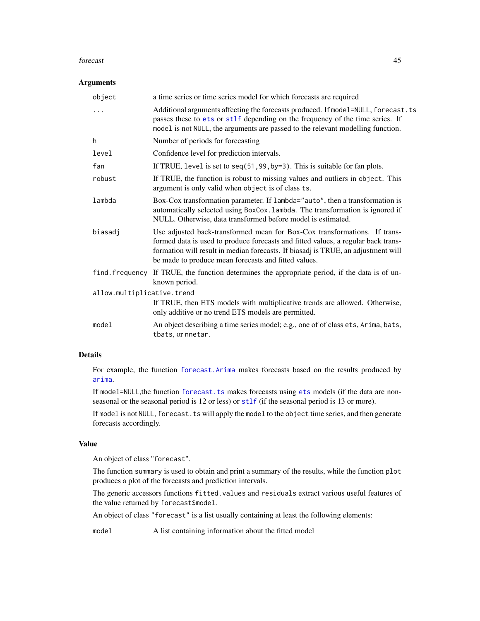#### forecast **45**

#### Arguments

| a time series or time series model for which forecasts are required                                                                                                                                                                                                                                         |
|-------------------------------------------------------------------------------------------------------------------------------------------------------------------------------------------------------------------------------------------------------------------------------------------------------------|
| Additional arguments affecting the forecasts produced. If model=NULL, forecast.ts<br>passes these to ets or stlf depending on the frequency of the time series. If<br>model is not NULL, the arguments are passed to the relevant modelling function.                                                       |
| Number of periods for forecasting                                                                                                                                                                                                                                                                           |
| Confidence level for prediction intervals.                                                                                                                                                                                                                                                                  |
| If TRUE, level is set to $seq(51, 99, by=3)$ . This is suitable for fan plots.                                                                                                                                                                                                                              |
| If TRUE, the function is robust to missing values and outliers in object. This<br>argument is only valid when object is of class ts.                                                                                                                                                                        |
| Box-Cox transformation parameter. If lambda="auto", then a transformation is<br>automatically selected using BoxCox. lambda. The transformation is ignored if<br>NULL. Otherwise, data transformed before model is estimated.                                                                               |
| Use adjusted back-transformed mean for Box-Cox transformations. If trans-<br>formed data is used to produce forecasts and fitted values, a regular back trans-<br>formation will result in median forecasts. If biasadj is TRUE, an adjustment will<br>be made to produce mean forecasts and fitted values. |
| If TRUE, the function determines the appropriate period, if the data is of un-<br>known period.                                                                                                                                                                                                             |
| allow.multiplicative.trend                                                                                                                                                                                                                                                                                  |
| If TRUE, then ETS models with multiplicative trends are allowed. Otherwise,<br>only additive or no trend ETS models are permitted.                                                                                                                                                                          |
| An object describing a time series model; e.g., one of of class ets, Arima, bats,<br>tbats, or nnetar.                                                                                                                                                                                                      |
|                                                                                                                                                                                                                                                                                                             |

# Details

For example, the function [forecast.Arima](#page-50-0) makes forecasts based on the results produced by [arima](#page-0-0).

If model=NULL,the function [forecast.ts](#page-43-0) makes forecasts using [ets](#page-38-0) models (if the data are nonseasonal or the seasonal period is 12 or less) or [stlf](#page-63-0) (if the seasonal period is 13 or more).

If model is not NULL, forecast.ts will apply the model to the object time series, and then generate forecasts accordingly.

## Value

An object of class "forecast".

The function summary is used to obtain and print a summary of the results, while the function plot produces a plot of the forecasts and prediction intervals.

The generic accessors functions fitted.values and residuals extract various useful features of the value returned by forecast\$model.

An object of class "forecast" is a list usually containing at least the following elements:

model A list containing information about the fitted model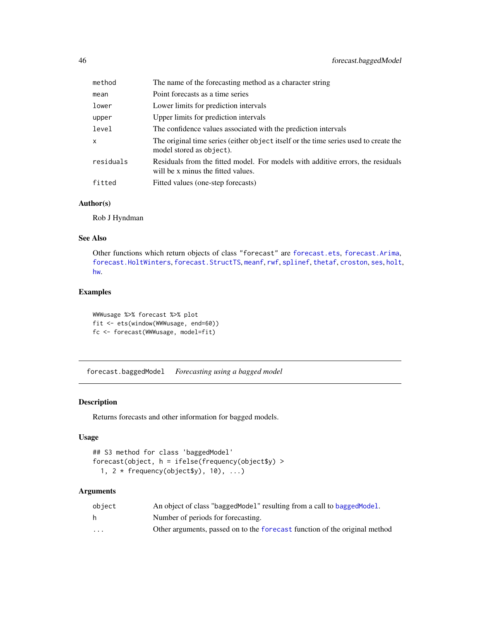| method    | The name of the forecasting method as a character string                                                              |
|-----------|-----------------------------------------------------------------------------------------------------------------------|
| mean      | Point forecasts as a time series                                                                                      |
| lower     | Lower limits for prediction intervals                                                                                 |
| upper     | Upper limits for prediction intervals                                                                                 |
| level     | The confidence values associated with the prediction intervals                                                        |
| x         | The original time series (either object itself or the time series used to create the<br>model stored as object).      |
| residuals | Residuals from the fitted model. For models with additive errors, the residuals<br>will be x minus the fitted values. |
| fitted    | Fitted values (one-step forecasts)                                                                                    |

## Author(s)

Rob J Hyndman

# See Also

Other functions which return objects of class "forecast" are [forecast.ets](#page-48-0), [forecast.Arima](#page-50-0), [forecast.HoltWinters](#page-52-0), [forecast.StructTS](#page-66-0), [meanf](#page-80-0), [rwf](#page-100-0), [splinef](#page-111-0), [thetaf](#page-120-0), [croston](#page-30-0), [ses](#page-106-0), [holt](#page-106-1), [hw](#page-106-1).

## Examples

WWWusage %>% forecast %>% plot fit <- ets(window(WWWusage, end=60)) fc <- forecast(WWWusage, model=fit)

forecast.baggedModel *Forecasting using a bagged model*

## Description

Returns forecasts and other information for bagged models.

# Usage

```
## S3 method for class 'baggedModel'
forecast(object, h = ifelse(frequency(object$y) >
  1, 2 * frequency(object $y), 10), ...)
```
# Arguments

| obiect                  | An object of class "bagged Model" resulting from a call to bagged Model.   |
|-------------------------|----------------------------------------------------------------------------|
| h.                      | Number of periods for forecasting.                                         |
| $\cdot$ $\cdot$ $\cdot$ | Other arguments, passed on to the forecast function of the original method |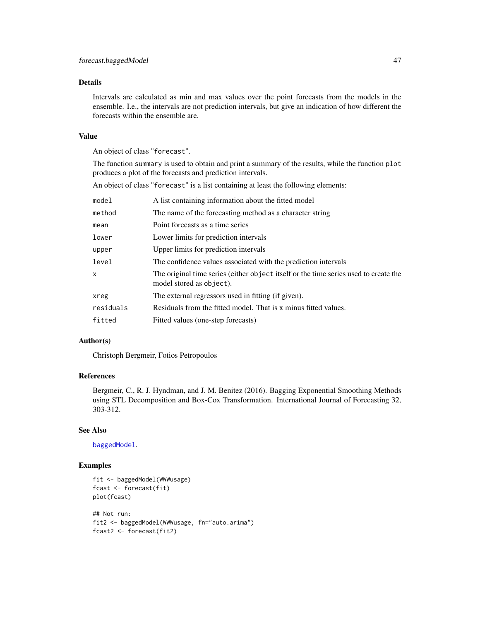## Details

Intervals are calculated as min and max values over the point forecasts from the models in the ensemble. I.e., the intervals are not prediction intervals, but give an indication of how different the forecasts within the ensemble are.

#### Value

An object of class "forecast".

The function summary is used to obtain and print a summary of the results, while the function plot produces a plot of the forecasts and prediction intervals.

An object of class "forecast" is a list containing at least the following elements:

| model     | A list containing information about the fitted model                                                             |
|-----------|------------------------------------------------------------------------------------------------------------------|
| method    | The name of the forecasting method as a character string                                                         |
| mean      | Point forecasts as a time series                                                                                 |
| lower     | Lower limits for prediction intervals                                                                            |
| upper     | Upper limits for prediction intervals                                                                            |
| level     | The confidence values associated with the prediction intervals                                                   |
| x         | The original time series (either object itself or the time series used to create the<br>model stored as object). |
| xreg      | The external regressors used in fitting (if given).                                                              |
| residuals | Residuals from the fitted model. That is x minus fitted values.                                                  |
| fitted    | Fitted values (one-step forecasts)                                                                               |

# Author(s)

Christoph Bergmeir, Fotios Petropoulos

#### References

Bergmeir, C., R. J. Hyndman, and J. M. Benitez (2016). Bagging Exponential Smoothing Methods using STL Decomposition and Box-Cox Transformation. International Journal of Forecasting 32, 303-312.

## See Also

[baggedModel](#page-22-0).

# Examples

```
fit <- baggedModel(WWWusage)
fcast <- forecast(fit)
plot(fcast)
## Not run:
fit2 <- baggedModel(WWWusage, fn="auto.arima")
fcast2 <- forecast(fit2)
```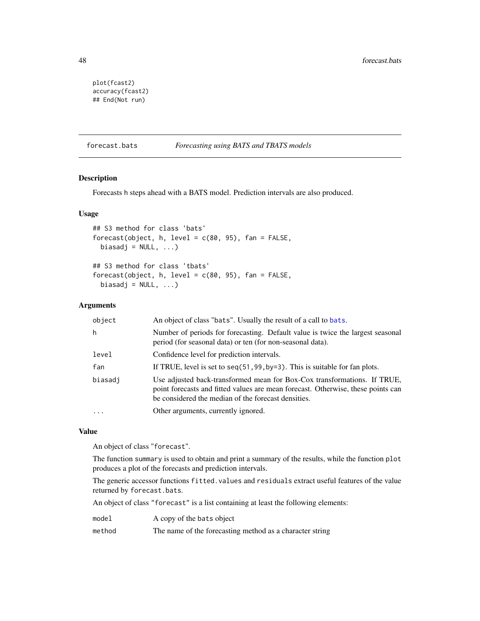```
plot(fcast2)
accuracy(fcast2)
## End(Not run)
```
## <span id="page-47-0"></span>forecast.bats *Forecasting using BATS and TBATS models*

#### <span id="page-47-1"></span>Description

Forecasts h steps ahead with a BATS model. Prediction intervals are also produced.

## Usage

```
## S3 method for class 'bats'
forecast(object, h, level = c(80, 95), fan = FALSE,
 biasadj = NULL, ...)## S3 method for class 'tbats'
forecast(object, h, level = c(80, 95), fan = FALSE,
```

```
biasadj = NULL, ...)
```
# Arguments

| object  | An object of class "bats". Usually the result of a call to bats.                                                                                                                                                    |
|---------|---------------------------------------------------------------------------------------------------------------------------------------------------------------------------------------------------------------------|
| h       | Number of periods for forecasting. Default value is twice the largest seasonal<br>period (for seasonal data) or ten (for non-seasonal data).                                                                        |
| level   | Confidence level for prediction intervals.                                                                                                                                                                          |
| fan     | If TRUE, level is set to seq(51, 99, by=3). This is suitable for fan plots.                                                                                                                                         |
| biasadj | Use adjusted back-transformed mean for Box-Cox transformations. If TRUE,<br>point forecasts and fitted values are mean forecast. Otherwise, these points can<br>be considered the median of the forecast densities. |
|         | Other arguments, currently ignored.                                                                                                                                                                                 |

### Value

An object of class "forecast".

The function summary is used to obtain and print a summary of the results, while the function plot produces a plot of the forecasts and prediction intervals.

The generic accessor functions fitted.values and residuals extract useful features of the value returned by forecast.bats.

An object of class "forecast" is a list containing at least the following elements:

|  |  | A copy of the bats object |
|--|--|---------------------------|

method The name of the forecasting method as a character string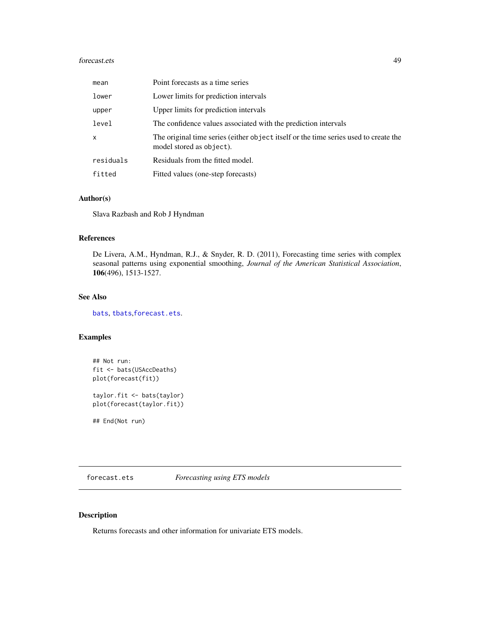#### forecast.ets 49

| mean      | Point forecasts as a time series                                                                                 |
|-----------|------------------------------------------------------------------------------------------------------------------|
| lower     | Lower limits for prediction intervals                                                                            |
| upper     | Upper limits for prediction intervals                                                                            |
| level     | The confidence values associated with the prediction intervals                                                   |
| x         | The original time series (either object itself or the time series used to create the<br>model stored as object). |
| residuals | Residuals from the fitted model.                                                                                 |
| fitted    | Fitted values (one-step forecasts)                                                                               |

# Author(s)

Slava Razbash and Rob J Hyndman

## References

De Livera, A.M., Hyndman, R.J., & Snyder, R. D. (2011), Forecasting time series with complex seasonal patterns using exponential smoothing, *Journal of the American Statistical Association*, 106(496), 1513-1527.

# See Also

[bats](#page-23-0), [tbats](#page-117-0),[forecast.ets](#page-48-0).

# Examples

```
## Not run:
fit <- bats(USAccDeaths)
plot(forecast(fit))
```
taylor.fit <- bats(taylor) plot(forecast(taylor.fit))

## End(Not run)

<span id="page-48-0"></span>forecast.ets *Forecasting using ETS models*

## Description

Returns forecasts and other information for univariate ETS models.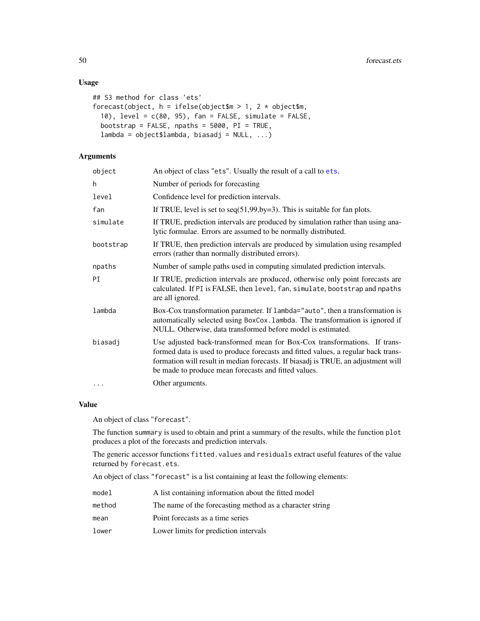# Usage

```
## S3 method for class 'ets'
forecast(object, h = ifelse(object$m > 1, 2 * object$m,10), level = c(80, 95), fan = FALSE, simulate = FALSE,
 bootstrap = FALSE, npaths = 5000, PI = TRUE,
 lambda = object$lambda, biasadj = NULL, ...)
```
# Arguments

| object    | An object of class "ets". Usually the result of a call to ets.                                                                                                                                                                                                                                              |
|-----------|-------------------------------------------------------------------------------------------------------------------------------------------------------------------------------------------------------------------------------------------------------------------------------------------------------------|
| h         | Number of periods for forecasting                                                                                                                                                                                                                                                                           |
| level     | Confidence level for prediction intervals.                                                                                                                                                                                                                                                                  |
| fan       | If TRUE, level is set to $seq(51, 99, by=3)$ . This is suitable for fan plots.                                                                                                                                                                                                                              |
| simulate  | If TRUE, prediction intervals are produced by simulation rather than using ana-<br>lytic formulae. Errors are assumed to be normally distributed.                                                                                                                                                           |
| bootstrap | If TRUE, then prediction intervals are produced by simulation using resampled<br>errors (rather than normally distributed errors).                                                                                                                                                                          |
| npaths    | Number of sample paths used in computing simulated prediction intervals.                                                                                                                                                                                                                                    |
| ΡI        | If TRUE, prediction intervals are produced, otherwise only point forecasts are<br>calculated. If PI is FALSE, then level, fan, simulate, bootstrap and npaths<br>are all ignored.                                                                                                                           |
| lambda    | Box-Cox transformation parameter. If lambda="auto", then a transformation is<br>automatically selected using BoxCox. lambda. The transformation is ignored if<br>NULL. Otherwise, data transformed before model is estimated.                                                                               |
| biasadj   | Use adjusted back-transformed mean for Box-Cox transformations. If trans-<br>formed data is used to produce forecasts and fitted values, a regular back trans-<br>formation will result in median forecasts. If biasadj is TRUE, an adjustment will<br>be made to produce mean forecasts and fitted values. |
| $\cdots$  | Other arguments.                                                                                                                                                                                                                                                                                            |
|           |                                                                                                                                                                                                                                                                                                             |

## Value

An object of class "forecast".

The function summary is used to obtain and print a summary of the results, while the function plot produces a plot of the forecasts and prediction intervals.

The generic accessor functions fitted.values and residuals extract useful features of the value returned by forecast.ets.

An object of class "forecast" is a list containing at least the following elements:

| model  | A list containing information about the fitted model     |
|--------|----------------------------------------------------------|
| method | The name of the forecasting method as a character string |
| mean   | Point forecasts as a time series                         |
| lower  | Lower limits for prediction intervals                    |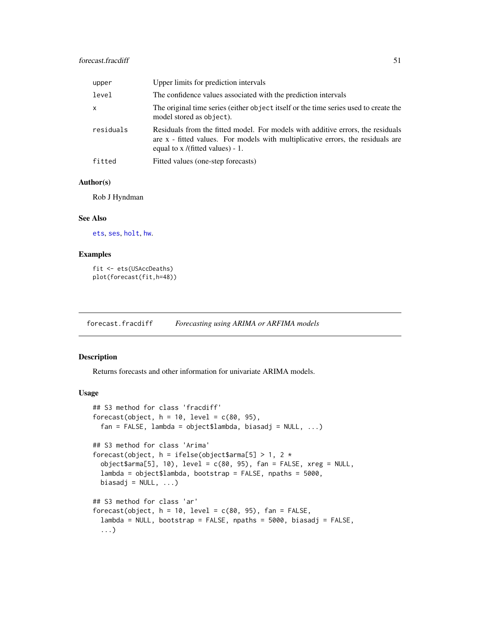| upper        | Upper limits for prediction intervals                                                                                                                                                                    |
|--------------|----------------------------------------------------------------------------------------------------------------------------------------------------------------------------------------------------------|
| level        | The confidence values associated with the prediction intervals                                                                                                                                           |
| $\mathsf{x}$ | The original time series (either object itself or the time series used to create the<br>model stored as object).                                                                                         |
| residuals    | Residuals from the fitted model. For models with additive errors, the residuals<br>are x - fitted values. For models with multiplicative errors, the residuals are<br>equal to $x$ /(fitted values) - 1. |
| fitted       | Fitted values (one-step forecasts)                                                                                                                                                                       |

#### Author(s)

Rob J Hyndman

# See Also

[ets](#page-38-0), [ses](#page-106-0), [holt](#page-106-1), [hw](#page-106-1).

# Examples

```
fit <- ets(USAccDeaths)
plot(forecast(fit,h=48))
```
<span id="page-50-1"></span>forecast.fracdiff *Forecasting using ARIMA or ARFIMA models*

## <span id="page-50-0"></span>Description

Returns forecasts and other information for univariate ARIMA models.

```
## S3 method for class 'fracdiff'
forecast(object, h = 10, level = c(80, 95),
 fan = FALSE, lambda = object$lambda, biasadj = NULL, ...)
## S3 method for class 'Arima'
forecast(object, h = ifelse(object$arma[5] > 1, 2 *object$arma[5], 10), level = c(80, 95), fan = FALSE, xreg = NULL,lambda = object$lambda, bootstrap = FALSE, npaths = 5000,
 biasadj = NULL, ...)## S3 method for class 'ar'
forecast(object, h = 10, level = c(80, 95), fan = FALSE,
 lambda = NULL, bootstrap = FALSE, npaths = 5000, biasadj = FALSE,
  ...)
```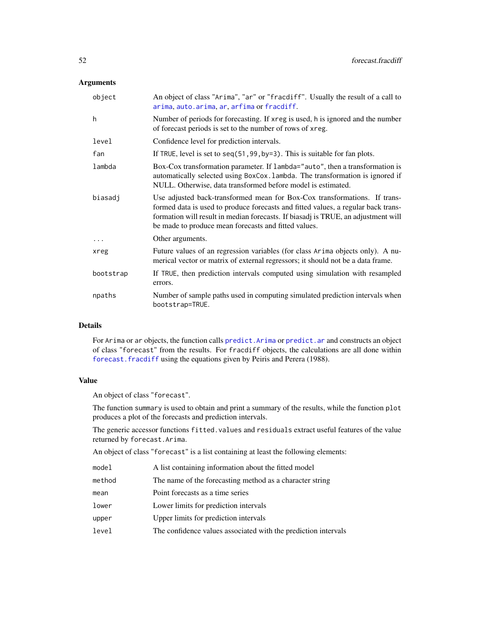# Arguments

| object    | An object of class "Arima", "ar" or "fracdiff". Usually the result of a call to<br>arima, auto.arima, ar, arfima or fracdiff.                                                                                                                                                                               |
|-----------|-------------------------------------------------------------------------------------------------------------------------------------------------------------------------------------------------------------------------------------------------------------------------------------------------------------|
| h         | Number of periods for forecasting. If xreg is used, h is ignored and the number<br>of forecast periods is set to the number of rows of xreg.                                                                                                                                                                |
| level     | Confidence level for prediction intervals.                                                                                                                                                                                                                                                                  |
| fan       | If TRUE, level is set to $seq(51, 99, by=3)$ . This is suitable for fan plots.                                                                                                                                                                                                                              |
| lambda    | Box-Cox transformation parameter. If $l$ ambda="auto", then a transformation is<br>automatically selected using BoxCox. Lambda. The transformation is ignored if<br>NULL. Otherwise, data transformed before model is estimated.                                                                            |
| biasadj   | Use adjusted back-transformed mean for Box-Cox transformations. If trans-<br>formed data is used to produce forecasts and fitted values, a regular back trans-<br>formation will result in median forecasts. If biasadj is TRUE, an adjustment will<br>be made to produce mean forecasts and fitted values. |
| $\cdots$  | Other arguments.                                                                                                                                                                                                                                                                                            |
| xreg      | Future values of an regression variables (for class Arima objects only). A nu-<br>merical vector or matrix of external regressors; it should not be a data frame.                                                                                                                                           |
| bootstrap | If TRUE, then prediction intervals computed using simulation with resampled<br>errors.                                                                                                                                                                                                                      |
| npaths    | Number of sample paths used in computing simulated prediction intervals when<br>bootstrap=TRUE.                                                                                                                                                                                                             |

## Details

For Arima or ar objects, the function calls [predict.Arima](#page-0-0) or [predict.ar](#page-0-0) and constructs an object of class "forecast" from the results. For fracdiff objects, the calculations are all done within [forecast.fracdiff](#page-50-1) using the equations given by Peiris and Perera (1988).

# Value

An object of class "forecast".

The function summary is used to obtain and print a summary of the results, while the function plot produces a plot of the forecasts and prediction intervals.

The generic accessor functions fitted.values and residuals extract useful features of the value returned by forecast.Arima.

An object of class "forecast" is a list containing at least the following elements:

| model  | A list containing information about the fitted model           |
|--------|----------------------------------------------------------------|
| method | The name of the forecasting method as a character string       |
| mean   | Point forecasts as a time series                               |
| lower  | Lower limits for prediction intervals                          |
| upper  | Upper limits for prediction intervals                          |
| level  | The confidence values associated with the prediction intervals |
|        |                                                                |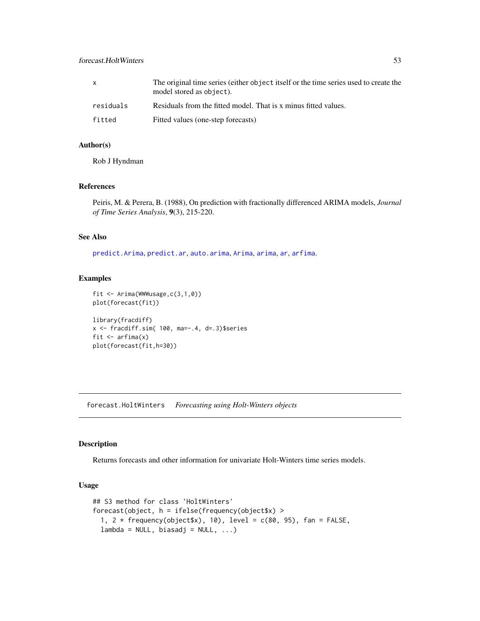|           | The original time series (either object itself or the time series used to create the<br>model stored as object). |
|-----------|------------------------------------------------------------------------------------------------------------------|
| residuals | Residuals from the fitted model. That is x minus fitted values.                                                  |

fitted Fitted values (one-step forecasts)

## Author(s)

Rob J Hyndman

## References

Peiris, M. & Perera, B. (1988), On prediction with fractionally differenced ARIMA models, *Journal of Time Series Analysis*, 9(3), 215-220.

# See Also

[predict.Arima](#page-0-0), [predict.ar](#page-0-0), [auto.arima](#page-12-0), [Arima](#page-9-0), [arima](#page-0-0), [ar](#page-0-0), [arfima](#page-7-0).

#### Examples

```
fit <- Arima(WWWusage,c(3,1,0))
plot(forecast(fit))
library(fracdiff)
```

```
x <- fracdiff.sim( 100, ma=-.4, d=.3)$series
fit \leftarrow arfima(x)plot(forecast(fit,h=30))
```
<span id="page-52-0"></span>forecast.HoltWinters *Forecasting using Holt-Winters objects*

# Description

Returns forecasts and other information for univariate Holt-Winters time series models.

```
## S3 method for class 'HoltWinters'
forecast(object, h = ifelse(frequency(object$x) >
  1, 2 * frequency(object $x), 10), level = c(80, 95), fan = FALSE,
 lambda = NULL, biasadj = NULL, ...)
```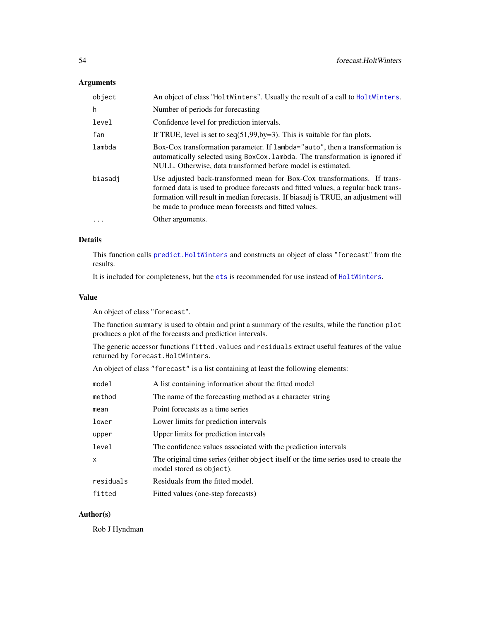# Arguments

| object  | An object of class "HoltWinters". Usually the result of a call to HoltWinters.                                                                                                                                                                                                                              |
|---------|-------------------------------------------------------------------------------------------------------------------------------------------------------------------------------------------------------------------------------------------------------------------------------------------------------------|
| h       | Number of periods for forecasting                                                                                                                                                                                                                                                                           |
| level   | Confidence level for prediction intervals.                                                                                                                                                                                                                                                                  |
| fan     | If TRUE, level is set to $seq(51, 99, by=3)$ . This is suitable for fan plots.                                                                                                                                                                                                                              |
| lambda  | Box-Cox transformation parameter. If lambda="auto", then a transformation is<br>automatically selected using BoxCox. Lambda. The transformation is ignored if<br>NULL. Otherwise, data transformed before model is estimated.                                                                               |
| biasadi | Use adjusted back-transformed mean for Box-Cox transformations. If trans-<br>formed data is used to produce forecasts and fitted values, a regular back trans-<br>formation will result in median forecasts. If biasadj is TRUE, an adjustment will<br>be made to produce mean forecasts and fitted values. |
| $\cdot$ | Other arguments.                                                                                                                                                                                                                                                                                            |

# Details

This function calls [predict.HoltWinters](#page-0-0) and constructs an object of class "forecast" from the results.

It is included for completeness, but the [ets](#page-38-0) is recommended for use instead of [HoltWinters](#page-0-0).

# Value

An object of class "forecast".

The function summary is used to obtain and print a summary of the results, while the function plot produces a plot of the forecasts and prediction intervals.

The generic accessor functions fitted.values and residuals extract useful features of the value returned by forecast.HoltWinters.

An object of class "forecast" is a list containing at least the following elements:

| model     | A list containing information about the fitted model                                                             |
|-----------|------------------------------------------------------------------------------------------------------------------|
| method    | The name of the forecasting method as a character string                                                         |
| mean      | Point forecasts as a time series                                                                                 |
| lower     | Lower limits for prediction intervals                                                                            |
| upper     | Upper limits for prediction intervals                                                                            |
| level     | The confidence values associated with the prediction intervals                                                   |
| x         | The original time series (either object itself or the time series used to create the<br>model stored as object). |
| residuals | Residuals from the fitted model.                                                                                 |
| fitted    | Fitted values (one-step forecasts)                                                                               |
|           |                                                                                                                  |

# Author(s)

Rob J Hyndman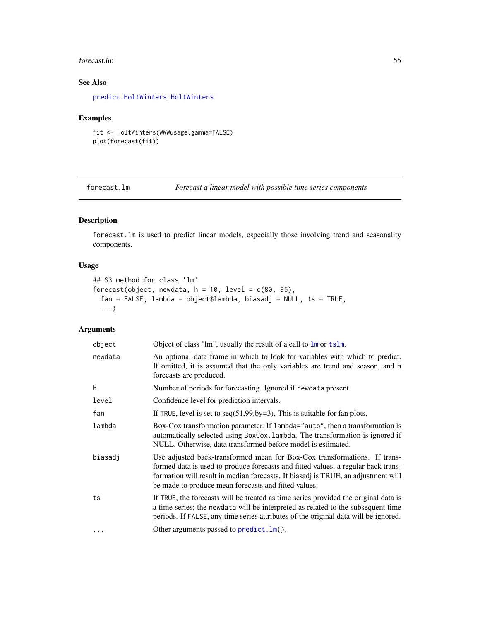#### forecast.lm 55

# See Also

[predict.HoltWinters](#page-0-0), [HoltWinters](#page-0-0).

# Examples

```
fit <- HoltWinters(WWWusage,gamma=FALSE)
plot(forecast(fit))
```
<span id="page-54-0"></span>forecast.lm *Forecast a linear model with possible time series components*

# Description

forecast.lm is used to predict linear models, especially those involving trend and seasonality components.

# Usage

```
## S3 method for class 'lm'
forecast(object, newdata, h = 10, level = c(80, 95),
 fan = FALSE, lambda = object$lambda, biasadj = NULL, ts = TRUE,
  ...)
```
# Arguments

| object  | Object of class "lm", usually the result of a call to $lm$ or tslm.                                                                                                                                                                                                                                         |
|---------|-------------------------------------------------------------------------------------------------------------------------------------------------------------------------------------------------------------------------------------------------------------------------------------------------------------|
| newdata | An optional data frame in which to look for variables with which to predict.<br>If omitted, it is assumed that the only variables are trend and season, and h<br>forecasts are produced.                                                                                                                    |
| h       | Number of periods for forecasting. Ignored if newdata present.                                                                                                                                                                                                                                              |
| level   | Confidence level for prediction intervals.                                                                                                                                                                                                                                                                  |
| fan     | If TRUE, level is set to $seq(51, 99, by=3)$ . This is suitable for fan plots.                                                                                                                                                                                                                              |
| lambda  | Box-Cox transformation parameter. If lambda="auto", then a transformation is<br>automatically selected using BoxCox. Lambda. The transformation is ignored if<br>NULL. Otherwise, data transformed before model is estimated.                                                                               |
| biasadj | Use adjusted back-transformed mean for Box-Cox transformations. If trans-<br>formed data is used to produce forecasts and fitted values, a regular back trans-<br>formation will result in median forecasts. If biasadj is TRUE, an adjustment will<br>be made to produce mean forecasts and fitted values. |
| ts      | If TRUE, the forecasts will be treated as time series provided the original data is<br>a time series; the newdata will be interpreted as related to the subsequent time<br>periods. If FALSE, any time series attributes of the original data will be ignored.                                              |
| .       | Other arguments passed to $predict.lm()$ .                                                                                                                                                                                                                                                                  |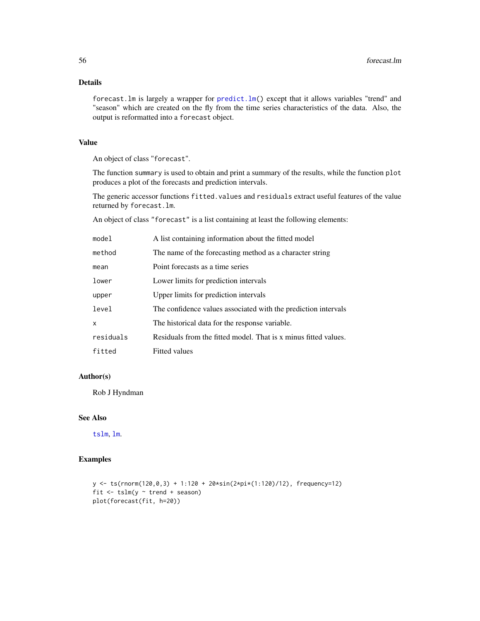# Details

forecast.lm is largely a wrapper for [predict.lm\(](#page-0-0)) except that it allows variables "trend" and "season" which are created on the fly from the time series characteristics of the data. Also, the output is reformatted into a forecast object.

# Value

An object of class "forecast".

The function summary is used to obtain and print a summary of the results, while the function plot produces a plot of the forecasts and prediction intervals.

The generic accessor functions fitted.values and residuals extract useful features of the value returned by forecast.lm.

An object of class "forecast" is a list containing at least the following elements:

| mode1     | A list containing information about the fitted model            |
|-----------|-----------------------------------------------------------------|
| method    | The name of the forecasting method as a character string        |
| mean      | Point forecasts as a time series                                |
| lower     | Lower limits for prediction intervals                           |
| upper     | Upper limits for prediction intervals                           |
| level     | The confidence values associated with the prediction intervals  |
| X         | The historical data for the response variable.                  |
| residuals | Residuals from the fitted model. That is x minus fitted values. |
| fitted    | <b>Fitted values</b>                                            |

#### Author(s)

Rob J Hyndman

## See Also

[tslm](#page-123-0), [lm](#page-0-0).

## Examples

```
y \leftarrow ts(rnorm(120, 0, 3) + 1:120 + 20*sin(2*pi*(1:120)/12), frequency=12)fit \le tslm(y \sim trend + season)
plot(forecast(fit, h=20))
```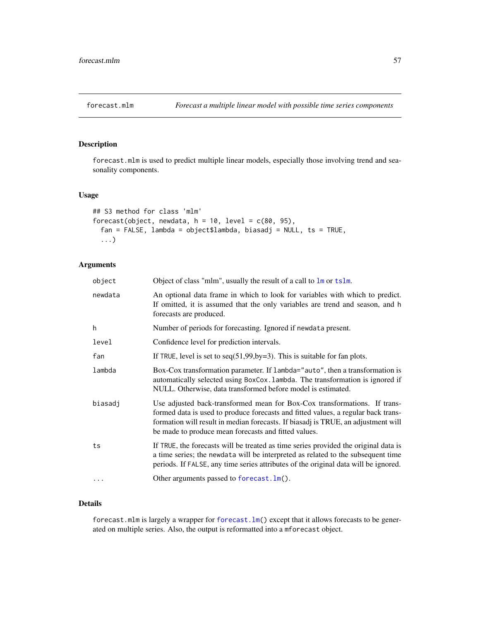<span id="page-56-0"></span>

# Description

forecast.mlm is used to predict multiple linear models, especially those involving trend and seasonality components.

# Usage

```
## S3 method for class 'mlm'
forecast(object, newdata, h = 10, level = c(80, 95),
 fan = FALSE, lambda = object$lambda, biasadj = NULL, ts = TRUE,
  ...)
```
# Arguments

| object   | Object of class "mlm", usually the result of a call to $\text{Im}$ or tslm.                                                                                                                                                                                                                                 |
|----------|-------------------------------------------------------------------------------------------------------------------------------------------------------------------------------------------------------------------------------------------------------------------------------------------------------------|
| newdata  | An optional data frame in which to look for variables with which to predict.<br>If omitted, it is assumed that the only variables are trend and season, and h<br>forecasts are produced.                                                                                                                    |
| h        | Number of periods for forecasting. Ignored if newdata present.                                                                                                                                                                                                                                              |
| level    | Confidence level for prediction intervals.                                                                                                                                                                                                                                                                  |
| fan      | If TRUE, level is set to $seq(51, 99, by=3)$ . This is suitable for fan plots.                                                                                                                                                                                                                              |
| lambda   | Box-Cox transformation parameter. If $l$ ambda="auto", then a transformation is<br>automatically selected using BoxCox. lambda. The transformation is ignored if<br>NULL. Otherwise, data transformed before model is estimated.                                                                            |
| biasadi  | Use adjusted back-transformed mean for Box-Cox transformations. If trans-<br>formed data is used to produce forecasts and fitted values, a regular back trans-<br>formation will result in median forecasts. If biasadj is TRUE, an adjustment will<br>be made to produce mean forecasts and fitted values. |
| ts       | If TRUE, the forecasts will be treated as time series provided the original data is<br>a time series; the newdata will be interpreted as related to the subsequent time<br>periods. If FALSE, any time series attributes of the original data will be ignored.                                              |
| $\cdots$ | Other arguments passed to forecast. $lm()$ .                                                                                                                                                                                                                                                                |

# Details

forecast.mlm is largely a wrapper for [forecast.lm\(](#page-54-0)) except that it allows forecasts to be generated on multiple series. Also, the output is reformatted into a mforecast object.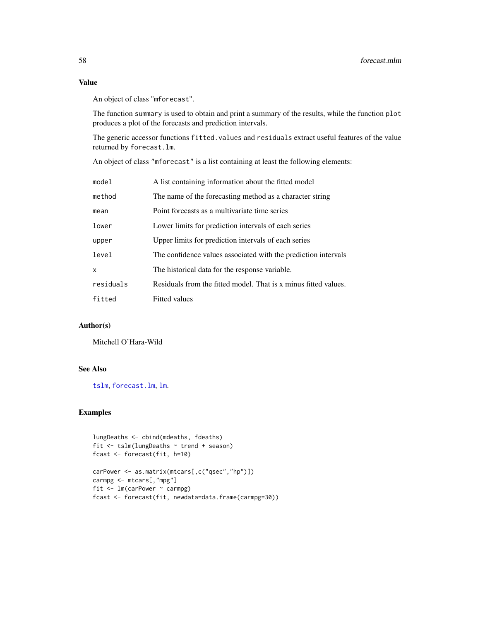# Value

An object of class "mforecast".

The function summary is used to obtain and print a summary of the results, while the function plot produces a plot of the forecasts and prediction intervals.

The generic accessor functions fitted.values and residuals extract useful features of the value returned by forecast.lm.

An object of class "mforecast" is a list containing at least the following elements:

| model     | A list containing information about the fitted model            |
|-----------|-----------------------------------------------------------------|
| method    | The name of the forecasting method as a character string        |
| mean      | Point forecasts as a multivariate time series                   |
| lower     | Lower limits for prediction intervals of each series            |
| upper     | Upper limits for prediction intervals of each series            |
| level     | The confidence values associated with the prediction intervals  |
| x         | The historical data for the response variable.                  |
| residuals | Residuals from the fitted model. That is x minus fitted values. |
| fitted    | <b>Fitted values</b>                                            |

# Author(s)

Mitchell O'Hara-Wild

# See Also

[tslm](#page-123-0), [forecast.lm](#page-54-0), [lm](#page-0-0).

# Examples

```
lungDeaths <- cbind(mdeaths, fdeaths)
fit <- tslm(lungDeaths ~ trend + season)
fcast <- forecast(fit, h=10)
carPower <- as.matrix(mtcars[,c("qsec","hp")])
carmpg <- mtcars[,"mpg"]
fit <- lm(carPower ~ carmpg)
fcast <- forecast(fit, newdata=data.frame(carmpg=30))
```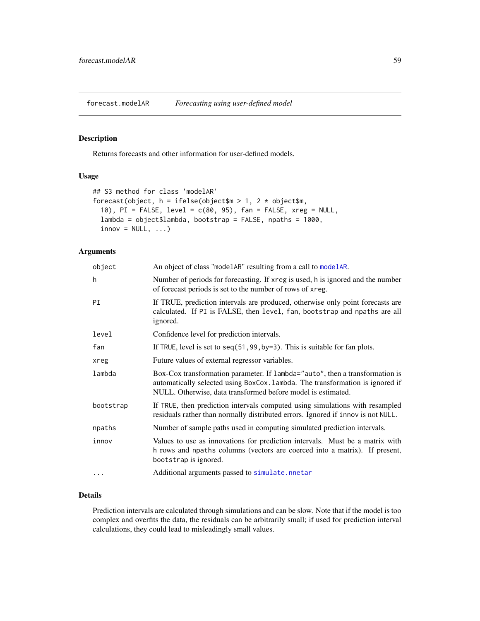forecast.modelAR *Forecasting using user-defined model*

## Description

Returns forecasts and other information for user-defined models.

# Usage

```
## S3 method for class 'modelAR'
forecast(object, h = ifelse(object$m > 1, 2 * object$m,10), PI = FALSE, level = c(80, 95), fan = FALSE, xreg = NULL,
 lambda = object$lambda, bootstrap = FALSE, npaths = 1000,
  innov = NULL, ...)
```
# Arguments

| object    | An object of class "modelark" resulting from a call to modelar.                                                                                                                                                               |
|-----------|-------------------------------------------------------------------------------------------------------------------------------------------------------------------------------------------------------------------------------|
| h         | Number of periods for forecasting. If xreg is used, h is ignored and the number<br>of forecast periods is set to the number of rows of xreg.                                                                                  |
| PI        | If TRUE, prediction intervals are produced, otherwise only point forecasts are<br>calculated. If PI is FALSE, then level, fan, bootstrap and npaths are all<br>ignored.                                                       |
| level     | Confidence level for prediction intervals.                                                                                                                                                                                    |
| fan       | If TRUE, level is set to $seq(51, 99, by=3)$ . This is suitable for fan plots.                                                                                                                                                |
| xreg      | Future values of external regressor variables.                                                                                                                                                                                |
| lambda    | Box-Cox transformation parameter. If lambda="auto", then a transformation is<br>automatically selected using BoxCox. lambda. The transformation is ignored if<br>NULL. Otherwise, data transformed before model is estimated. |
| bootstrap | If TRUE, then prediction intervals computed using simulations with resampled<br>residuals rather than normally distributed errors. Ignored if innov is not NULL.                                                              |
| npaths    | Number of sample paths used in computing simulated prediction intervals.                                                                                                                                                      |
| innov     | Values to use as innovations for prediction intervals. Must be a matrix with<br>h rows and npaths columns (vectors are coerced into a matrix). If present,<br>bootstrap is ignored.                                           |
| $\ddots$  | Additional arguments passed to simulate.nnetar                                                                                                                                                                                |

#### Details

Prediction intervals are calculated through simulations and can be slow. Note that if the model is too complex and overfits the data, the residuals can be arbitrarily small; if used for prediction interval calculations, they could lead to misleadingly small values.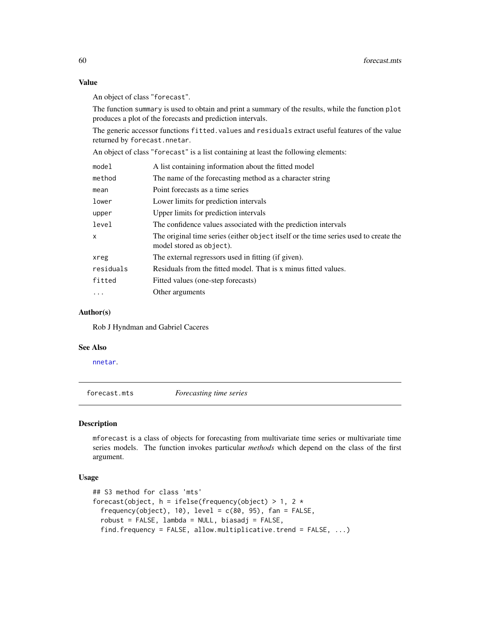#### Value

An object of class "forecast".

The function summary is used to obtain and print a summary of the results, while the function plot produces a plot of the forecasts and prediction intervals.

The generic accessor functions fitted.values and residuals extract useful features of the value returned by forecast.nnetar.

An object of class "forecast" is a list containing at least the following elements:

| model     | A list containing information about the fitted model                                                             |
|-----------|------------------------------------------------------------------------------------------------------------------|
| method    | The name of the forecasting method as a character string                                                         |
| mean      | Point forecasts as a time series                                                                                 |
| lower     | Lower limits for prediction intervals                                                                            |
| upper     | Upper limits for prediction intervals                                                                            |
| level     | The confidence values associated with the prediction intervals                                                   |
| x         | The original time series (either object itself or the time series used to create the<br>model stored as object). |
| xreg      | The external regressors used in fitting (if given).                                                              |
| residuals | Residuals from the fitted model. That is x minus fitted values.                                                  |
| fitted    | Fitted values (one-step forecasts)                                                                               |
| $\ddots$  | Other arguments                                                                                                  |
|           |                                                                                                                  |

#### Author(s)

Rob J Hyndman and Gabriel Caceres

#### See Also

[nnetar](#page-88-0).

forecast.mts *Forecasting time series*

## Description

mforecast is a class of objects for forecasting from multivariate time series or multivariate time series models. The function invokes particular *methods* which depend on the class of the first argument.

```
## S3 method for class 'mts'
forecast(object, h = ifelse(frequency(object) > 1, 2 *frequency(object), 10), level = c(80, 95), fan = FALSE,
  robust = FALSE, lambda = NULL, biasadj = FALSE,find.frequency = FALSE, allow.multiplicative.trend = FALSE, ...)
```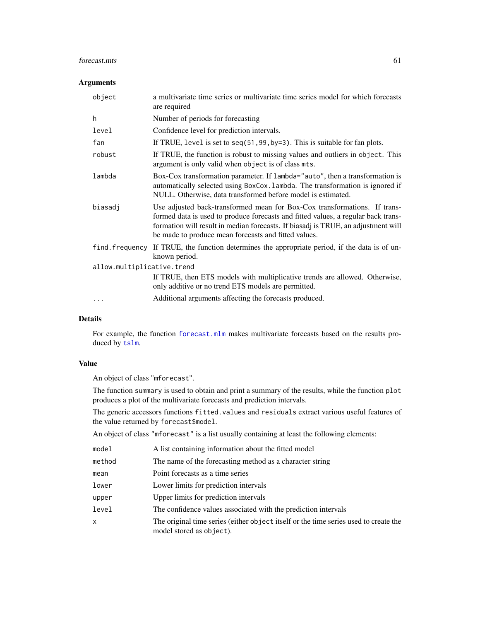#### forecast.mts 61

# Arguments

| object                     | a multivariate time series or multivariate time series model for which forecasts<br>are required                                                                                                                                                                                                            |  |
|----------------------------|-------------------------------------------------------------------------------------------------------------------------------------------------------------------------------------------------------------------------------------------------------------------------------------------------------------|--|
| h                          | Number of periods for forecasting                                                                                                                                                                                                                                                                           |  |
| level                      | Confidence level for prediction intervals.                                                                                                                                                                                                                                                                  |  |
| fan                        | If TRUE, level is set to $seq(51, 99, by=3)$ . This is suitable for fan plots.                                                                                                                                                                                                                              |  |
| robust                     | If TRUE, the function is robust to missing values and outliers in object. This<br>argument is only valid when object is of class mts.                                                                                                                                                                       |  |
| lambda                     | Box-Cox transformation parameter. If lambda="auto", then a transformation is<br>automatically selected using BoxCox. Lambda. The transformation is ignored if<br>NULL. Otherwise, data transformed before model is estimated.                                                                               |  |
| biasadj                    | Use adjusted back-transformed mean for Box-Cox transformations. If trans-<br>formed data is used to produce forecasts and fitted values, a regular back trans-<br>formation will result in median forecasts. If biasadj is TRUE, an adjustment will<br>be made to produce mean forecasts and fitted values. |  |
| find.frequency             | If TRUE, the function determines the appropriate period, if the data is of un-<br>known period.                                                                                                                                                                                                             |  |
| allow.multiplicative.trend |                                                                                                                                                                                                                                                                                                             |  |
|                            | If TRUE, then ETS models with multiplicative trends are allowed. Otherwise,<br>only additive or no trend ETS models are permitted.                                                                                                                                                                          |  |
|                            | Additional arguments affecting the forecasts produced.                                                                                                                                                                                                                                                      |  |

# Details

For example, the function [forecast.mlm](#page-56-0) makes multivariate forecasts based on the results produced by [tslm](#page-123-0).

## Value

An object of class "mforecast".

The function summary is used to obtain and print a summary of the results, while the function plot produces a plot of the multivariate forecasts and prediction intervals.

The generic accessors functions fitted.values and residuals extract various useful features of the value returned by forecast\$model.

An object of class "mforecast" is a list usually containing at least the following elements:

| model        | A list containing information about the fitted model                                                             |
|--------------|------------------------------------------------------------------------------------------------------------------|
| method       | The name of the forecasting method as a character string                                                         |
| mean         | Point forecasts as a time series                                                                                 |
| lower        | Lower limits for prediction intervals                                                                            |
| upper        | Upper limits for prediction intervals                                                                            |
| level        | The confidence values associated with the prediction intervals                                                   |
| $\mathsf{x}$ | The original time series (either object itself or the time series used to create the<br>model stored as object). |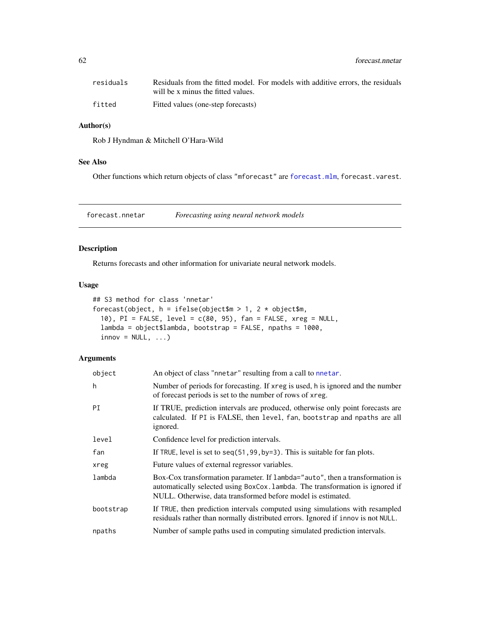62 forecast.nnetar

| residuals | Residuals from the fitted model. For models with additive errors, the residuals |
|-----------|---------------------------------------------------------------------------------|
|           | will be x minus the fitted values.                                              |
| fitted    | Fitted values (one-step forecasts)                                              |

# Author(s)

Rob J Hyndman & Mitchell O'Hara-Wild

# See Also

Other functions which return objects of class "mforecast" are [forecast.mlm](#page-56-0), forecast.varest.

<span id="page-61-0"></span>forecast.nnetar *Forecasting using neural network models*

# Description

Returns forecasts and other information for univariate neural network models.

# Usage

```
## S3 method for class 'nnetar'
forecast(object, h = ifelse(object\ = 1, 2 * object$m,
  10), PI = FALSE, level = c(80, 95), fan = FALSE, xreg = NULL,
  lambda = object$lambda, bootstrap = FALSE, npaths = 1000,
  innov = NULL, ...)
```
# Arguments

| object    | An object of class "nnetar" resulting from a call to nnetar.                                                                                                                                                                  |
|-----------|-------------------------------------------------------------------------------------------------------------------------------------------------------------------------------------------------------------------------------|
| h         | Number of periods for forecasting. If xreg is used, h is ignored and the number<br>of forecast periods is set to the number of rows of xreg.                                                                                  |
| PI        | If TRUE, prediction intervals are produced, otherwise only point forecasts are<br>calculated. If PI is FALSE, then level, fan, bootstrap and npaths are all<br>ignored.                                                       |
| level     | Confidence level for prediction intervals.                                                                                                                                                                                    |
| fan       | If TRUE, level is set to seq(51,99, by=3). This is suitable for fan plots.                                                                                                                                                    |
| xreg      | Future values of external regressor variables.                                                                                                                                                                                |
| lambda    | Box-Cox transformation parameter. If lambda="auto", then a transformation is<br>automatically selected using BoxCox. Lambda. The transformation is ignored if<br>NULL. Otherwise, data transformed before model is estimated. |
| bootstrap | If TRUE, then prediction intervals computed using simulations with resampled<br>residuals rather than normally distributed errors. Ignored if innov is not NULL.                                                              |
| npaths    | Number of sample paths used in computing simulated prediction intervals.                                                                                                                                                      |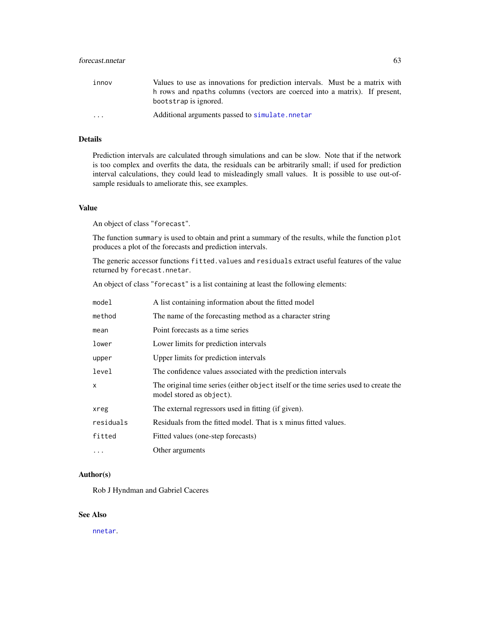| innov                   | Values to use as innovations for prediction intervals. Must be a matrix with |
|-------------------------|------------------------------------------------------------------------------|
|                         | h rows and noaths columns (vectors are coerced into a matrix). If present,   |
|                         | bootstrap is ignored.                                                        |
| $\cdot$ $\cdot$ $\cdot$ | Additional arguments passed to simulate.nnetar                               |

# Details

Prediction intervals are calculated through simulations and can be slow. Note that if the network is too complex and overfits the data, the residuals can be arbitrarily small; if used for prediction interval calculations, they could lead to misleadingly small values. It is possible to use out-ofsample residuals to ameliorate this, see examples.

# Value

An object of class "forecast".

The function summary is used to obtain and print a summary of the results, while the function plot produces a plot of the forecasts and prediction intervals.

The generic accessor functions fitted.values and residuals extract useful features of the value returned by forecast.nnetar.

An object of class "forecast" is a list containing at least the following elements:

| model     | A list containing information about the fitted model                                                             |
|-----------|------------------------------------------------------------------------------------------------------------------|
| method    | The name of the forecasting method as a character string                                                         |
| mean      | Point forecasts as a time series                                                                                 |
| lower     | Lower limits for prediction intervals                                                                            |
| upper     | Upper limits for prediction intervals                                                                            |
| level     | The confidence values associated with the prediction intervals                                                   |
| X         | The original time series (either object itself or the time series used to create the<br>model stored as object). |
| xreg      | The external regressors used in fitting (if given).                                                              |
| residuals | Residuals from the fitted model. That is x minus fitted values.                                                  |
| fitted    | Fitted values (one-step forecasts)                                                                               |
| $\cdots$  | Other arguments                                                                                                  |

# Author(s)

Rob J Hyndman and Gabriel Caceres

#### See Also

[nnetar](#page-88-0).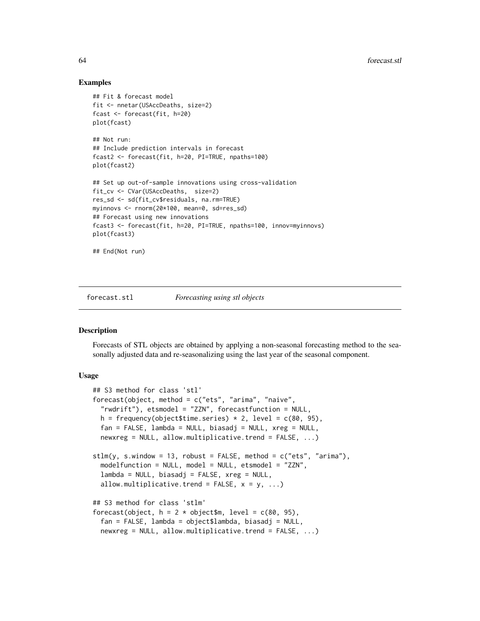## Examples

```
## Fit & forecast model
fit <- nnetar(USAccDeaths, size=2)
fcast <- forecast(fit, h=20)
plot(fcast)
## Not run:
## Include prediction intervals in forecast
fcast2 <- forecast(fit, h=20, PI=TRUE, npaths=100)
plot(fcast2)
## Set up out-of-sample innovations using cross-validation
fit_cv <- CVar(USAccDeaths, size=2)
res_sd <- sd(fit_cv$residuals, na.rm=TRUE)
myinnovs <- rnorm(20*100, mean=0, sd=res_sd)
## Forecast using new innovations
fcast3 <- forecast(fit, h=20, PI=TRUE, npaths=100, innov=myinnovs)
plot(fcast3)
## End(Not run)
```
#### forecast.stl *Forecasting using stl objects*

#### <span id="page-63-0"></span>Description

Forecasts of STL objects are obtained by applying a non-seasonal forecasting method to the seasonally adjusted data and re-seasonalizing using the last year of the seasonal component.

```
## S3 method for class 'stl'
forecast(object, method = c("ets", "arima", "naive",
  "rwdrift"), etsmodel = "ZZN", forecastfunction = NULL,
 h = frequency(object$time.series) * 2, level = c(80, 95),
  fan = FALSE, lambda = NULL, biasadj = NULL, xreg = NULL,
  newxreg = NULL, allow.multiplicative.trend = FALSE, ...)
stlm(y, s.window = 13, robust = FALSE, method = c("ets", "arima"),modelfunction = NULL, model = NULL, etsmoothel = "ZZN",lambda = NULL, biasadj = FALSE, xreg = NULL,
  allow.multiplicative.trend = FALSE, x = y, ...)
## S3 method for class 'stlm'
forecast(object, h = 2 * object), level = c(80, 95),
  fan = FALSE, lambda = object$lambda, biasadj = NULL,
 newxreg = NULL, allow.multiplicative.trend = FALSE, ...)
```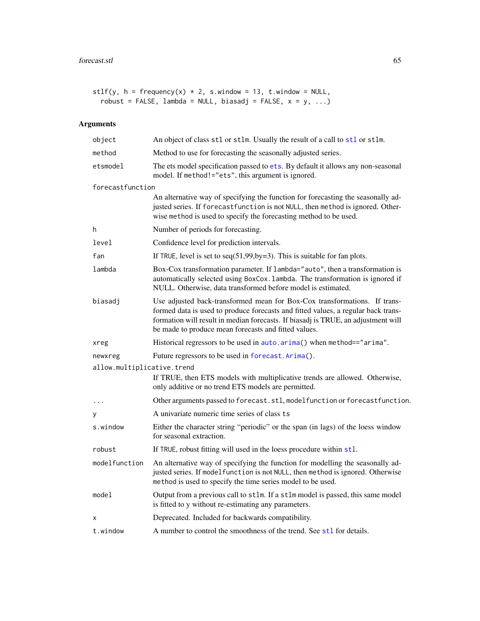```
stlf(y, h = frequency(x) * 2, s. window = 13, t. window = NULL,robust = FALSE, lambda = NULL, biasadj = FALSE, x = y, ...)
```
# Arguments

| object                     | An object of class stl or stlm. Usually the result of a call to stl or stlm.                                                                                                                                                                                                                                |
|----------------------------|-------------------------------------------------------------------------------------------------------------------------------------------------------------------------------------------------------------------------------------------------------------------------------------------------------------|
| method                     | Method to use for forecasting the seasonally adjusted series.                                                                                                                                                                                                                                               |
| etsmodel                   | The ets model specification passed to ets. By default it allows any non-seasonal<br>model. If method!="ets", this argument is ignored.                                                                                                                                                                      |
| forecastfunction           |                                                                                                                                                                                                                                                                                                             |
|                            | An alternative way of specifying the function for forecasting the seasonally ad-<br>justed series. If forecast function is not NULL, then method is ignored. Other-<br>wise method is used to specify the forecasting method to be used.                                                                    |
| h                          | Number of periods for forecasting.                                                                                                                                                                                                                                                                          |
| level                      | Confidence level for prediction intervals.                                                                                                                                                                                                                                                                  |
| fan                        | If TRUE, level is set to $seq(51, 99, by=3)$ . This is suitable for fan plots.                                                                                                                                                                                                                              |
| lambda                     | Box-Cox transformation parameter. If lambda="auto", then a transformation is<br>automatically selected using BoxCox. lambda. The transformation is ignored if<br>NULL. Otherwise, data transformed before model is estimated.                                                                               |
| biasadj                    | Use adjusted back-transformed mean for Box-Cox transformations. If trans-<br>formed data is used to produce forecasts and fitted values, a regular back trans-<br>formation will result in median forecasts. If biasadj is TRUE, an adjustment will<br>be made to produce mean forecasts and fitted values. |
| xreg                       | Historical regressors to be used in auto.arima() when method=="arima".                                                                                                                                                                                                                                      |
| newxreg                    | Future regressors to be used in forecast. Arima().                                                                                                                                                                                                                                                          |
| allow.multiplicative.trend |                                                                                                                                                                                                                                                                                                             |
|                            | If TRUE, then ETS models with multiplicative trends are allowed. Otherwise,<br>only additive or no trend ETS models are permitted.                                                                                                                                                                          |
| $\cdot$                    | Other arguments passed to forecast.stl, modelfunction or forecastfunction.                                                                                                                                                                                                                                  |
| У                          | A univariate numeric time series of class ts                                                                                                                                                                                                                                                                |
| s.window                   | Either the character string "periodic" or the span (in lags) of the loess window<br>for seasonal extraction.                                                                                                                                                                                                |
| robust                     | If TRUE, robust fitting will used in the loess procedure within stl.                                                                                                                                                                                                                                        |
| modelfunction              | An alternative way of specifying the function for modelling the seasonally ad-<br>justed series. If modelfunction is not NULL, then method is ignored. Otherwise<br>method is used to specify the time series model to be used.                                                                             |
| model                      | Output from a previous call to stlm. If a stlm model is passed, this same model<br>is fitted to y without re-estimating any parameters.                                                                                                                                                                     |
| х                          | Deprecated. Included for backwards compatibility.                                                                                                                                                                                                                                                           |
| t.window                   | A number to control the smoothness of the trend. See st1 for details.                                                                                                                                                                                                                                       |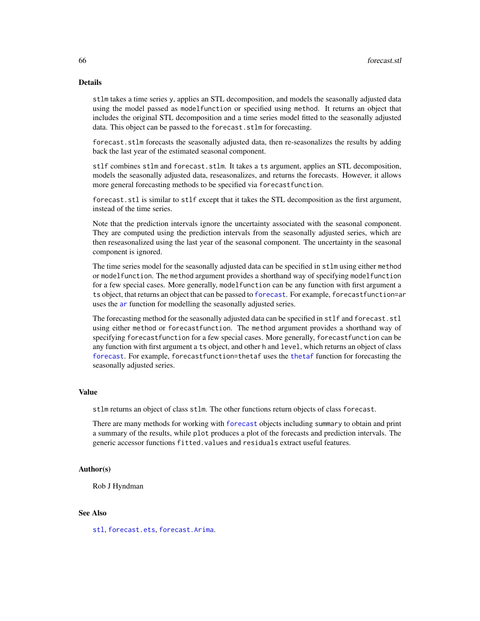## Details

stlm takes a time series y, applies an STL decomposition, and models the seasonally adjusted data using the model passed as modelfunction or specified using method. It returns an object that includes the original STL decomposition and a time series model fitted to the seasonally adjusted data. This object can be passed to the forecast.stlm for forecasting.

forecast.stlm forecasts the seasonally adjusted data, then re-seasonalizes the results by adding back the last year of the estimated seasonal component.

stlf combines stlm and forecast.stlm. It takes a ts argument, applies an STL decomposition, models the seasonally adjusted data, reseasonalizes, and returns the forecasts. However, it allows more general forecasting methods to be specified via forecastfunction.

forecast.stl is similar to stlf except that it takes the STL decomposition as the first argument, instead of the time series.

Note that the prediction intervals ignore the uncertainty associated with the seasonal component. They are computed using the prediction intervals from the seasonally adjusted series, which are then reseasonalized using the last year of the seasonal component. The uncertainty in the seasonal component is ignored.

The time series model for the seasonally adjusted data can be specified in stlm using either method or modelfunction. The method argument provides a shorthand way of specifying modelfunction for a few special cases. More generally, modelfunction can be any function with first argument a ts object, that returns an object that can be passed to [forecast](#page-43-1). For example, forecastfunction=ar uses the [ar](#page-0-0) function for modelling the seasonally adjusted series.

The forecasting method for the seasonally adjusted data can be specified in stlf and forecast.stl using either method or forecastfunction. The method argument provides a shorthand way of specifying forecastfunction for a few special cases. More generally, forecastfunction can be any function with first argument a ts object, and other h and level, which returns an object of class [forecast](#page-43-1). For example, forecastfunction=thetaf uses the [thetaf](#page-120-0) function for forecasting the seasonally adjusted series.

#### Value

stlm returns an object of class stlm. The other functions return objects of class forecast.

There are many methods for working with [forecast](#page-43-1) objects including summary to obtain and print a summary of the results, while plot produces a plot of the forecasts and prediction intervals. The generic accessor functions fitted.values and residuals extract useful features.

### Author(s)

Rob J Hyndman

#### See Also

[stl](#page-0-0), [forecast.ets](#page-48-0), [forecast.Arima](#page-50-0).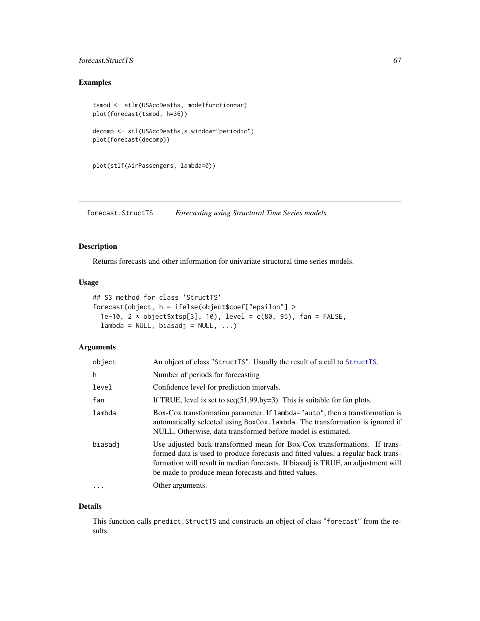# forecast.StructTS 67

# Examples

```
tsmod <- stlm(USAccDeaths, modelfunction=ar)
plot(forecast(tsmod, h=36))
decomp <- stl(USAccDeaths,s.window="periodic")
plot(forecast(decomp))
```

```
plot(stlf(AirPassengers, lambda=0))
```
<span id="page-66-0"></span>forecast.StructTS *Forecasting using Structural Time Series models*

# Description

Returns forecasts and other information for univariate structural time series models.

#### Usage

```
## S3 method for class 'StructTS'
forecast(object, h = ifelse(object$coef["epsilon"] >
 1e-10, 2 * object$xtsp[3], 10), level = c(80, 95), fan = FALSE,
 lambda = NULL, biasadj = NULL, ...
```
#### Arguments

| object  | An object of class "StructTS". Usually the result of a call to StructTS.                                                                                                                                                                                                                                    |
|---------|-------------------------------------------------------------------------------------------------------------------------------------------------------------------------------------------------------------------------------------------------------------------------------------------------------------|
| h       | Number of periods for forecasting                                                                                                                                                                                                                                                                           |
| level   | Confidence level for prediction intervals.                                                                                                                                                                                                                                                                  |
| fan     | If TRUE, level is set to $seq(51, 99, by=3)$ . This is suitable for fan plots.                                                                                                                                                                                                                              |
| lambda  | Box-Cox transformation parameter. If lambda="auto", then a transformation is<br>automatically selected using BoxCox. Lambda. The transformation is ignored if<br>NULL. Otherwise, data transformed before model is estimated.                                                                               |
| biasadj | Use adjusted back-transformed mean for Box-Cox transformations. If trans-<br>formed data is used to produce forecasts and fitted values, a regular back trans-<br>formation will result in median forecasts. If biasadj is TRUE, an adjustment will<br>be made to produce mean forecasts and fitted values. |
| .       | Other arguments.                                                                                                                                                                                                                                                                                            |

#### Details

This function calls predict.StructTS and constructs an object of class "forecast" from the results.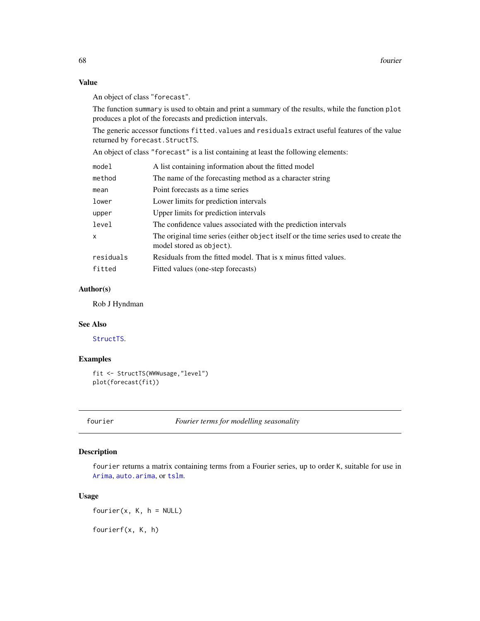# Value

An object of class "forecast".

The function summary is used to obtain and print a summary of the results, while the function plot produces a plot of the forecasts and prediction intervals.

The generic accessor functions fitted.values and residuals extract useful features of the value returned by forecast.StructTS.

An object of class "forecast" is a list containing at least the following elements:

| model     | A list containing information about the fitted model                                                             |
|-----------|------------------------------------------------------------------------------------------------------------------|
| method    | The name of the forecasting method as a character string                                                         |
| mean      | Point forecasts as a time series                                                                                 |
| lower     | Lower limits for prediction intervals                                                                            |
| upper     | Upper limits for prediction intervals                                                                            |
| level     | The confidence values associated with the prediction intervals                                                   |
| x         | The original time series (either object itself or the time series used to create the<br>model stored as object). |
| residuals | Residuals from the fitted model. That is x minus fitted values.                                                  |
| fitted    | Fitted values (one-step forecasts)                                                                               |
|           |                                                                                                                  |

# Author(s)

Rob J Hyndman

#### See Also

[StructTS](#page-0-0).

# Examples

```
fit <- StructTS(WWWusage,"level")
plot(forecast(fit))
```
fourier *Fourier terms for modelling seasonality*

## Description

fourier returns a matrix containing terms from a Fourier series, up to order K, suitable for use in [Arima](#page-9-0), [auto.arima](#page-12-0), or [tslm](#page-123-0).

## Usage

 $fourier(x, K, h = NULL)$ 

fourierf(x, K, h)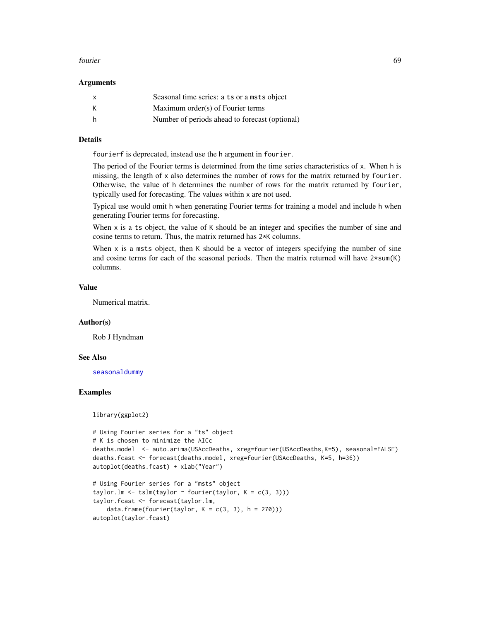#### fourier 69

#### **Arguments**

| $\mathsf{x}$ | Seasonal time series: a ts or a msts object    |
|--------------|------------------------------------------------|
| К            | Maximum order(s) of Fourier terms              |
| h            | Number of periods ahead to forecast (optional) |

## Details

fourierf is deprecated, instead use the h argument in fourier.

The period of the Fourier terms is determined from the time series characteristics of x. When h is missing, the length of x also determines the number of rows for the matrix returned by fourier. Otherwise, the value of h determines the number of rows for the matrix returned by fourier, typically used for forecasting. The values within x are not used.

Typical use would omit h when generating Fourier terms for training a model and include h when generating Fourier terms for forecasting.

When x is a ts object, the value of K should be an integer and specifies the number of sine and cosine terms to return. Thus, the matrix returned has 2\*K columns.

When  $x$  is a msts object, then  $K$  should be a vector of integers specifying the number of sine and cosine terms for each of the seasonal periods. Then the matrix returned will have  $2*sum(K)$ columns.

#### Value

Numerical matrix.

#### Author(s)

Rob J Hyndman

#### See Also

[seasonaldummy](#page-105-0)

# Examples

library(ggplot2)

```
# Using Fourier series for a "ts" object
# K is chosen to minimize the AICc
deaths.model <- auto.arima(USAccDeaths, xreg=fourier(USAccDeaths,K=5), seasonal=FALSE)
deaths.fcast <- forecast(deaths.model, xreg=fourier(USAccDeaths, K=5, h=36))
autoplot(deaths.fcast) + xlab("Year")
# Using Fourier series for a "msts" object
taylor.lm <- tslm(taylor \sim fourier(taylor, K = c(3, 3)))
taylor.fcast <- forecast(taylor.lm,
    data.frame(fourier(taylor, K = c(3, 3), h = 270)))
autoplot(taylor.fcast)
```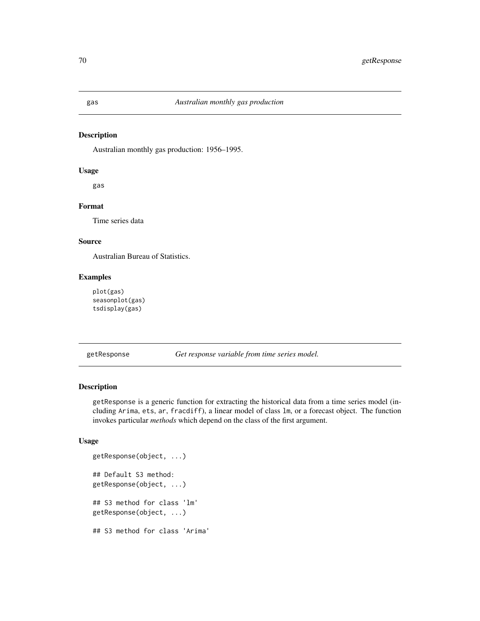# Description

Australian monthly gas production: 1956–1995.

#### Usage

gas

# Format

Time series data

#### Source

Australian Bureau of Statistics.

# Examples

plot(gas) seasonplot(gas) tsdisplay(gas)

getResponse *Get response variable from time series model.*

#### Description

getResponse is a generic function for extracting the historical data from a time series model (including Arima, ets, ar, fracdiff), a linear model of class lm, or a forecast object. The function invokes particular *methods* which depend on the class of the first argument.

```
getResponse(object, ...)
## Default S3 method:
getResponse(object, ...)
## S3 method for class 'lm'
getResponse(object, ...)
## S3 method for class 'Arima'
```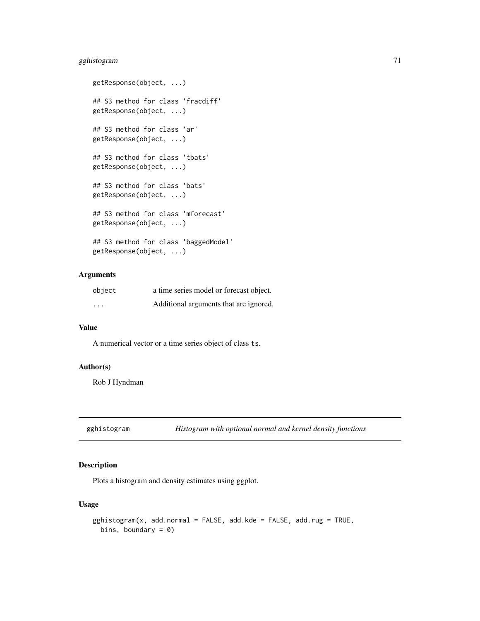# gghistogram 71

```
getResponse(object, ...)
## S3 method for class 'fracdiff'
getResponse(object, ...)
## S3 method for class 'ar'
getResponse(object, ...)
## S3 method for class 'tbats'
getResponse(object, ...)
## S3 method for class 'bats'
getResponse(object, ...)
## S3 method for class 'mforecast'
getResponse(object, ...)
## S3 method for class 'baggedModel'
getResponse(object, ...)
```
## Arguments

| object   | a time series model or forecast object. |
|----------|-----------------------------------------|
| $\cdots$ | Additional arguments that are ignored.  |

# Value

A numerical vector or a time series object of class ts.

# Author(s)

Rob J Hyndman

gghistogram *Histogram with optional normal and kernel density functions*

# **Description**

Plots a histogram and density estimates using ggplot.

```
gghistogram(x, add.normal = FALSE, add.kde = FALSE, add.rug = TRUE,
 bins, boundary = 0)
```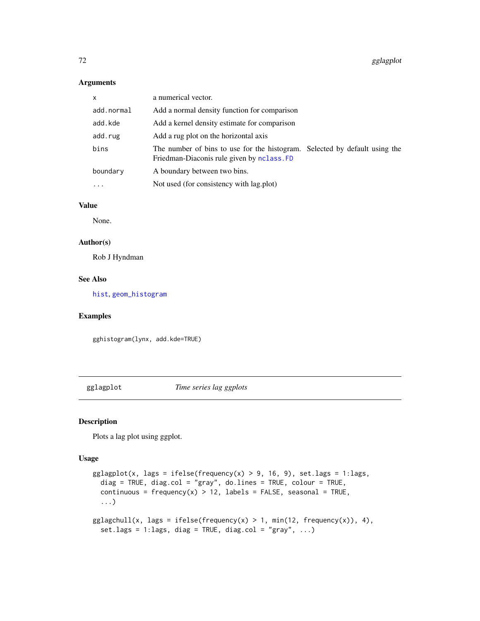# Arguments

| $\mathsf{x}$ | a numerical vector.                                                                                                      |  |
|--------------|--------------------------------------------------------------------------------------------------------------------------|--|
| add.normal   | Add a normal density function for comparison                                                                             |  |
| add.kde      | Add a kernel density estimate for comparison                                                                             |  |
| add.rug      | Add a rug plot on the horizontal axis                                                                                    |  |
| bins         | The number of bins to use for the histogram. Selected by default using the<br>Friedman-Diaconis rule given by nclass. FD |  |
| boundary     | A boundary between two bins.                                                                                             |  |
|              | Not used (for consistency with lag.plot)                                                                                 |  |

# Value

None.

# Author(s)

Rob J Hyndman

#### See Also

[hist](#page-0-0), [geom\\_histogram](#page-0-0)

## Examples

gghistogram(lynx, add.kde=TRUE)

gglagplot *Time series lag ggplots*

## Description

Plots a lag plot using ggplot.

```
gglagplot(x, lags = ifelse(frequency(x) > 9, 16, 9), set.lags = 1:lags,diag = TRUE, diag.col = "gray", do.lines = TRUE, colour = TRUE,
  continuous = frequency(x) > 12, labels = FALSE, seasonal = TRUE,
  ...)
gglagchull(x, lags = ifelse(frequency(x) > 1, min(12, frequency(x)), 4),set.lags = 1:lags, diag = TRUE, diag.col = "gray", \dots)
```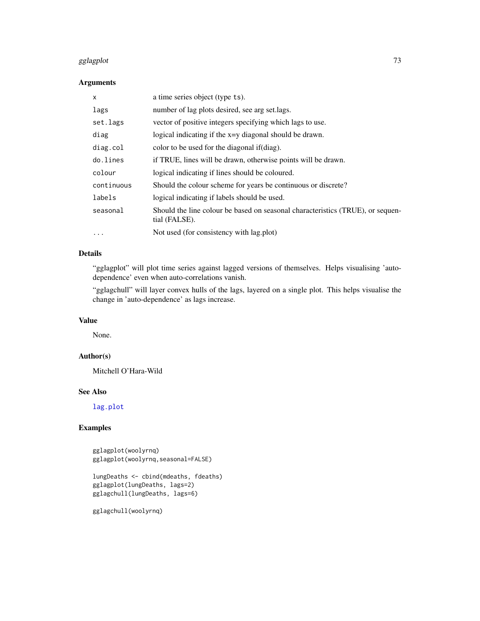#### gglagplot **73**

# Arguments

| X          | a time series object (type ts).                                                                 |
|------------|-------------------------------------------------------------------------------------------------|
| lags       | number of lag plots desired, see arg set.lags.                                                  |
| set.lags   | vector of positive integers specifying which lags to use.                                       |
| diag       | logical indicating if the x=y diagonal should be drawn.                                         |
| diag.col   | color to be used for the diagonal if (diag).                                                    |
| do.lines   | if TRUE, lines will be drawn, otherwise points will be drawn.                                   |
| colour     | logical indicating if lines should be coloured.                                                 |
| continuous | Should the colour scheme for years be continuous or discrete?                                   |
| labels     | logical indicating if labels should be used.                                                    |
| seasonal   | Should the line colour be based on seasonal characteristics (TRUE), or sequen-<br>tial (FALSE). |
| $\cdots$   | Not used (for consistency with lag.plot)                                                        |

# Details

"gglagplot" will plot time series against lagged versions of themselves. Helps visualising 'autodependence' even when auto-correlations vanish.

"gglagchull" will layer convex hulls of the lags, layered on a single plot. This helps visualise the change in 'auto-dependence' as lags increase.

# Value

None.

#### Author(s)

Mitchell O'Hara-Wild

# See Also

[lag.plot](#page-0-0)

# Examples

gglagplot(woolyrnq) gglagplot(woolyrnq,seasonal=FALSE)

```
lungDeaths <- cbind(mdeaths, fdeaths)
gglagplot(lungDeaths, lags=2)
gglagchull(lungDeaths, lags=6)
```
gglagchull(woolyrnq)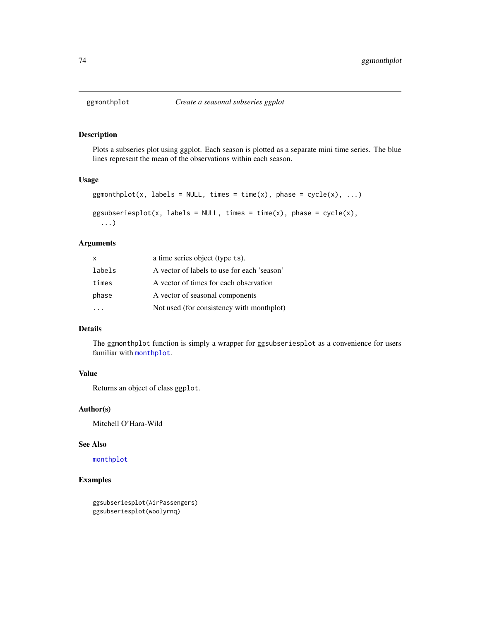Plots a subseries plot using ggplot. Each season is plotted as a separate mini time series. The blue lines represent the mean of the observations within each season.

#### Usage

```
ggmonthplot(x, labels = NULL, times = time(x), phase = cycle(x), ...)
ggsubseriesplot(x, labels = NULL, times = time(x), phase = cycle(x),
  ...)
```
#### Arguments

| X      | a time series object (type ts).             |
|--------|---------------------------------------------|
| labels | A vector of labels to use for each 'season' |
| times  | A vector of times for each observation      |
| phase  | A vector of seasonal components             |
|        | Not used (for consistency with monthplot)   |

# Details

The ggmonthplot function is simply a wrapper for ggsubseriesplot as a convenience for users familiar with [monthplot](#page-0-0).

# Value

Returns an object of class ggplot.

#### Author(s)

Mitchell O'Hara-Wild

#### See Also

[monthplot](#page-0-0)

# Examples

ggsubseriesplot(AirPassengers) ggsubseriesplot(woolyrnq)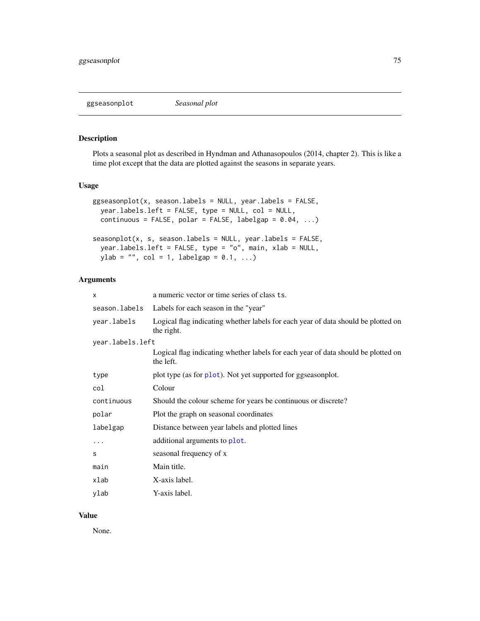Plots a seasonal plot as described in Hyndman and Athanasopoulos (2014, chapter 2). This is like a time plot except that the data are plotted against the seasons in separate years.

# Usage

```
ggseasonplot(x, season.labels = NULL, year.labels = FALSE,
 year.labels.left = FALSE, type = NULL, col = NULL,
 continuous = FALSE, polar = FALSE, labelgap = 0.04, ...)
seasonplot(x, s, season.labels = NULL, year.labels = FALSE,
 year.labels.left = FALSE, type = "o", main, xlab = NULL,
 ylab = "", col = 1, labelgap = 0.1, ...)
```
# Arguments

| x                | a numeric vector or time series of class ts.                                                    |
|------------------|-------------------------------------------------------------------------------------------------|
| season.labels    | Labels for each season in the "year"                                                            |
| year.labels      | Logical flag indicating whether labels for each year of data should be plotted on<br>the right. |
| year.labels.left |                                                                                                 |
|                  | Logical flag indicating whether labels for each year of data should be plotted on<br>the left.  |
| type             | plot type (as for plot). Not yet supported for ggseasonplot.                                    |
| col              | Colour                                                                                          |
| continuous       | Should the colour scheme for years be continuous or discrete?                                   |
| polar            | Plot the graph on seasonal coordinates                                                          |
| labelgap         | Distance between year labels and plotted lines                                                  |
| $\cdots$         | additional arguments to plot.                                                                   |
| S                | seasonal frequency of x                                                                         |
| main             | Main title.                                                                                     |
| xlab             | X-axis label.                                                                                   |
| ylab             | Y-axis label.                                                                                   |

# Value

None.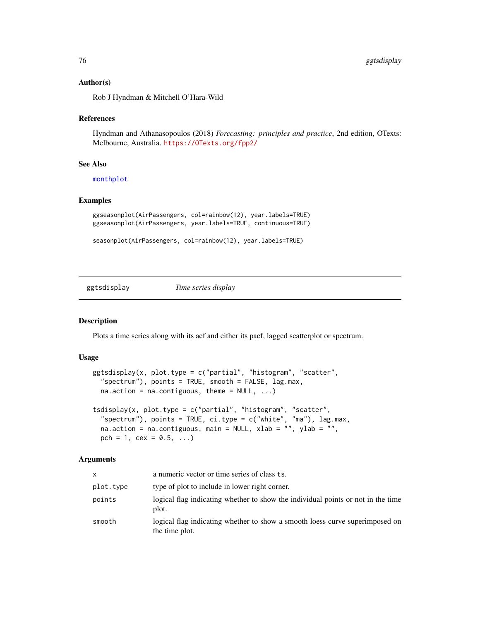#### Author(s)

Rob J Hyndman & Mitchell O'Hara-Wild

#### References

Hyndman and Athanasopoulos (2018) *Forecasting: principles and practice*, 2nd edition, OTexts: Melbourne, Australia. <https://OTexts.org/fpp2/>

# See Also

[monthplot](#page-0-0)

#### Examples

```
ggseasonplot(AirPassengers, col=rainbow(12), year.labels=TRUE)
ggseasonplot(AirPassengers, year.labels=TRUE, continuous=TRUE)
```

```
seasonplot(AirPassengers, col=rainbow(12), year.labels=TRUE)
```
ggtsdisplay *Time series display*

#### Description

Plots a time series along with its acf and either its pacf, lagged scatterplot or spectrum.

#### Usage

```
ggtsdisplay(x, plot.type = c("partial", "histogram", "scatter",
  "spectrum"), points = TRUE, smooth = FALSE, lag.max,
 na.action = na.contiguous, theme = NULL, ...)tsdisplay(x, plot.type = c("partial", "histogram", "scatter",
  "spectrum"), points = TRUE, ci.type = c("white", "ma"), lag.max,
```
na.action = na.contiguous, main = NULL, xlab =  $"$ , ylab =  $"$ ,

# pch = 1, cex =  $0.5, ...$ )

| <b>X</b>  | a numeric vector or time series of class ts.                                                   |
|-----------|------------------------------------------------------------------------------------------------|
| plot.type | type of plot to include in lower right corner.                                                 |
| points    | logical flag indicating whether to show the individual points or not in the time<br>plot.      |
| smooth    | logical flag indicating whether to show a smooth loess curve superimposed on<br>the time plot. |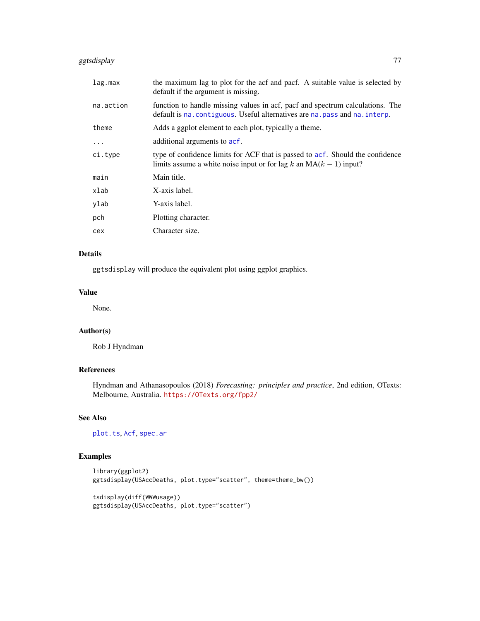# ggtsdisplay 77

| lag.max   | the maximum lag to plot for the acf and pacf. A suitable value is selected by<br>default if the argument is missing.                                         |
|-----------|--------------------------------------------------------------------------------------------------------------------------------------------------------------|
| na.action | function to handle missing values in acf, pacf and spectrum calculations. The<br>default is na. contiguous. Useful alternatives are na. pass and na. interp. |
| theme     | Adds a ggplot element to each plot, typically a theme.                                                                                                       |
| $\cdot$   | additional arguments to acf.                                                                                                                                 |
| ci.type   | type of confidence limits for ACF that is passed to acf. Should the confidence<br>limits assume a white noise input or for lag k an $MA(k - 1)$ input?       |
| main      | Main title.                                                                                                                                                  |
| xlab      | X-axis label.                                                                                                                                                |
| ylab      | Y-axis label.                                                                                                                                                |
| pch       | Plotting character.                                                                                                                                          |
| cex       | Character size.                                                                                                                                              |
|           |                                                                                                                                                              |

# Details

ggtsdisplay will produce the equivalent plot using ggplot graphics.

# Value

None.

#### Author(s)

Rob J Hyndman

# References

Hyndman and Athanasopoulos (2018) *Forecasting: principles and practice*, 2nd edition, OTexts: Melbourne, Australia. <https://OTexts.org/fpp2/>

# See Also

[plot.ts](#page-0-0), [Acf](#page-5-0), [spec.ar](#page-0-0)

# Examples

```
library(ggplot2)
ggtsdisplay(USAccDeaths, plot.type="scatter", theme=theme_bw())
tsdisplay(diff(WWWusage))
ggtsdisplay(USAccDeaths, plot.type="scatter")
```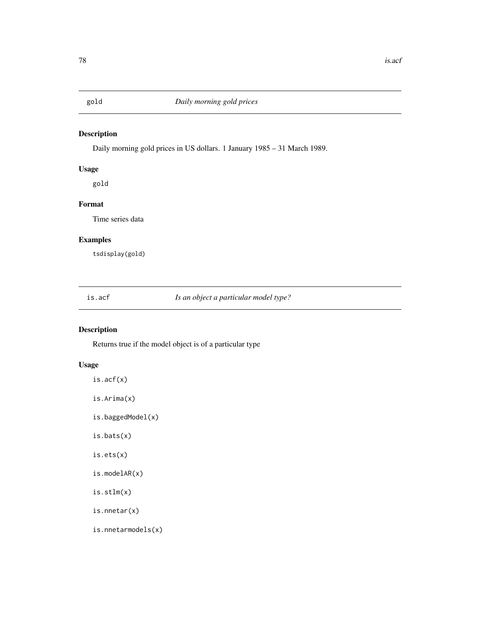Daily morning gold prices in US dollars. 1 January 1985 – 31 March 1989.

# Usage

gold

# Format

Time series data

# Examples

tsdisplay(gold)

is.acf *Is an object a particular model type?*

# Description

Returns true if the model object is of a particular type

# Usage

is.acf(x)

is.Arima(x)

is.baggedModel(x)

is.bats(x)

is.ets(x)

is.modelAR(x)

is.stlm(x)

is.nnetar(x)

is.nnetarmodels(x)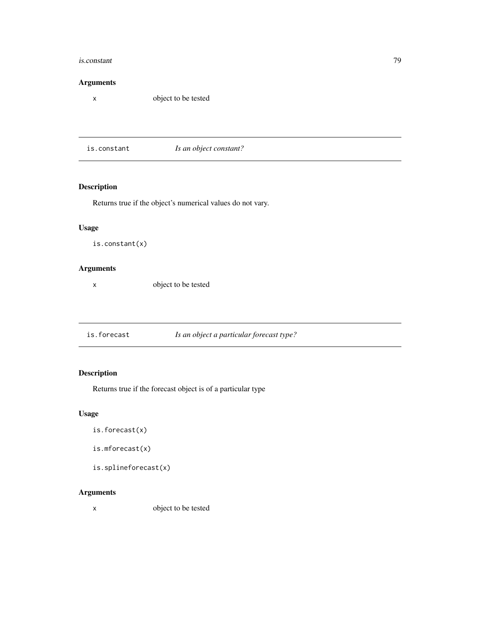#### is.constant 79

#### Arguments

x object to be tested

is.constant *Is an object constant?*

# Description

Returns true if the object's numerical values do not vary.

# Usage

is.constant(x)

# Arguments

x object to be tested

is.forecast *Is an object a particular forecast type?*

# Description

Returns true if the forecast object is of a particular type

# Usage

- is.forecast(x)
- is.mforecast(x)

is.splineforecast(x)

# Arguments

x object to be tested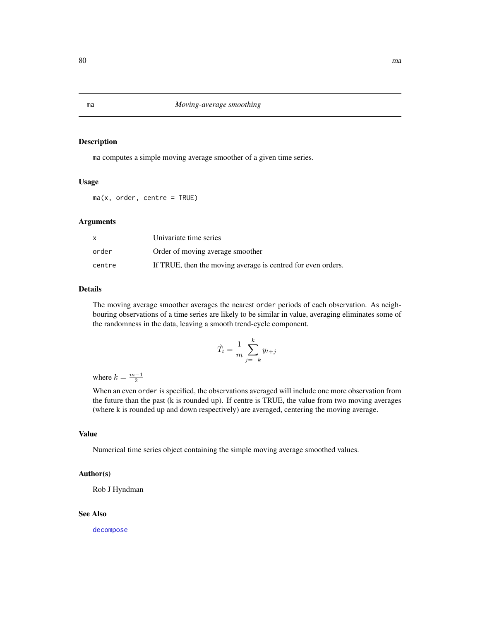ma computes a simple moving average smoother of a given time series.

#### Usage

 $ma(x, order, centre = TRUE)$ 

#### Arguments

|        | Univariate time series                                       |
|--------|--------------------------------------------------------------|
| order  | Order of moving average smoother                             |
| centre | If TRUE, then the moving average is centred for even orders. |

# Details

The moving average smoother averages the nearest order periods of each observation. As neighbouring observations of a time series are likely to be similar in value, averaging eliminates some of the randomness in the data, leaving a smooth trend-cycle component.

$$
\hat{T}_t = \frac{1}{m} \sum_{j=-k}^k y_{t+j}
$$

where  $k = \frac{m-1}{2}$ 

When an even order is specified, the observations averaged will include one more observation from the future than the past (k is rounded up). If centre is TRUE, the value from two moving averages (where k is rounded up and down respectively) are averaged, centering the moving average.

#### Value

Numerical time series object containing the simple moving average smoothed values.

#### Author(s)

Rob J Hyndman

#### See Also

[decompose](#page-0-0)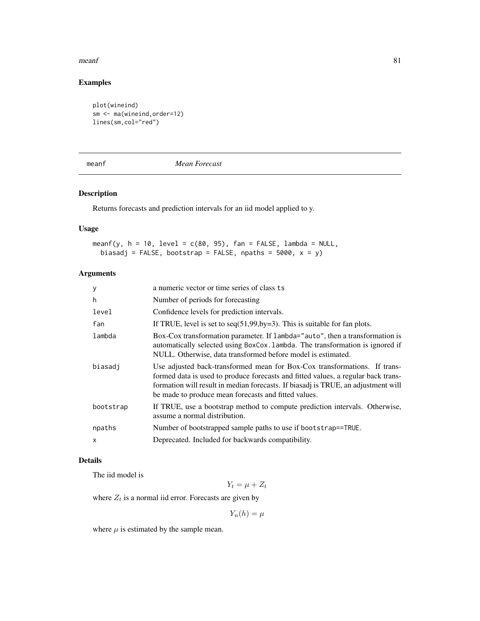#### $meanf$  81

# Examples

```
plot(wineind)
sm <- ma(wineind,order=12)
lines(sm,col="red")
```
meanf *Mean Forecast*

# Description

Returns forecasts and prediction intervals for an iid model applied to y.

# Usage

```
meanf(y, h = 10, level = c(80, 95), fan = FALSE, lambda = NULL,
 biasadj = FALSE, bootstrap = FALSE, npaths = 5000, x = y)
```
# Arguments

| У            | a numeric vector or time series of class ts                                                                                                                                                                                                                                                                 |
|--------------|-------------------------------------------------------------------------------------------------------------------------------------------------------------------------------------------------------------------------------------------------------------------------------------------------------------|
| h            | Number of periods for forecasting                                                                                                                                                                                                                                                                           |
| level        | Confidence levels for prediction intervals.                                                                                                                                                                                                                                                                 |
| fan          | If TRUE, level is set to $seq(51, 99, by=3)$ . This is suitable for fan plots.                                                                                                                                                                                                                              |
| lambda       | Box-Cox transformation parameter. If lambda="auto", then a transformation is<br>automatically selected using BoxCox. Lambda. The transformation is ignored if<br>NULL. Otherwise, data transformed before model is estimated.                                                                               |
| biasadi      | Use adjusted back-transformed mean for Box-Cox transformations. If trans-<br>formed data is used to produce forecasts and fitted values, a regular back trans-<br>formation will result in median forecasts. If biasadj is TRUE, an adjustment will<br>be made to produce mean forecasts and fitted values. |
| bootstrap    | If TRUE, use a bootstrap method to compute prediction intervals. Otherwise,<br>assume a normal distribution.                                                                                                                                                                                                |
| npaths       | Number of bootstrapped sample paths to use if bootstrap==TRUE.                                                                                                                                                                                                                                              |
| $\mathsf{x}$ | Deprecated. Included for backwards compatibility.                                                                                                                                                                                                                                                           |

# Details

The iid model is

 $Y_t = \mu + Z_t$ 

where  $Z_t$  is a normal iid error. Forecasts are given by

 $Y_n(h) = \mu$ 

where  $\mu$  is estimated by the sample mean.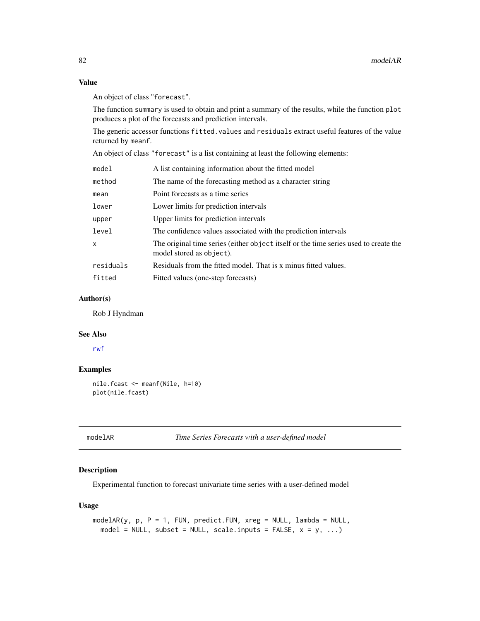# Value

An object of class "forecast".

The function summary is used to obtain and print a summary of the results, while the function plot produces a plot of the forecasts and prediction intervals.

The generic accessor functions fitted.values and residuals extract useful features of the value returned by meanf.

An object of class "forecast" is a list containing at least the following elements:

| model     | A list containing information about the fitted model                                                             |
|-----------|------------------------------------------------------------------------------------------------------------------|
| method    | The name of the forecasting method as a character string                                                         |
| mean      | Point forecasts as a time series                                                                                 |
| lower     | Lower limits for prediction intervals                                                                            |
| upper     | Upper limits for prediction intervals                                                                            |
| level     | The confidence values associated with the prediction intervals                                                   |
| x         | The original time series (either object itself or the time series used to create the<br>model stored as object). |
| residuals | Residuals from the fitted model. That is x minus fitted values.                                                  |
| fitted    | Fitted values (one-step forecasts)                                                                               |
|           |                                                                                                                  |

# Author(s)

Rob J Hyndman

#### See Also

[rwf](#page-100-0)

#### Examples

```
nile.fcast <- meanf(Nile, h=10)
plot(nile.fcast)
```
modelAR *Time Series Forecasts with a user-defined model*

# Description

Experimental function to forecast univariate time series with a user-defined model

# Usage

```
modelAR(y, p, P = 1, FUN, predict.FUN, xreg = NULL, lambda = NULL,
 model = NULL, subset = NULL, scale.inputs = FALSE, x = y, ...)
```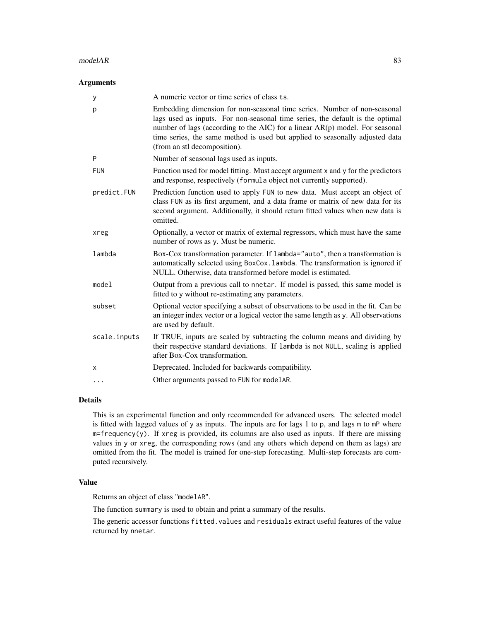#### $modelAR$  83

# Arguments

| У            | A numeric vector or time series of class ts.                                                                                                                                                                                                                                                                                                                |
|--------------|-------------------------------------------------------------------------------------------------------------------------------------------------------------------------------------------------------------------------------------------------------------------------------------------------------------------------------------------------------------|
| p            | Embedding dimension for non-seasonal time series. Number of non-seasonal<br>lags used as inputs. For non-seasonal time series, the default is the optimal<br>number of lags (according to the AIC) for a linear $AR(p)$ model. For seasonal<br>time series, the same method is used but applied to seasonally adjusted data<br>(from an stl decomposition). |
| P            | Number of seasonal lags used as inputs.                                                                                                                                                                                                                                                                                                                     |
| <b>FUN</b>   | Function used for model fitting. Must accept argument x and y for the predictors<br>and response, respectively (formula object not currently supported).                                                                                                                                                                                                    |
| predict.FUN  | Prediction function used to apply FUN to new data. Must accept an object of<br>class FUN as its first argument, and a data frame or matrix of new data for its<br>second argument. Additionally, it should return fitted values when new data is<br>omitted.                                                                                                |
| xreg         | Optionally, a vector or matrix of external regressors, which must have the same<br>number of rows as y. Must be numeric.                                                                                                                                                                                                                                    |
| lambda       | Box-Cox transformation parameter. If lambda="auto", then a transformation is<br>automatically selected using BoxCox. Lambda. The transformation is ignored if<br>NULL. Otherwise, data transformed before model is estimated.                                                                                                                               |
| model        | Output from a previous call to nnetar. If model is passed, this same model is<br>fitted to y without re-estimating any parameters.                                                                                                                                                                                                                          |
| subset       | Optional vector specifying a subset of observations to be used in the fit. Can be<br>an integer index vector or a logical vector the same length as y. All observations<br>are used by default.                                                                                                                                                             |
| scale.inputs | If TRUE, inputs are scaled by subtracting the column means and dividing by<br>their respective standard deviations. If lambda is not NULL, scaling is applied<br>after Box-Cox transformation.                                                                                                                                                              |
| Χ            | Deprecated. Included for backwards compatibility.                                                                                                                                                                                                                                                                                                           |
| $\cdots$     | Other arguments passed to FUN for modelAR.                                                                                                                                                                                                                                                                                                                  |

# Details

This is an experimental function and only recommended for advanced users. The selected model is fitted with lagged values of y as inputs. The inputs are for lags 1 to p, and lags m to mP where  $m = frequency(y)$ . If xreg is provided, its columns are also used as inputs. If there are missing values in y or xreg, the corresponding rows (and any others which depend on them as lags) are omitted from the fit. The model is trained for one-step forecasting. Multi-step forecasts are computed recursively.

# Value

Returns an object of class "modelAR".

The function summary is used to obtain and print a summary of the results.

The generic accessor functions fitted.values and residuals extract useful features of the value returned by nnetar.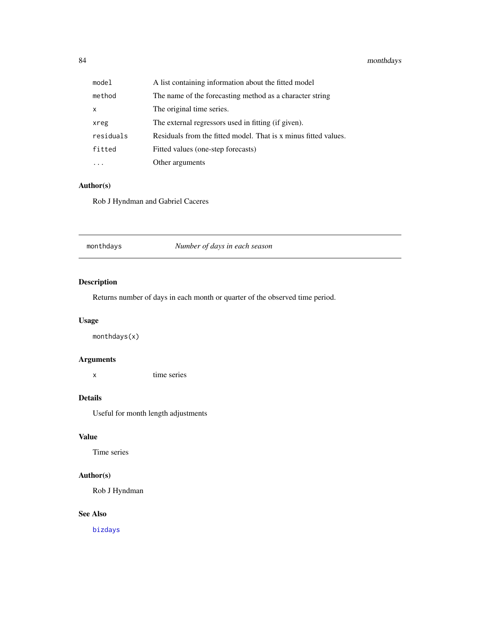# 84 monthdays

| model                     | A list containing information about the fitted model            |
|---------------------------|-----------------------------------------------------------------|
| method                    | The name of the forecasting method as a character string        |
| $\boldsymbol{\mathsf{x}}$ | The original time series.                                       |
| xreg                      | The external regressors used in fitting (if given).             |
| residuals                 | Residuals from the fitted model. That is x minus fitted values. |
| fitted                    | Fitted values (one-step forecasts)                              |
|                           | Other arguments                                                 |

# Author(s)

Rob J Hyndman and Gabriel Caceres

monthdays *Number of days in each season*

# Description

Returns number of days in each month or quarter of the observed time period.

# Usage

monthdays(x)

# Arguments

x time series

# Details

Useful for month length adjustments

# Value

Time series

# Author(s)

Rob J Hyndman

# See Also

[bizdays](#page-25-0)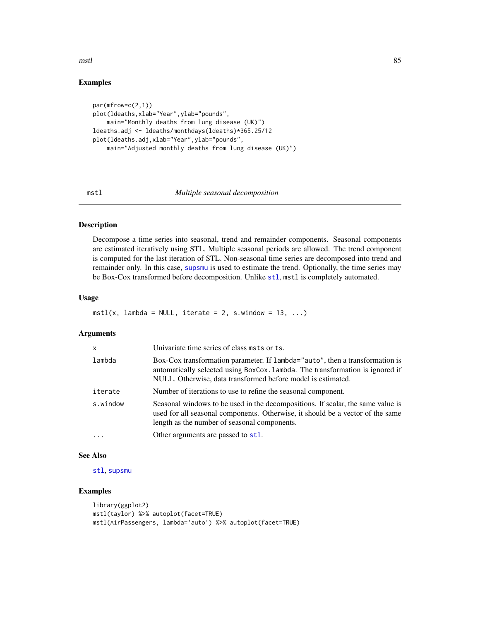$mstl$  85

# Examples

```
par(mfrow=c(2,1))
plot(ldeaths,xlab="Year",ylab="pounds",
    main="Monthly deaths from lung disease (UK)")
ldeaths.adj <- ldeaths/monthdays(ldeaths)*365.25/12
plot(ldeaths.adj,xlab="Year",ylab="pounds",
    main="Adjusted monthly deaths from lung disease (UK)")
```
#### mstl *Multiple seasonal decomposition*

### Description

Decompose a time series into seasonal, trend and remainder components. Seasonal components are estimated iteratively using STL. Multiple seasonal periods are allowed. The trend component is computed for the last iteration of STL. Non-seasonal time series are decomposed into trend and remainder only. In this case, [supsmu](#page-0-0) is used to estimate the trend. Optionally, the time series may be Box-Cox transformed before decomposition. Unlike [stl](#page-0-0), mstl is completely automated.

#### Usage

```
mstl(x, lambda = NULL, iterate = 2, s.window = 13, ...)
```
#### Arguments

| $\mathsf{x}$ | Univariate time series of class msts or ts.                                                                                                                                                                                   |
|--------------|-------------------------------------------------------------------------------------------------------------------------------------------------------------------------------------------------------------------------------|
| lambda       | Box-Cox transformation parameter. If lambda="auto", then a transformation is<br>automatically selected using BoxCox. Lambda. The transformation is ignored if<br>NULL. Otherwise, data transformed before model is estimated. |
| iterate      | Number of iterations to use to refine the seasonal component.                                                                                                                                                                 |
| s.window     | Seasonal windows to be used in the decompositions. If scalar, the same value is<br>used for all seasonal components. Otherwise, it should be a vector of the same<br>length as the number of seasonal components.             |
| .            | Other arguments are passed to stl.                                                                                                                                                                                            |

#### See Also

[stl](#page-0-0), [supsmu](#page-0-0)

# Examples

```
library(ggplot2)
mstl(taylor) %>% autoplot(facet=TRUE)
mstl(AirPassengers, lambda='auto') %>% autoplot(facet=TRUE)
```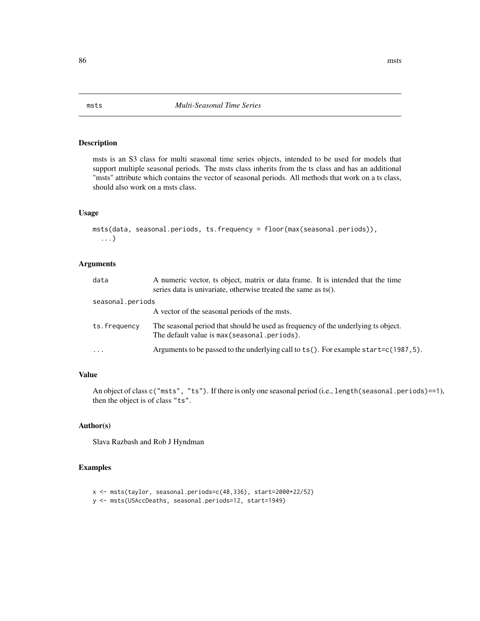msts is an S3 class for multi seasonal time series objects, intended to be used for models that support multiple seasonal periods. The msts class inherits from the ts class and has an additional "msts" attribute which contains the vector of seasonal periods. All methods that work on a ts class, should also work on a msts class.

#### Usage

```
msts(data, seasonal.periods, ts.frequency = floor(max(seasonal.periods)),
  ...)
```
# Arguments

| data             | A numeric vector, ts object, matrix or data frame. It is intended that the time<br>series data is univariate, otherwise treated the same as ts(). |
|------------------|---------------------------------------------------------------------------------------------------------------------------------------------------|
| seasonal.periods |                                                                                                                                                   |
|                  | A vector of the seasonal periods of the msts.                                                                                                     |
| ts.frequency     | The seasonal period that should be used as frequency of the underlying ts object.<br>The default value is max (seasonal .periods).                |
| $\ddotsc$        | Arguments to be passed to the underlying call to $ts()$ . For example start=c $(1987, 5)$ .                                                       |

# Value

An object of class c("msts", "ts"). If there is only one seasonal period (i.e., length(seasonal.periods)==1), then the object is of class "ts".

#### Author(s)

Slava Razbash and Rob J Hyndman

#### Examples

```
x <- msts(taylor, seasonal.periods=c(48,336), start=2000+22/52)
```

```
y <- msts(USAccDeaths, seasonal.periods=12, start=1949)
```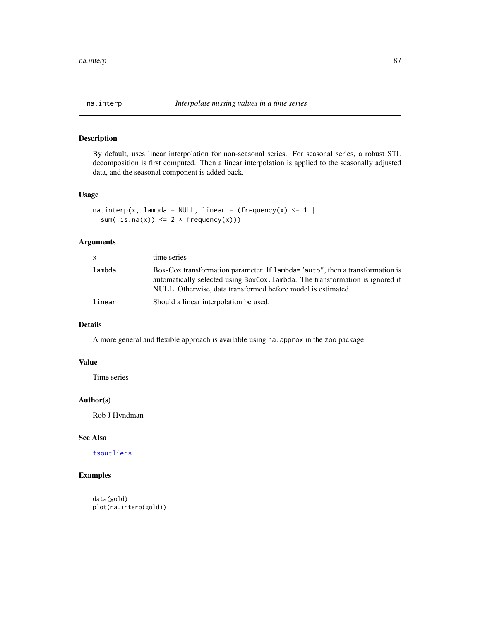<span id="page-86-0"></span>

By default, uses linear interpolation for non-seasonal series. For seasonal series, a robust STL decomposition is first computed. Then a linear interpolation is applied to the seasonally adjusted data, and the seasonal component is added back.

#### Usage

```
na.interp(x, lambda = NULL, linear = (frequency(x) \leq 1 |
  sum(!is.na(x)) \leq 2 \times frequency(x))
```
# Arguments

| <b>X</b> | time series                                                                                                                                                                                                                   |
|----------|-------------------------------------------------------------------------------------------------------------------------------------------------------------------------------------------------------------------------------|
| lambda   | Box-Cox transformation parameter. If lambda="auto", then a transformation is<br>automatically selected using BoxCox. Lambda. The transformation is ignored if<br>NULL. Otherwise, data transformed before model is estimated. |
| linear   | Should a linear interpolation be used.                                                                                                                                                                                        |

# Details

A more general and flexible approach is available using na.approx in the zoo package.

# Value

Time series

# Author(s)

Rob J Hyndman

# See Also

[tsoutliers](#page-125-0)

# Examples

data(gold) plot(na.interp(gold))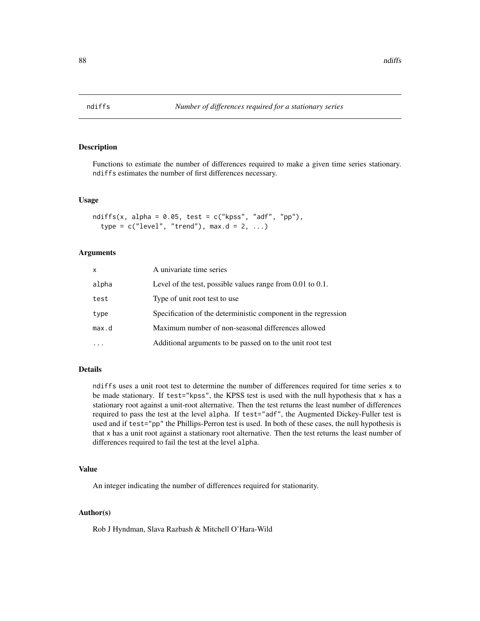<span id="page-87-0"></span>

Functions to estimate the number of differences required to make a given time series stationary. ndiffs estimates the number of first differences necessary.

#### Usage

```
ndiffs(x, alpha = 0.05, test = c("kpss", "adf", "pp"),type = c("level", "trend"), max.d = 2, ...)
```
#### Arguments

| X     | A univariate time series                                        |
|-------|-----------------------------------------------------------------|
| alpha | Level of the test, possible values range from $0.01$ to $0.1$ . |
| test  | Type of unit root test to use.                                  |
| type  | Specification of the deterministic component in the regression  |
| max.d | Maximum number of non-seasonal differences allowed              |
|       | Additional arguments to be passed on to the unit root test      |

# Details

ndiffs uses a unit root test to determine the number of differences required for time series x to be made stationary. If test="kpss", the KPSS test is used with the null hypothesis that x has a stationary root against a unit-root alternative. Then the test returns the least number of differences required to pass the test at the level alpha. If test="adf", the Augmented Dickey-Fuller test is used and if test="pp" the Phillips-Perron test is used. In both of these cases, the null hypothesis is that x has a unit root against a stationary root alternative. Then the test returns the least number of differences required to fail the test at the level alpha.

# Value

An integer indicating the number of differences required for stationarity.

#### Author(s)

Rob J Hyndman, Slava Razbash & Mitchell O'Hara-Wild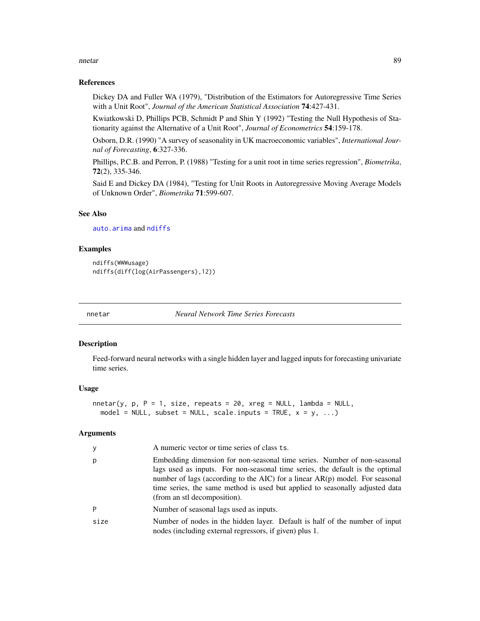#### nnetar anns anns an Seanaiste anns an Seanaiste anns an Seanaiste anns an Seanaiste anns an Seanaiste anns an S

#### References

Dickey DA and Fuller WA (1979), "Distribution of the Estimators for Autoregressive Time Series with a Unit Root", *Journal of the American Statistical Association* 74:427-431.

Kwiatkowski D, Phillips PCB, Schmidt P and Shin Y (1992) "Testing the Null Hypothesis of Stationarity against the Alternative of a Unit Root", *Journal of Econometrics* 54:159-178.

Osborn, D.R. (1990) "A survey of seasonality in UK macroeconomic variables", *International Journal of Forecasting*, 6:327-336.

Phillips, P.C.B. and Perron, P. (1988) "Testing for a unit root in time series regression", *Biometrika*, 72(2), 335-346.

Said E and Dickey DA (1984), "Testing for Unit Roots in Autoregressive Moving Average Models of Unknown Order", *Biometrika* 71:599-607.

#### See Also

[auto.arima](#page-12-0) and [ndiffs](#page-87-0)

#### Examples

```
ndiffs(WWWusage)
ndiffs(diff(log(AirPassengers),12))
```
nnetar *Neural Network Time Series Forecasts*

#### Description

Feed-forward neural networks with a single hidden layer and lagged inputs for forecasting univariate time series.

#### Usage

```
nnetar(y, p, P = 1, size, repeats = 20, xreg = NULL, lambda = NULL,model = NULL, subset = NULL, scale.inputs = TRUE, x = y, ...)
```

| y    | A numeric vector or time series of class ts.                                                                                                                                                                                                                                                                                                                |
|------|-------------------------------------------------------------------------------------------------------------------------------------------------------------------------------------------------------------------------------------------------------------------------------------------------------------------------------------------------------------|
| p    | Embedding dimension for non-seasonal time series. Number of non-seasonal<br>lags used as inputs. For non-seasonal time series, the default is the optimal<br>number of lags (according to the AIC) for a linear $AR(p)$ model. For seasonal<br>time series, the same method is used but applied to seasonally adjusted data<br>(from an stl decomposition). |
| P    | Number of seasonal lags used as inputs.                                                                                                                                                                                                                                                                                                                     |
| size | Number of nodes in the hidden layer. Default is half of the number of input<br>nodes (including external regressors, if given) plus 1.                                                                                                                                                                                                                      |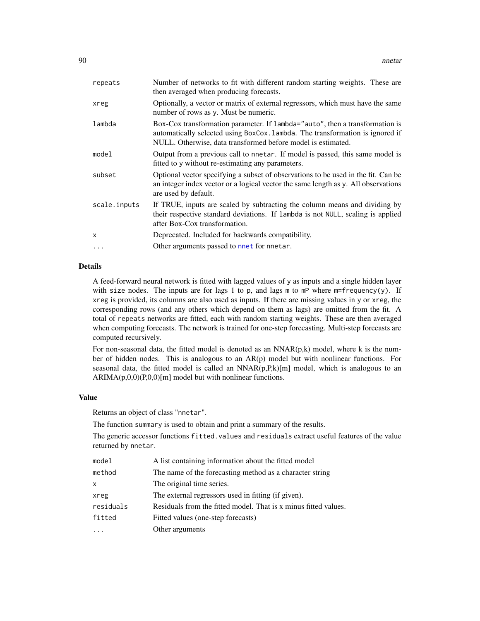| repeats      | Number of networks to fit with different random starting weights. These are<br>then averaged when producing forecasts.                                                                                                        |
|--------------|-------------------------------------------------------------------------------------------------------------------------------------------------------------------------------------------------------------------------------|
| xreg         | Optionally, a vector or matrix of external regressors, which must have the same<br>number of rows as y. Must be numeric.                                                                                                      |
| lambda       | Box-Cox transformation parameter. If lambda="auto", then a transformation is<br>automatically selected using BoxCox. lambda. The transformation is ignored if<br>NULL. Otherwise, data transformed before model is estimated. |
| model        | Output from a previous call to nnetar. If model is passed, this same model is<br>fitted to y without re-estimating any parameters.                                                                                            |
| subset       | Optional vector specifying a subset of observations to be used in the fit. Can be<br>an integer index vector or a logical vector the same length as y. All observations<br>are used by default.                               |
| scale.inputs | If TRUE, inputs are scaled by subtracting the column means and dividing by<br>their respective standard deviations. If lambda is not NULL, scaling is applied<br>after Box-Cox transformation.                                |
| X            | Deprecated. Included for backwards compatibility.                                                                                                                                                                             |
| $\ddots$     | Other arguments passed to nnet for nnetar.                                                                                                                                                                                    |
|              |                                                                                                                                                                                                                               |

#### Details

A feed-forward neural network is fitted with lagged values of y as inputs and a single hidden layer with size nodes. The inputs are for lags 1 to p, and lags m to mP where m=frequency(y). If xreg is provided, its columns are also used as inputs. If there are missing values in y or xreg, the corresponding rows (and any others which depend on them as lags) are omitted from the fit. A total of repeats networks are fitted, each with random starting weights. These are then averaged when computing forecasts. The network is trained for one-step forecasting. Multi-step forecasts are computed recursively.

For non-seasonal data, the fitted model is denoted as an  $NNAR(p,k)$  model, where k is the number of hidden nodes. This is analogous to an  $AR(p)$  model but with nonlinear functions. For seasonal data, the fitted model is called an  $NNAR(p,R,k)[m]$  model, which is analogous to an  $ARIMA(p,0,0)(P,0,0)[m]$  model but with nonlinear functions.

#### Value

Returns an object of class "nnetar".

The function summary is used to obtain and print a summary of the results.

The generic accessor functions fitted.values and residuals extract useful features of the value returned by nnetar.

| model     | A list containing information about the fitted model            |
|-----------|-----------------------------------------------------------------|
| method    | The name of the forecasting method as a character string        |
| x         | The original time series.                                       |
| xreg      | The external regressors used in fitting (if given).             |
| residuals | Residuals from the fitted model. That is x minus fitted values. |
| fitted    | Fitted values (one-step forecasts)                              |
| .         | Other arguments                                                 |
|           |                                                                 |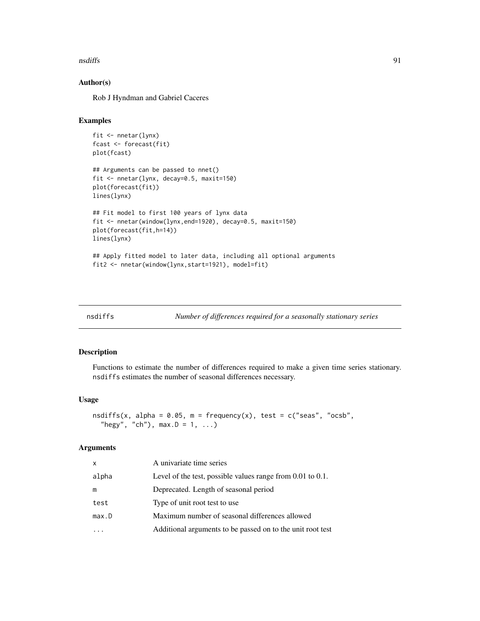#### nsdiffs 91

# Author(s)

Rob J Hyndman and Gabriel Caceres

# Examples

```
fit <- nnetar(lynx)
fcast <- forecast(fit)
plot(fcast)
## Arguments can be passed to nnet()
fit <- nnetar(lynx, decay=0.5, maxit=150)
plot(forecast(fit))
lines(lynx)
## Fit model to first 100 years of lynx data
fit <- nnetar(window(lynx,end=1920), decay=0.5, maxit=150)
plot(forecast(fit,h=14))
lines(lynx)
## Apply fitted model to later data, including all optional arguments
fit2 <- nnetar(window(lynx,start=1921), model=fit)
```
<span id="page-90-0"></span>

| nsdiffs |  |  |
|---------|--|--|

*Number of differences required for a seasonally stationary series* 

#### Description

Functions to estimate the number of differences required to make a given time series stationary. nsdiffs estimates the number of seasonal differences necessary.

#### Usage

```
nsdiffs(x, alpha = 0.05, m = frequency(x), test = c("seas", "ocsb","hegy", "ch"), max.D = 1, ...
```

| X     | A univariate time series                                        |
|-------|-----------------------------------------------------------------|
| alpha | Level of the test, possible values range from $0.01$ to $0.1$ . |
| m     | Deprecated. Length of seasonal period                           |
| test  | Type of unit root test to use                                   |
| max.D | Maximum number of seasonal differences allowed                  |
|       | Additional arguments to be passed on to the unit root test      |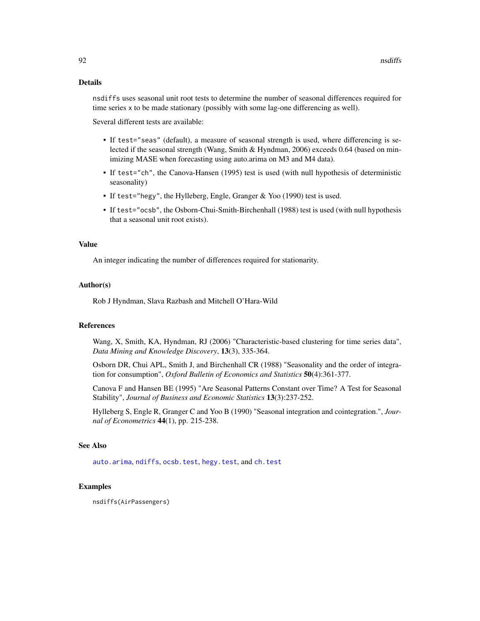#### Details

nsdiffs uses seasonal unit root tests to determine the number of seasonal differences required for time series x to be made stationary (possibly with some lag-one differencing as well).

Several different tests are available:

- If test="seas" (default), a measure of seasonal strength is used, where differencing is selected if the seasonal strength (Wang, Smith & Hyndman, 2006) exceeds 0.64 (based on minimizing MASE when forecasting using auto.arima on M3 and M4 data).
- If test="ch", the Canova-Hansen (1995) test is used (with null hypothesis of deterministic seasonality)
- If test="hegy", the Hylleberg, Engle, Granger & Yoo (1990) test is used.
- If test="ocsb", the Osborn-Chui-Smith-Birchenhall (1988) test is used (with null hypothesis that a seasonal unit root exists).

#### Value

An integer indicating the number of differences required for stationarity.

#### Author(s)

Rob J Hyndman, Slava Razbash and Mitchell O'Hara-Wild

#### References

Wang, X, Smith, KA, Hyndman, RJ (2006) "Characteristic-based clustering for time series data", *Data Mining and Knowledge Discovery*, 13(3), 335-364.

Osborn DR, Chui APL, Smith J, and Birchenhall CR (1988) "Seasonality and the order of integration for consumption", *Oxford Bulletin of Economics and Statistics* 50(4):361-377.

Canova F and Hansen BE (1995) "Are Seasonal Patterns Constant over Time? A Test for Seasonal Stability", *Journal of Business and Economic Statistics* 13(3):237-252.

Hylleberg S, Engle R, Granger C and Yoo B (1990) "Seasonal integration and cointegration.", *Journal of Econometrics* 44(1), pp. 215-238.

# See Also

[auto.arima](#page-12-0), [ndiffs](#page-87-0), [ocsb.test](#page-92-0), [hegy.test](#page-0-0), and [ch.test](#page-0-0)

# Examples

nsdiffs(AirPassengers)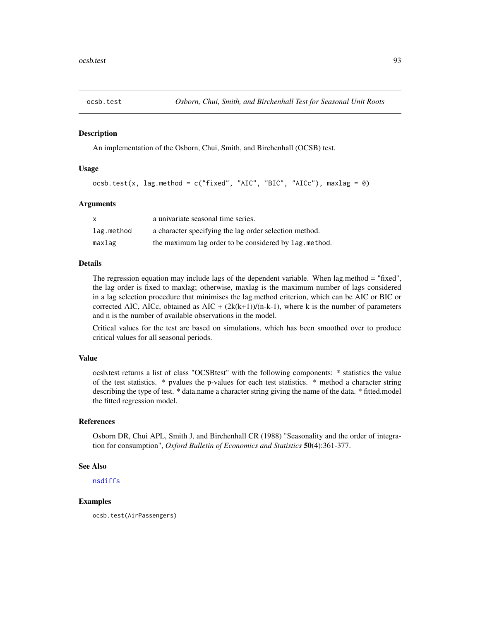<span id="page-92-0"></span>

An implementation of the Osborn, Chui, Smith, and Birchenhall (OCSB) test.

#### Usage

```
ocsb.test(x, lag.method = c("fixed", "AIC", "BIC", "AIC")), maxlag = 0)
```
#### Arguments

| X          | a univariate seasonal time series.                     |
|------------|--------------------------------------------------------|
| lag.method | a character specifying the lag order selection method. |
| maxlag     | the maximum lag order to be considered by lag. method. |

# Details

The regression equation may include lags of the dependent variable. When lag.method = "fixed", the lag order is fixed to maxlag; otherwise, maxlag is the maximum number of lags considered in a lag selection procedure that minimises the lag.method criterion, which can be AIC or BIC or corrected AIC, AICc, obtained as AIC +  $(2k(k+1))/(n-k-1)$ , where k is the number of parameters and n is the number of available observations in the model.

Critical values for the test are based on simulations, which has been smoothed over to produce critical values for all seasonal periods.

#### Value

ocsb.test returns a list of class "OCSBtest" with the following components: \* statistics the value of the test statistics. \* pvalues the p-values for each test statistics. \* method a character string describing the type of test. \* data.name a character string giving the name of the data. \* fitted.model the fitted regression model.

# References

Osborn DR, Chui APL, Smith J, and Birchenhall CR (1988) "Seasonality and the order of integration for consumption", *Oxford Bulletin of Economics and Statistics* 50(4):361-377.

# See Also

[nsdiffs](#page-90-0)

#### Examples

ocsb.test(AirPassengers)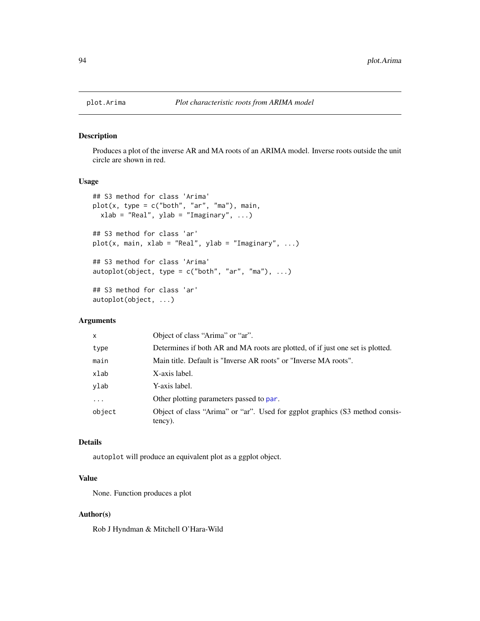Produces a plot of the inverse AR and MA roots of an ARIMA model. Inverse roots outside the unit circle are shown in red.

# Usage

```
## S3 method for class 'Arima'
plot(x, type = c("both", "ar", "ma"), main,xlab = "Real", ylab = "Imaginary", ...)
## S3 method for class 'ar'
plot(x, main, xlab = "Real", ylab = "Imaginary", ...)## S3 method for class 'Arima'
autoplot(object, type = c("both", "ar", "ma"), ...)## S3 method for class 'ar'
autoplot(object, ...)
```
# Arguments

| X.       | Object of class "Arima" or "ar".                                                        |
|----------|-----------------------------------------------------------------------------------------|
| type     | Determines if both AR and MA roots are plotted, of if just one set is plotted.          |
| main     | Main title. Default is "Inverse AR roots" or "Inverse MA roots".                        |
| xlab     | X-axis label.                                                                           |
| vlab     | Y-axis label.                                                                           |
| $\cdots$ | Other plotting parameters passed to par.                                                |
| object   | Object of class "Arima" or "ar". Used for ggplot graphics (S3 method consis-<br>tency). |

# Details

autoplot will produce an equivalent plot as a ggplot object.

# Value

None. Function produces a plot

#### Author(s)

Rob J Hyndman & Mitchell O'Hara-Wild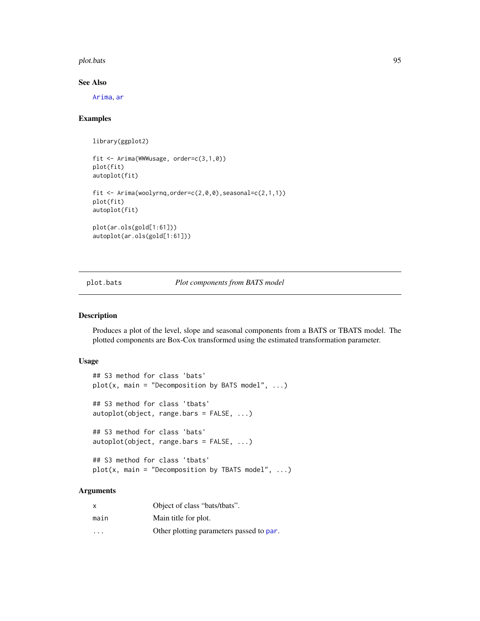plot.bats 95

# See Also

[Arima](#page-9-0), [ar](#page-0-0)

# Examples

```
library(ggplot2)
fit <- Arima(WWWusage, order=c(3,1,0))
plot(fit)
autoplot(fit)
fit <- Arima(woolyrnq,order=c(2,0,0),seasonal=c(2,1,1))
plot(fit)
autoplot(fit)
plot(ar.ols(gold[1:61]))
autoplot(ar.ols(gold[1:61]))
```
plot.bats *Plot components from BATS model*

# Description

Produces a plot of the level, slope and seasonal components from a BATS or TBATS model. The plotted components are Box-Cox transformed using the estimated transformation parameter.

#### Usage

```
## S3 method for class 'bats'
plot(x, main = "Decomposition by BATS model", ...)## S3 method for class 'tbats'
autoplot(object, range.bars = FALSE, ...)
## S3 method for class 'bats'
autoplot(object, range.bars = FALSE, ...)
## S3 method for class 'tbats'
plot(x, main = "Decomposition by TBATS model", ...)
```

| x                       | Object of class "bats/tbats".            |
|-------------------------|------------------------------------------|
| main                    | Main title for plot.                     |
| $\cdot$ $\cdot$ $\cdot$ | Other plotting parameters passed to par. |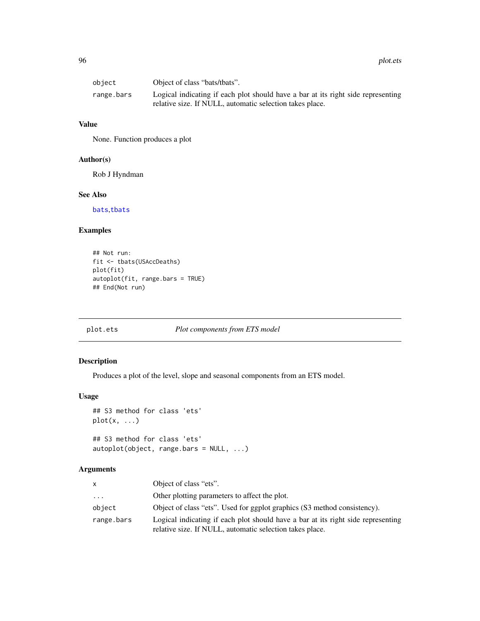| obiect     | Object of class "bats/tbats".                                                                                                                |
|------------|----------------------------------------------------------------------------------------------------------------------------------------------|
| range.bars | Logical indicating if each plot should have a bar at its right side representing<br>relative size. If NULL, automatic selection takes place. |

#### Value

None. Function produces a plot

# Author(s)

Rob J Hyndman

#### See Also

[bats](#page-23-0),[tbats](#page-117-0)

# Examples

```
## Not run:
fit <- tbats(USAccDeaths)
plot(fit)
autoplot(fit, range.bars = TRUE)
## End(Not run)
```
# plot.ets *Plot components from ETS model*

# Description

Produces a plot of the level, slope and seasonal components from an ETS model.

# Usage

```
## S3 method for class 'ets'
plot(x, \ldots)## S3 method for class 'ets'
```

```
autoplot(object, range.bars = NULL, ...)
```

| x          | Object of class "ets".                                                                                                                       |
|------------|----------------------------------------------------------------------------------------------------------------------------------------------|
| $\ddots$   | Other plotting parameters to affect the plot.                                                                                                |
| object     | Object of class "ets". Used for ggplot graphics (S3 method consistency).                                                                     |
| range.bars | Logical indicating if each plot should have a bar at its right side representing<br>relative size. If NULL, automatic selection takes place. |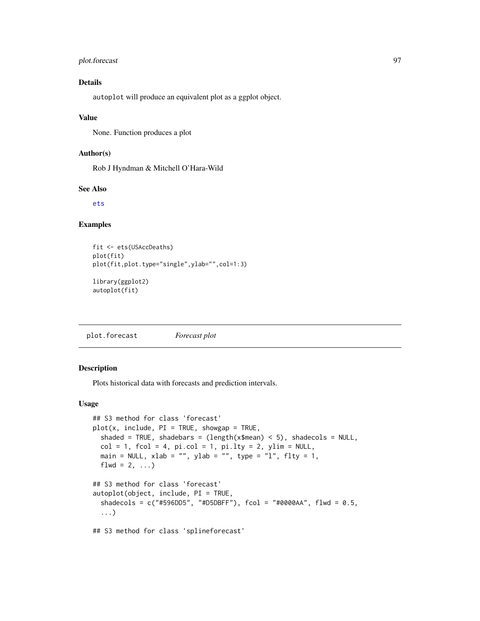# plot.forecast 97

# Details

autoplot will produce an equivalent plot as a ggplot object.

#### Value

None. Function produces a plot

# Author(s)

Rob J Hyndman & Mitchell O'Hara-Wild

# See Also

[ets](#page-38-0)

# Examples

```
fit <- ets(USAccDeaths)
plot(fit)
plot(fit,plot.type="single",ylab="",col=1:3)
library(ggplot2)
autoplot(fit)
```
plot.forecast *Forecast plot*

#### Description

Plots historical data with forecasts and prediction intervals.

#### Usage

```
## S3 method for class 'forecast'
plot(x, include, PI = TRUE, showing a = TRUE,shaded = TRUE, shadebars = (length(x$mean) < 5), shadecols = NULL,
  col = 1, fcol = 4, pi.col = 1, pi.lty = 2, ylim = NULL,
 main = NULL, xlab = "", ylab = "", type = "l", flty = 1,
 flwd = 2, ...)
## S3 method for class 'forecast'
autoplot(object, include, PI = TRUE,
  shadecols = c("#596DD5", "#D5DBFF"), fcol = "#0000AA", flwd = 0.5,...)
## S3 method for class 'splineforecast'
```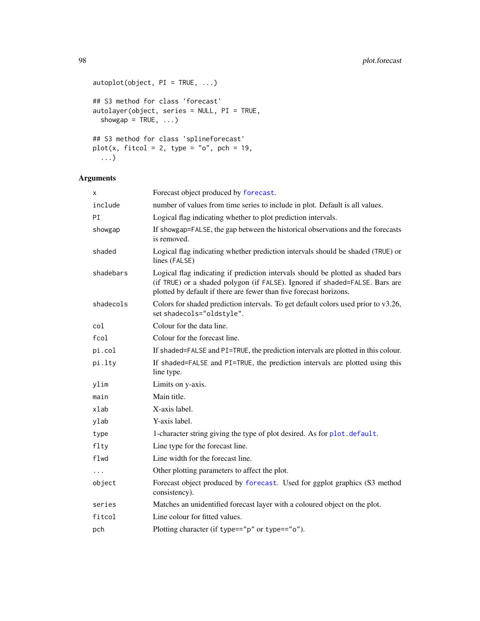```
autoplot(object, PI = TRUE, ...)
## S3 method for class 'forecast'
autolayer(object, series = NULL, PI = TRUE,
  showgap = TRUE, \ldots)## S3 method for class 'splineforecast'
plot(x, fitted = 2, type = "o", pch = 19,...)
```

| X         | Forecast object produced by forecast.                                                                                                                                                                                                 |
|-----------|---------------------------------------------------------------------------------------------------------------------------------------------------------------------------------------------------------------------------------------|
| include   | number of values from time series to include in plot. Default is all values.                                                                                                                                                          |
| PI        | Logical flag indicating whether to plot prediction intervals.                                                                                                                                                                         |
| showgap   | If showgap=FALSE, the gap between the historical observations and the forecasts<br>is removed.                                                                                                                                        |
| shaded    | Logical flag indicating whether prediction intervals should be shaded (TRUE) or<br>lines (FALSE)                                                                                                                                      |
| shadebars | Logical flag indicating if prediction intervals should be plotted as shaded bars<br>(if TRUE) or a shaded polygon (if FALSE). Ignored if shaded=FALSE. Bars are<br>plotted by default if there are fewer than five forecast horizons. |
| shadecols | Colors for shaded prediction intervals. To get default colors used prior to v3.26,<br>set shadecols="oldstyle".                                                                                                                       |
| col       | Colour for the data line.                                                                                                                                                                                                             |
| fcol      | Colour for the forecast line.                                                                                                                                                                                                         |
| pi.col    | If shaded=FALSE and PI=TRUE, the prediction intervals are plotted in this colour.                                                                                                                                                     |
| pi.lty    | If shaded=FALSE and PI=TRUE, the prediction intervals are plotted using this<br>line type.                                                                                                                                            |
| ylim      | Limits on y-axis.                                                                                                                                                                                                                     |
| main      | Main title.                                                                                                                                                                                                                           |
| xlab      | X-axis label.                                                                                                                                                                                                                         |
| ylab      | Y-axis label.                                                                                                                                                                                                                         |
| type      | 1-character string giving the type of plot desired. As for plot. default.                                                                                                                                                             |
| flty      | Line type for the forecast line.                                                                                                                                                                                                      |
| flwd      | Line width for the forecast line.                                                                                                                                                                                                     |
| .         | Other plotting parameters to affect the plot.                                                                                                                                                                                         |
| object    | Forecast object produced by forecast. Used for ggplot graphics (S3 method<br>consistency).                                                                                                                                            |
| series    | Matches an unidentified forecast layer with a coloured object on the plot.                                                                                                                                                            |
| fitcol    | Line colour for fitted values.                                                                                                                                                                                                        |
| pch       | Plotting character (if type=="p" or type=="o").                                                                                                                                                                                       |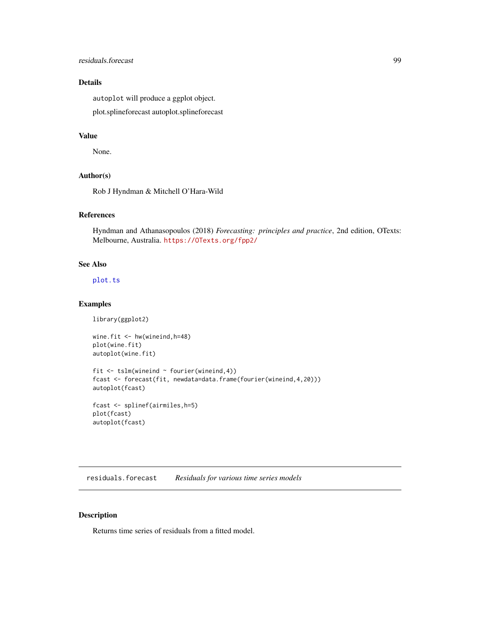# residuals.forecast 99

# Details

autoplot will produce a ggplot object. plot.splineforecast autoplot.splineforecast

# Value

None.

# Author(s)

Rob J Hyndman & Mitchell O'Hara-Wild

# References

Hyndman and Athanasopoulos (2018) *Forecasting: principles and practice*, 2nd edition, OTexts: Melbourne, Australia. <https://OTexts.org/fpp2/>

### See Also

[plot.ts](#page-0-0)

#### Examples

```
library(ggplot2)
```

```
wine.fit <- hw(wineind,h=48)
plot(wine.fit)
autoplot(wine.fit)
fit <- tslm(wineind ~ fourier(wineind,4))
fcast <- forecast(fit, newdata=data.frame(fourier(wineind,4,20)))
autoplot(fcast)
fcast <- splinef(airmiles,h=5)
plot(fcast)
```
autoplot(fcast)

residuals.forecast *Residuals for various time series models*

#### Description

Returns time series of residuals from a fitted model.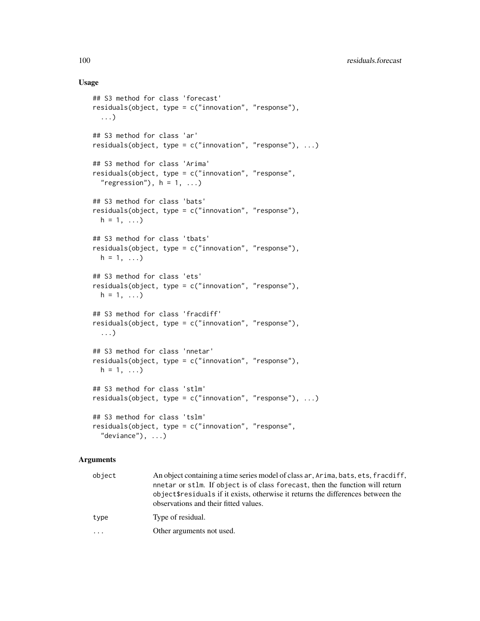#### Usage

```
## S3 method for class 'forecast'
residuals(object, type = c("innovation", "response"),
 ...)
## S3 method for class 'ar'
residuals(object, type = c("innovation", "response"), ...)
## S3 method for class 'Arima'
residuals(object, type = c("innovation", "response",
  "regression"), h = 1, ...## S3 method for class 'bats'
residuals(object, type = c("innovation", "response"),
 h = 1, ...## S3 method for class 'tbats'
residuals(object, type = c("innovation", "response"),
 h = 1, ...## S3 method for class 'ets'
residuals(object, type = c("innovation", "response"),
 h = 1, ...## S3 method for class 'fracdiff'
residuals(object, type = c("innovation", "response"),
 ...)
## S3 method for class 'nnetar'
residuals(object, type = c("innovation", "response"),
 h = 1, ...## S3 method for class 'stlm'
residuals(object, type = c("innovation", "response"), ...)
## S3 method for class 'tslm'
residuals(object, type = c("innovation", "response",
  "deviance"), ...)
```

| object | An object containing a time series model of class ar, Arima, bats, ets, fracdiff,<br>nnetar or stlm. If object is of class forecast, then the function will return<br>object \$ residuals if it exists, otherwise it returns the differences between the<br>observations and their fitted values. |
|--------|---------------------------------------------------------------------------------------------------------------------------------------------------------------------------------------------------------------------------------------------------------------------------------------------------|
| type   | Type of residual.                                                                                                                                                                                                                                                                                 |
| .      | Other arguments not used.                                                                                                                                                                                                                                                                         |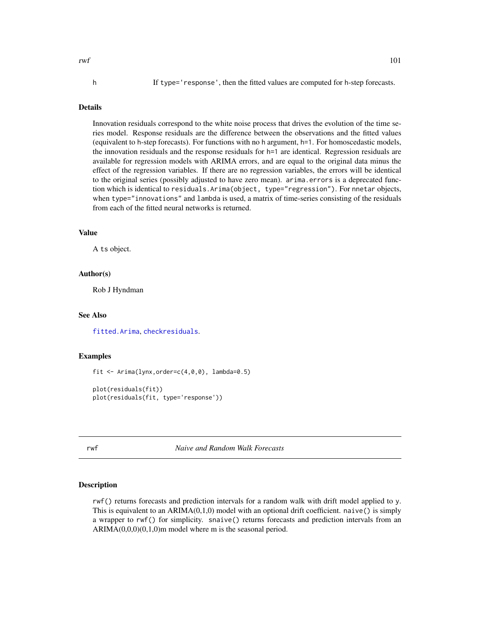$rwf$  101

# Details

Innovation residuals correspond to the white noise process that drives the evolution of the time series model. Response residuals are the difference between the observations and the fitted values (equivalent to h-step forecasts). For functions with no h argument, h=1. For homoscedastic models, the innovation residuals and the response residuals for h=1 are identical. Regression residuals are available for regression models with ARIMA errors, and are equal to the original data minus the effect of the regression variables. If there are no regression variables, the errors will be identical to the original series (possibly adjusted to have zero mean). arima.errors is a deprecated function which is identical to residuals.Arima(object, type="regression"). For nnetar objects, when type="innovations" and lambda is used, a matrix of time-series consisting of the residuals from each of the fitted neural networks is returned.

# Value

A ts object.

#### Author(s)

Rob J Hyndman

# See Also

[fitted.Arima](#page-42-0), [checkresiduals](#page-29-0).

#### Examples

fit  $\le$  Arima(lynx, order=c(4,0,0), lambda=0.5)

```
plot(residuals(fit))
plot(residuals(fit, type='response'))
```
<span id="page-100-0"></span>rwf *Naive and Random Walk Forecasts*

# **Description**

rwf() returns forecasts and prediction intervals for a random walk with drift model applied to y. This is equivalent to an  $ARIMA(0,1,0)$  model with an optional drift coefficient. naive() is simply a wrapper to rwf() for simplicity. snaive() returns forecasts and prediction intervals from an  $ARIMA(0,0,0)(0,1,0)$ m model where m is the seasonal period.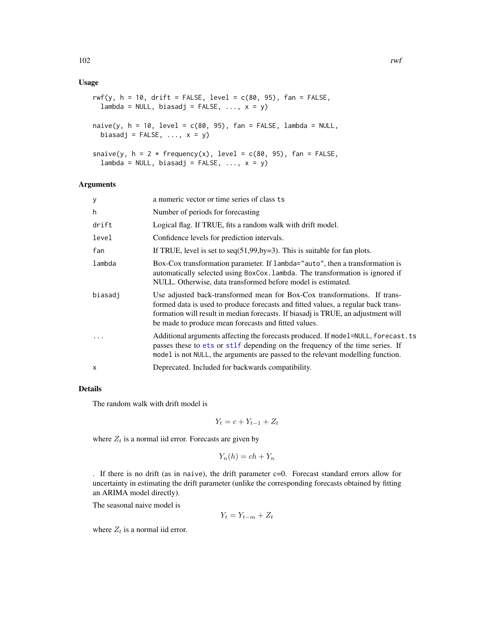#### Usage

```
rwf(y, h = 10, drift = FALSE, level = c(80, 95), fan = FALSE,lambda = NULL, biasadj = FALSE, ..., x = y)
```

```
naive(y, h = 10, level = c(80, 95), fan = FALSE, lambda = NULL,biasadj = FALSE, ..., x = y)
```

```
snaive(y, h = 2 * frequency(x), level = c(80, 95), fan = FALSE,
  lambda = NULL, biasadj = FALSE, ..., x = y)
```
#### Arguments

| У       | a numeric vector or time series of class ts                                                                                                                                                                                                                                                                 |
|---------|-------------------------------------------------------------------------------------------------------------------------------------------------------------------------------------------------------------------------------------------------------------------------------------------------------------|
| h       | Number of periods for forecasting                                                                                                                                                                                                                                                                           |
| drift   | Logical flag. If TRUE, fits a random walk with drift model.                                                                                                                                                                                                                                                 |
| level   | Confidence levels for prediction intervals.                                                                                                                                                                                                                                                                 |
| fan     | If TRUE, level is set to $seq(51, 99, by=3)$ . This is suitable for fan plots.                                                                                                                                                                                                                              |
| lambda  | Box-Cox transformation parameter. If lambda="auto", then a transformation is<br>automatically selected using BoxCox. Lambda. The transformation is ignored if<br>NULL. Otherwise, data transformed before model is estimated.                                                                               |
| biasadi | Use adjusted back-transformed mean for Box-Cox transformations. If trans-<br>formed data is used to produce forecasts and fitted values, a regular back trans-<br>formation will result in median forecasts. If biasadj is TRUE, an adjustment will<br>be made to produce mean forecasts and fitted values. |
|         | Additional arguments affecting the forecasts produced. If model=NULL, forecast.ts<br>passes these to ets or stlf depending on the frequency of the time series. If<br>model is not NULL, the arguments are passed to the relevant modelling function.                                                       |
| X       | Deprecated. Included for backwards compatibility.                                                                                                                                                                                                                                                           |

#### Details

The random walk with drift model is

 $Y_t = c + Y_{t-1} + Z_t$ 

where  $Z_t$  is a normal iid error. Forecasts are given by

$$
Y_n(h) = ch + Y_n
$$

. If there is no drift (as in naive), the drift parameter  $c=0$ . Forecast standard errors allow for uncertainty in estimating the drift parameter (unlike the corresponding forecasts obtained by fitting an ARIMA model directly).

The seasonal naive model is

$$
Y_t = Y_{t-m} + Z_t
$$

where  $Z_t$  is a normal iid error.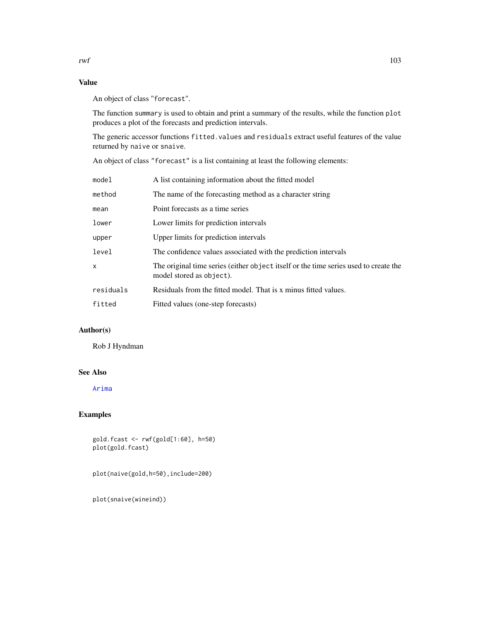# Value

An object of class "forecast".

The function summary is used to obtain and print a summary of the results, while the function plot produces a plot of the forecasts and prediction intervals.

The generic accessor functions fitted.values and residuals extract useful features of the value returned by naive or snaive.

An object of class "forecast" is a list containing at least the following elements:

| model     | A list containing information about the fitted model                                                             |
|-----------|------------------------------------------------------------------------------------------------------------------|
| method    | The name of the forecasting method as a character string                                                         |
| mean      | Point forecasts as a time series                                                                                 |
| lower     | Lower limits for prediction intervals                                                                            |
| upper     | Upper limits for prediction intervals                                                                            |
| level     | The confidence values associated with the prediction intervals                                                   |
| x         | The original time series (either object itself or the time series used to create the<br>model stored as object). |
| residuals | Residuals from the fitted model. That is x minus fitted values.                                                  |
| fitted    | Fitted values (one-step forecasts)                                                                               |

# Author(s)

Rob J Hyndman

# See Also

[Arima](#page-9-0)

# Examples

gold.fcast <- rwf(gold[1:60], h=50) plot(gold.fcast)

plot(naive(gold,h=50),include=200)

plot(snaive(wineind))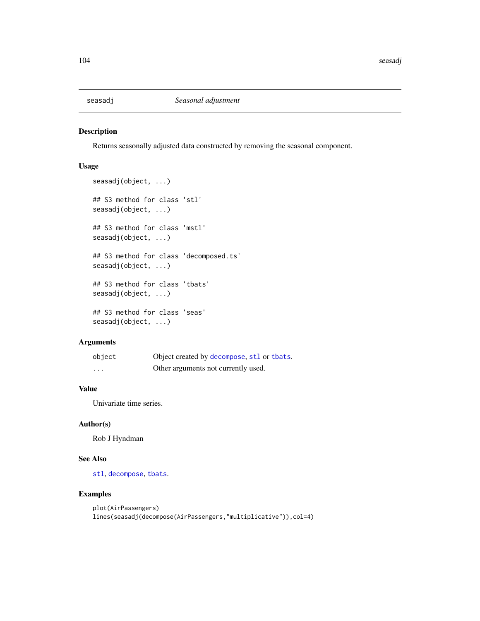<span id="page-103-0"></span>

Returns seasonally adjusted data constructed by removing the seasonal component.

#### Usage

```
seasadj(object, ...)
## S3 method for class 'stl'
seasadj(object, ...)
## S3 method for class 'mstl'
seasadj(object, ...)
## S3 method for class 'decomposed.ts'
seasadj(object, ...)
## S3 method for class 'tbats'
seasadj(object, ...)
## S3 method for class 'seas'
seasadj(object, ...)
```
# Arguments

| object   | Object created by decompose, stl or thats. |
|----------|--------------------------------------------|
| $\cdots$ | Other arguments not currently used.        |

# Value

Univariate time series.

#### Author(s)

Rob J Hyndman

# See Also

[stl](#page-0-0), [decompose](#page-0-0), [tbats](#page-117-0).

# Examples

```
plot(AirPassengers)
lines(seasadj(decompose(AirPassengers,"multiplicative")),col=4)
```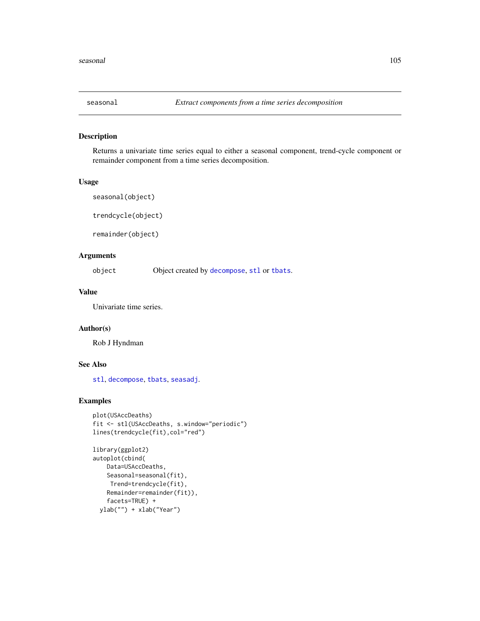Returns a univariate time series equal to either a seasonal component, trend-cycle component or remainder component from a time series decomposition.

#### Usage

```
seasonal(object)
```
trendcycle(object)

remainder(object)

# Arguments

object Object created by [decompose](#page-0-0), [stl](#page-0-0) or [tbats](#page-117-0).

#### Value

Univariate time series.

# Author(s)

Rob J Hyndman

#### See Also

[stl](#page-0-0), [decompose](#page-0-0), [tbats](#page-117-0), [seasadj](#page-103-0).

# Examples

```
plot(USAccDeaths)
fit <- stl(USAccDeaths, s.window="periodic")
lines(trendcycle(fit),col="red")
```

```
library(ggplot2)
autoplot(cbind(
   Data=USAccDeaths,
   Seasonal=seasonal(fit),
    Trend=trendcycle(fit),
   Remainder=remainder(fit)),
    facets=TRUE) +
 ylab("") + xlab("Year")
```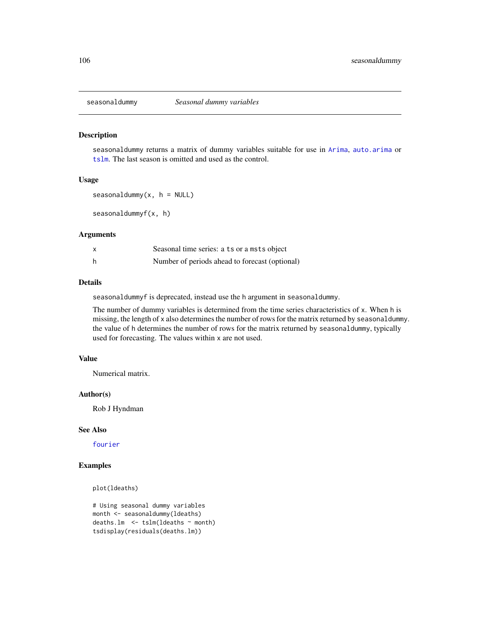seasonaldummy returns a matrix of dummy variables suitable for use in [Arima](#page-9-0), [auto.arima](#page-12-0) or [tslm](#page-123-0). The last season is omitted and used as the control.

#### Usage

```
seasonaldummy(x, h = NULL)
```
seasonaldummyf(x, h)

#### Arguments

|   | Seasonal time series: a ts or a msts object    |
|---|------------------------------------------------|
| h | Number of periods ahead to forecast (optional) |

#### Details

seasonaldummyf is deprecated, instead use the h argument in seasonaldummy.

The number of dummy variables is determined from the time series characteristics of x. When h is missing, the length of x also determines the number of rows for the matrix returned by seasonaldummy. the value of h determines the number of rows for the matrix returned by seasonaldummy, typically used for forecasting. The values within x are not used.

#### Value

Numerical matrix.

#### Author(s)

Rob J Hyndman

# See Also

[fourier](#page-67-0)

# Examples

plot(ldeaths)

```
# Using seasonal dummy variables
month <- seasonaldummy(ldeaths)
deaths.lm \leq tslm(ldeaths \sim month)
tsdisplay(residuals(deaths.lm))
```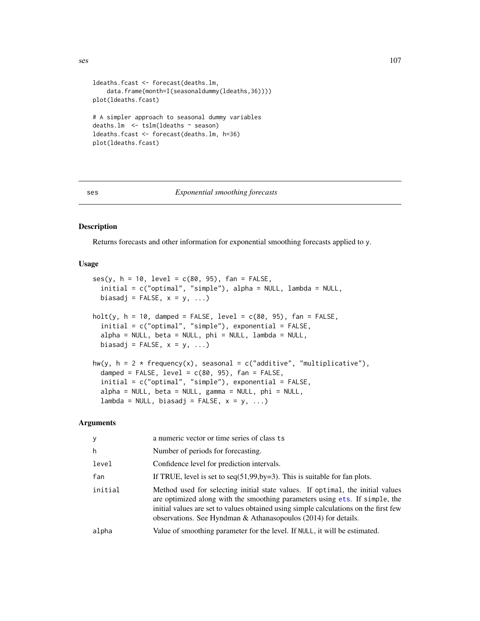```
ldeaths.fcast <- forecast(deaths.lm,
    data.frame(month=I(seasonaldummy(ldeaths,36))))
plot(ldeaths.fcast)
# A simpler approach to seasonal dummy variables
deaths.lm <- tslm(ldeaths ~ season)
ldeaths.fcast <- forecast(deaths.lm, h=36)
plot(ldeaths.fcast)
```
#### ses *Exponential smoothing forecasts*

#### Description

Returns forecasts and other information for exponential smoothing forecasts applied to y.

#### Usage

```
ses(y, h = 10, level = c(80, 95), fan = FALSE,initial = c("optimal", "simple"), alpha = NULL, lambda = NULL,
 biasadj = FALSE, x = y, ...)holt(y, h = 10, damped = FALSE, level = c(80, 95), fan = FALSE,
  initial = c("optimal", "simple"), exponential = FALSE,alpha = NULL, beta = NULL, phi = NULL, lambda = NULL,
 biasadj = FALSE, x = y, ...hw(y, h = 2 * frequency(x), seasonal = c("additive", "multiplicative"),
  damped = FALSE, level = c(80, 95), fan = FALSE,
  initial = c("optimal", "simple"), exponential = FALSE,
  alpha = NULL, beta = NULL, gamma = NULL, phi = NULL,
  lambda = NULL, biasadj = FALSE, x = y, ...
```

| y       | a numeric vector or time series of class ts                                                                                                                                                                                                                                                                             |
|---------|-------------------------------------------------------------------------------------------------------------------------------------------------------------------------------------------------------------------------------------------------------------------------------------------------------------------------|
| h       | Number of periods for forecasting.                                                                                                                                                                                                                                                                                      |
| level   | Confidence level for prediction intervals.                                                                                                                                                                                                                                                                              |
| fan     | If TRUE, level is set to $seq(51, 99, by=3)$ . This is suitable for fan plots.                                                                                                                                                                                                                                          |
| initial | Method used for selecting initial state values. If optimal, the initial values<br>are optimized along with the smoothing parameters using ets. If simple, the<br>initial values are set to values obtained using simple calculations on the first few<br>observations. See Hyndman & Athanasopoulos (2014) for details. |
| alpha   | Value of smoothing parameter for the level. If NULL, it will be estimated.                                                                                                                                                                                                                                              |
|         |                                                                                                                                                                                                                                                                                                                         |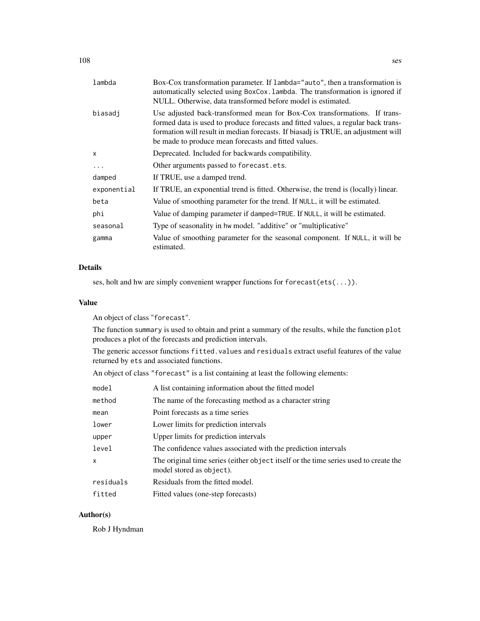| lambda      | Box-Cox transformation parameter. If lambda="auto", then a transformation is<br>automatically selected using BoxCox. Lambda. The transformation is ignored if<br>NULL. Otherwise, data transformed before model is estimated.                                                                               |
|-------------|-------------------------------------------------------------------------------------------------------------------------------------------------------------------------------------------------------------------------------------------------------------------------------------------------------------|
| biasadj     | Use adjusted back-transformed mean for Box-Cox transformations. If trans-<br>formed data is used to produce forecasts and fitted values, a regular back trans-<br>formation will result in median forecasts. If biasadj is TRUE, an adjustment will<br>be made to produce mean forecasts and fitted values. |
| X           | Deprecated. Included for backwards compatibility.                                                                                                                                                                                                                                                           |
| $\ddots$ .  | Other arguments passed to forecast.ets.                                                                                                                                                                                                                                                                     |
| damped      | If TRUE, use a damped trend.                                                                                                                                                                                                                                                                                |
| exponential | If TRUE, an exponential trend is fitted. Otherwise, the trend is (locally) linear.                                                                                                                                                                                                                          |
| beta        | Value of smoothing parameter for the trend. If NULL, it will be estimated.                                                                                                                                                                                                                                  |
| phi         | Value of damping parameter if damped=TRUE. If NULL, it will be estimated.                                                                                                                                                                                                                                   |
| seasonal    | Type of seasonality in hw model. "additive" or "multiplicative"                                                                                                                                                                                                                                             |
| gamma       | Value of smoothing parameter for the seasonal component. If NULL, it will be<br>estimated.                                                                                                                                                                                                                  |
|             |                                                                                                                                                                                                                                                                                                             |

# Details

ses, holt and hw are simply convenient wrapper functions for forecast(ets(...)).

# Value

An object of class "forecast".

The function summary is used to obtain and print a summary of the results, while the function plot produces a plot of the forecasts and prediction intervals.

The generic accessor functions fitted.values and residuals extract useful features of the value returned by ets and associated functions.

An object of class "forecast" is a list containing at least the following elements:

| model     | A list containing information about the fitted model                                                             |
|-----------|------------------------------------------------------------------------------------------------------------------|
| method    | The name of the forecasting method as a character string                                                         |
| mean      | Point forecasts as a time series                                                                                 |
| lower     | Lower limits for prediction intervals                                                                            |
| upper     | Upper limits for prediction intervals                                                                            |
| level     | The confidence values associated with the prediction intervals                                                   |
| X.        | The original time series (either object itself or the time series used to create the<br>model stored as object). |
| residuals | Residuals from the fitted model.                                                                                 |
| fitted    | Fitted values (one-step forecasts)                                                                               |

# Author(s)

Rob J Hyndman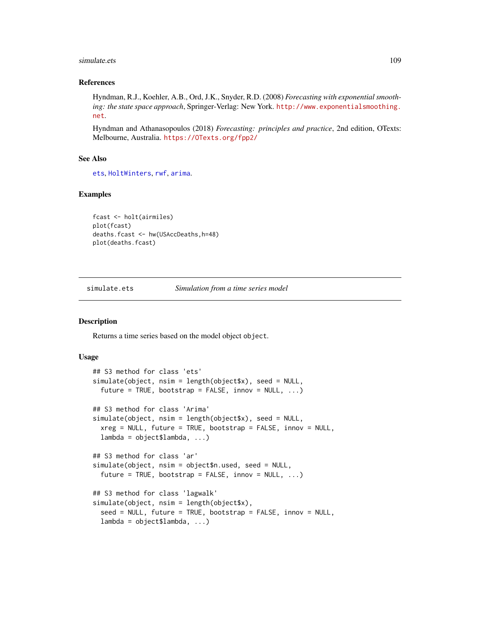#### <span id="page-108-0"></span>simulate.ets 109

#### References

Hyndman, R.J., Koehler, A.B., Ord, J.K., Snyder, R.D. (2008) *Forecasting with exponential smoothing: the state space approach*, Springer-Verlag: New York. [http://www.exponentialsmoothing.](http://www.exponentialsmoothing.net) [net](http://www.exponentialsmoothing.net).

Hyndman and Athanasopoulos (2018) *Forecasting: principles and practice*, 2nd edition, OTexts: Melbourne, Australia. <https://OTexts.org/fpp2/>

#### See Also

[ets](#page-38-0), [HoltWinters](#page-0-0), [rwf](#page-100-0), [arima](#page-0-0).

### Examples

```
fcast <- holt(airmiles)
plot(fcast)
deaths.fcast <- hw(USAccDeaths,h=48)
plot(deaths.fcast)
```
simulate.ets *Simulation from a time series model*

## Description

Returns a time series based on the model object object.

#### Usage

```
## S3 method for class 'ets'
simulate(object, nsim = length(object$x), seed = NULL,
  future = TRUE, bootstrap = FALSE, innov = NULL, \ldots)
## S3 method for class 'Arima'
simulate(object, nsim = length(object$x), seed = NULL,
 xreg = NULL, future = TRUE, bootstrap = FALSE, innov = NULL,
 lambda = object$lambda, ...)
## S3 method for class 'ar'
simulate(object, nsim = object$n.used, seed = NULL,
  future = TRUE, bootstrap = FALSE, innov = NULL, ...)## S3 method for class 'lagwalk'
simulate(object, nsim = length(object$x),
  seed = NULL, future = TRUE, bootstrap = FALSE, innov = NULL,
  lambda = object$landa, ...)
```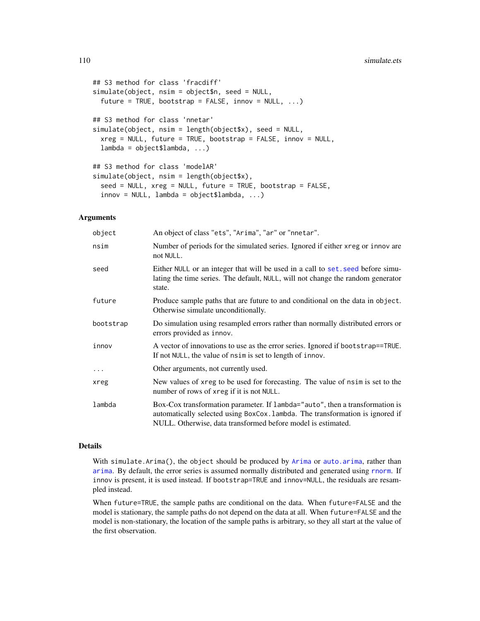```
## S3 method for class 'fracdiff'
simulate(object, nsim = object$n, seed = NULL,
 future = TRUE, bootstrap = FALSE, innov = NULL, ...)## S3 method for class 'nnetar'
simulate(object, nsim = length(object$x), seed = NULL,
 xreg = NULL, future = TRUE, bootstrap = FALSE, innov = NULL,
  lambda = object$lambda, ...## S3 method for class 'modelAR'
simulate(object, nsim = length(object$x),
  seed = NULL, xreg = NULL, future = TRUE, bootstrap = FALSE,
  innov = NULL, lambda = object$lambda, ...)
```
#### Arguments

| object     | An object of class "ets", "Arima", "ar" or "nnetar".                                                                                                                                                                          |
|------------|-------------------------------------------------------------------------------------------------------------------------------------------------------------------------------------------------------------------------------|
| nsim       | Number of periods for the simulated series. Ignored if either xreg or innov are<br>not NULL.                                                                                                                                  |
| seed       | Either NULL or an integer that will be used in a call to set, seed before simu-<br>lating the time series. The default, NULL, will not change the random generator<br>state.                                                  |
| future     | Produce sample paths that are future to and conditional on the data in object.<br>Otherwise simulate unconditionally.                                                                                                         |
| bootstrap  | Do simulation using resampled errors rather than normally distributed errors or<br>errors provided as innov.                                                                                                                  |
| innov      | A vector of innovations to use as the error series. Ignored if bootstrap==TRUE.<br>If not NULL, the value of nsim is set to length of innov.                                                                                  |
| $\ddots$ . | Other arguments, not currently used.                                                                                                                                                                                          |
| xreg       | New values of xreg to be used for forecasting. The value of nsim is set to the<br>number of rows of xreg if it is not NULL.                                                                                                   |
| lambda     | Box-Cox transformation parameter. If lambda="auto", then a transformation is<br>automatically selected using BoxCox. Lambda. The transformation is ignored if<br>NULL. Otherwise, data transformed before model is estimated. |

# Details

With simulate.[Arima](#page-9-0)(), the object should be produced by Arima or [auto.arima](#page-12-0), rather than [arima](#page-0-0). By default, the error series is assumed normally distributed and generated using [rnorm](#page-0-0). If innov is present, it is used instead. If bootstrap=TRUE and innov=NULL, the residuals are resampled instead.

When future=TRUE, the sample paths are conditional on the data. When future=FALSE and the model is stationary, the sample paths do not depend on the data at all. When future=FALSE and the model is non-stationary, the location of the sample paths is arbitrary, so they all start at the value of the first observation.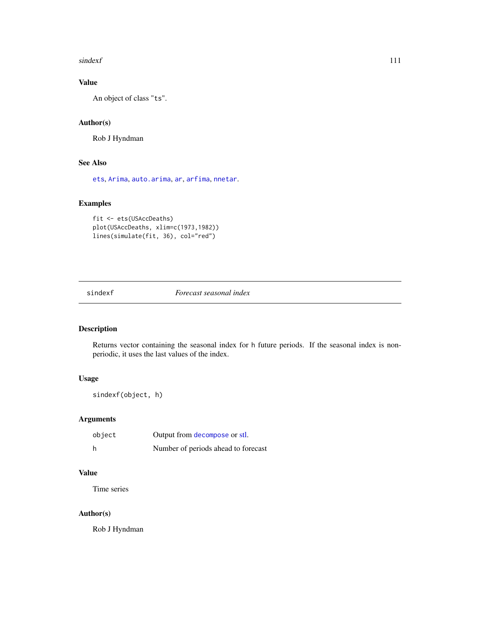#### <span id="page-110-0"></span>sindexf 111

# Value

An object of class "ts".

# Author(s)

Rob J Hyndman

# See Also

[ets](#page-38-0), [Arima](#page-9-0), [auto.arima](#page-12-0), [ar](#page-0-0), [arfima](#page-7-0), [nnetar](#page-88-0).

# Examples

```
fit <- ets(USAccDeaths)
plot(USAccDeaths, xlim=c(1973,1982))
lines(simulate(fit, 36), col="red")
```
sindexf *Forecast seasonal index*

# Description

Returns vector containing the seasonal index for h future periods. If the seasonal index is nonperiodic, it uses the last values of the index.

# Usage

sindexf(object, h)

## Arguments

| object | Output from decompose or stl.       |
|--------|-------------------------------------|
| h      | Number of periods ahead to forecast |

# Value

Time series

# Author(s)

Rob J Hyndman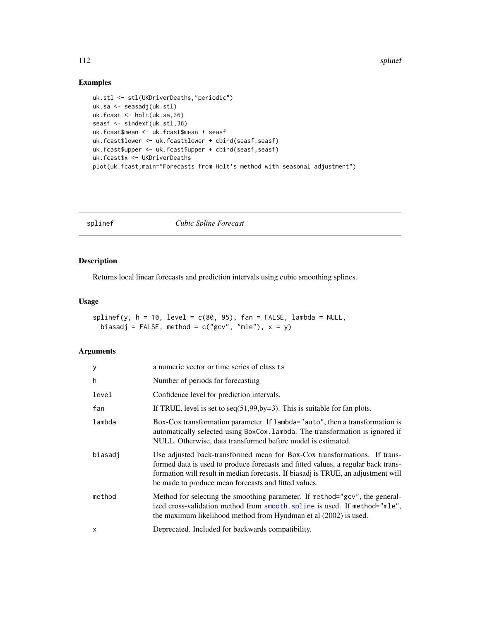112 splinef

# Examples

```
uk.stl <- stl(UKDriverDeaths,"periodic")
uk.sa <- seasadj(uk.stl)
uk.fcast <- holt(uk.sa,36)
seasf <- sindexf(uk.stl,36)
uk.fcast$mean <- uk.fcast$mean + seasf
uk.fcast$lower <- uk.fcast$lower + cbind(seasf,seasf)
uk.fcast$upper <- uk.fcast$upper + cbind(seasf,seasf)
uk.fcast$x <- UKDriverDeaths
plot(uk.fcast,main="Forecasts from Holt's method with seasonal adjustment")
```
splinef *Cubic Spline Forecast*

# Description

Returns local linear forecasts and prediction intervals using cubic smoothing splines.

# Usage

```
spliter(y, h = 10, level = c(80, 95), fan = FALSE, lambda = NULL,biasadj = FALSE, method = c("gcv", "mle"), x = y)
```

| У       | a numeric vector or time series of class ts                                                                                                                                                                                                                                                                 |
|---------|-------------------------------------------------------------------------------------------------------------------------------------------------------------------------------------------------------------------------------------------------------------------------------------------------------------|
| h       | Number of periods for forecasting                                                                                                                                                                                                                                                                           |
| level   | Confidence level for prediction intervals.                                                                                                                                                                                                                                                                  |
| fan     | If TRUE, level is set to $seq(51, 99, by=3)$ . This is suitable for fan plots.                                                                                                                                                                                                                              |
| lambda  | Box-Cox transformation parameter. If lambda="auto", then a transformation is<br>automatically selected using BoxCox. Lambda. The transformation is ignored if<br>NULL. Otherwise, data transformed before model is estimated.                                                                               |
| biasadj | Use adjusted back-transformed mean for Box-Cox transformations. If trans-<br>formed data is used to produce forecasts and fitted values, a regular back trans-<br>formation will result in median forecasts. If biasadj is TRUE, an adjustment will<br>be made to produce mean forecasts and fitted values. |
| method  | Method for selecting the smoothing parameter. If method="gcv", the general-<br>ized cross-validation method from smooth. spline is used. If method="mle",<br>the maximum likelihood method from Hyndman et al (2002) is used.                                                                               |
| X       | Deprecated. Included for backwards compatibility.                                                                                                                                                                                                                                                           |

<span id="page-111-0"></span>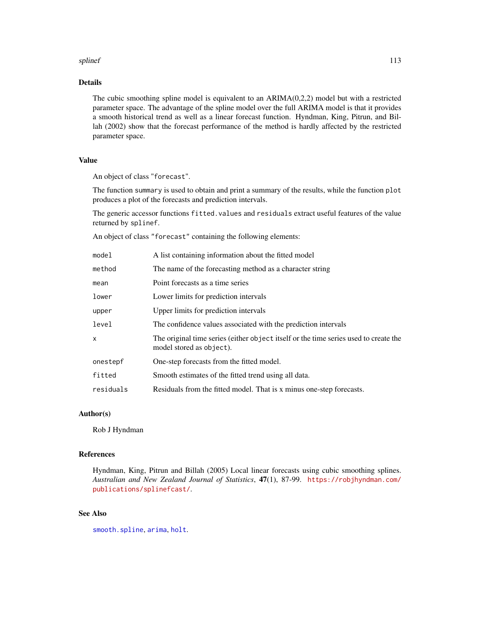#### <span id="page-112-0"></span>splinef that the special state of the special state of the special state of the special state of the special state of the special state of the special state of the special state of the special state of the special state of

# Details

The cubic smoothing spline model is equivalent to an ARIMA(0,2,2) model but with a restricted parameter space. The advantage of the spline model over the full ARIMA model is that it provides a smooth historical trend as well as a linear forecast function. Hyndman, King, Pitrun, and Billah (2002) show that the forecast performance of the method is hardly affected by the restricted parameter space.

# Value

An object of class "forecast".

The function summary is used to obtain and print a summary of the results, while the function plot produces a plot of the forecasts and prediction intervals.

The generic accessor functions fitted.values and residuals extract useful features of the value returned by splinef.

An object of class "forecast" containing the following elements:

| model     | A list containing information about the fitted model                                                             |
|-----------|------------------------------------------------------------------------------------------------------------------|
| method    | The name of the forecasting method as a character string                                                         |
| mean      | Point forecasts as a time series                                                                                 |
| lower     | Lower limits for prediction intervals                                                                            |
| upper     | Upper limits for prediction intervals                                                                            |
| level     | The confidence values associated with the prediction intervals                                                   |
| x         | The original time series (either object itself or the time series used to create the<br>model stored as object). |
| onestepf  | One-step forecasts from the fitted model.                                                                        |
| fitted    | Smooth estimates of the fitted trend using all data.                                                             |
| residuals | Residuals from the fitted model. That is x minus one-step forecasts.                                             |

# Author(s)

Rob J Hyndman

# References

Hyndman, King, Pitrun and Billah (2005) Local linear forecasts using cubic smoothing splines. *Australian and New Zealand Journal of Statistics*, 47(1), 87-99. [https://robjhyndman.com/](https://robjhyndman.com/publications/splinefcast/) [publications/splinefcast/](https://robjhyndman.com/publications/splinefcast/).

# See Also

[smooth.spline](#page-0-0), [arima](#page-0-0), [holt](#page-106-0).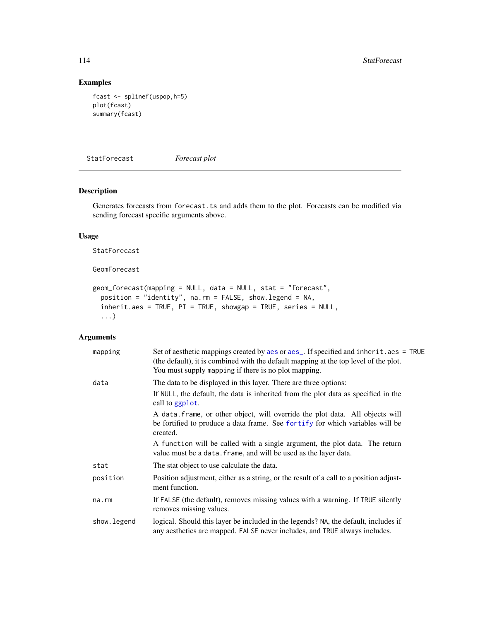# Examples

```
fcast <- splinef(uspop,h=5)
plot(fcast)
summary(fcast)
```
StatForecast *Forecast plot*

# Description

Generates forecasts from forecast.ts and adds them to the plot. Forecasts can be modified via sending forecast specific arguments above.

#### Usage

StatForecast

GeomForecast

```
geom_forecast(mapping = NULL, data = NULL, stat = "forecast",
 position = "identity", na.rm = FALSE, show.legend = NA,
  inherit.aes = TRUE, PI = TRUE, showgap = TRUE, series = NULL,
  ...)
```

| mapping      | Set of aesthetic mappings created by aes or aes_. If specified and inherit.aes = TRUE<br>(the default), it is combined with the default mapping at the top level of the plot.<br>You must supply mapping if there is no plot mapping. |
|--------------|---------------------------------------------------------------------------------------------------------------------------------------------------------------------------------------------------------------------------------------|
| data         | The data to be displayed in this layer. There are three options:                                                                                                                                                                      |
|              | If NULL, the default, the data is inherited from the plot data as specified in the<br>call to ggplot.                                                                                                                                 |
|              | A data frame, or other object, will override the plot data. All objects will<br>be fortified to produce a data frame. See fortify for which variables will be<br>created.                                                             |
|              | A function will be called with a single argument, the plot data. The return<br>value must be a data. frame, and will be used as the layer data.                                                                                       |
| stat         | The stat object to use calculate the data.                                                                                                                                                                                            |
| position     | Position adjustment, either as a string, or the result of a call to a position adjust-<br>ment function.                                                                                                                              |
| na.rm        | If FALSE (the default), removes missing values with a warning. If TRUE silently<br>removes missing values.                                                                                                                            |
| show. legend | logical. Should this layer be included in the legends? NA, the default, includes if<br>any aesthetics are mapped. FALSE never includes, and TRUE always includes.                                                                     |

<span id="page-113-0"></span>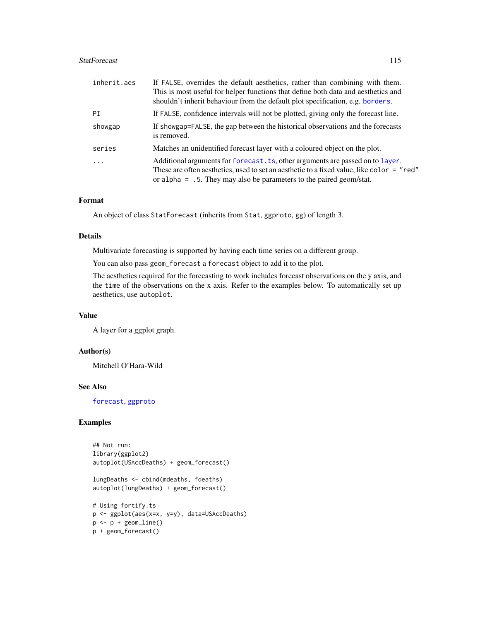#### <span id="page-114-0"></span>StatForecast 115

| inherit.aes | If FALSE, overrides the default aesthetics, rather than combining with them.                                                                                                                                                                          |
|-------------|-------------------------------------------------------------------------------------------------------------------------------------------------------------------------------------------------------------------------------------------------------|
|             | This is most useful for helper functions that define both data and aesthetics and                                                                                                                                                                     |
|             | shouldn't inherit behaviour from the default plot specification, e.g. borders.                                                                                                                                                                        |
| PI          | If FALSE, confidence intervals will not be plotted, giving only the forecast line.                                                                                                                                                                    |
| showgap     | If showgap=FALSE, the gap between the historical observations and the forecasts<br>is removed.                                                                                                                                                        |
| series      | Matches an unidentified forecast layer with a coloured object on the plot.                                                                                                                                                                            |
| $\ddotsc$   | Additional arguments for forecast. ts, other arguments are passed on to layer.<br>These are often aesthetics, used to set an aesthetic to a fixed value, like color = "red"<br>or alpha = $.5$ . They may also be parameters to the paired geom/stat. |

#### Format

An object of class StatForecast (inherits from Stat, ggproto, gg) of length 3.

#### Details

Multivariate forecasting is supported by having each time series on a different group.

You can also pass geom\_forecast a forecast object to add it to the plot.

The aesthetics required for the forecasting to work includes forecast observations on the y axis, and the time of the observations on the x axis. Refer to the examples below. To automatically set up aesthetics, use autoplot.

# Value

A layer for a ggplot graph.

# Author(s)

Mitchell O'Hara-Wild

# See Also

[forecast](#page-43-1), [ggproto](#page-0-0)

# Examples

```
## Not run:
library(ggplot2)
autoplot(USAccDeaths) + geom_forecast()
lungDeaths <- cbind(mdeaths, fdeaths)
autoplot(lungDeaths) + geom_forecast()
# Using fortify.ts
p <- ggplot(aes(x=x, y=y), data=USAccDeaths)
p \leftarrow p + \text{geom\_line}()p + geom_forecast()
```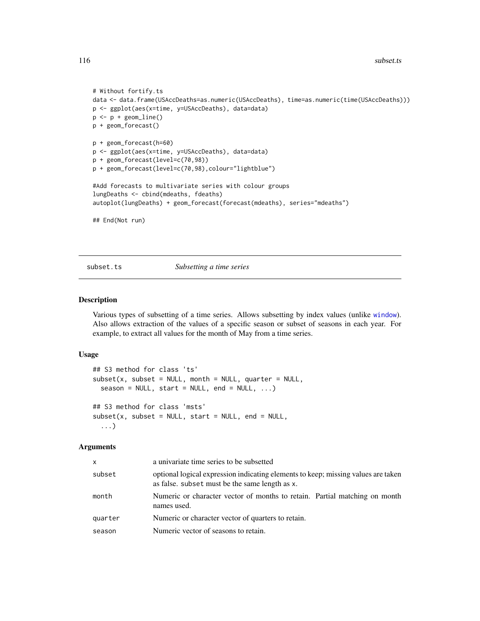```
# Without fortify.ts
data <- data.frame(USAccDeaths=as.numeric(USAccDeaths), time=as.numeric(time(USAccDeaths)))
p <- ggplot(aes(x=time, y=USAccDeaths), data=data)
p \leftarrow p + \text{geom\_line}()p + geom_forecast()
p + geom_forecast(h=60)
p <- ggplot(aes(x=time, y=USAccDeaths), data=data)
p + geom_forecast(level=c(70,98))
p + geom_forecast(level=c(70,98),colour="lightblue")
#Add forecasts to multivariate series with colour groups
lungDeaths <- cbind(mdeaths, fdeaths)
autoplot(lungDeaths) + geom_forecast(forecast(mdeaths), series="mdeaths")
## End(Not run)
```
subset.ts *Subsetting a time series*

#### Description

Various types of subsetting of a time series. Allows subsetting by index values (unlike [window](#page-0-0)). Also allows extraction of the values of a specific season or subset of seasons in each year. For example, to extract all values for the month of May from a time series.

# Usage

```
## S3 method for class 'ts'
subset(x, subset = NULL, month = NULL, quarter = NULL,season = NULL, start = NULL, end = NULL, ...## S3 method for class 'msts'
subset(x, subset = NULL, start = NULL, end = NULL,...)
```

| x       | a univariate time series to be subsetted                                                                                            |
|---------|-------------------------------------------------------------------------------------------------------------------------------------|
| subset  | optional logical expression indicating elements to keep; missing values are taken<br>as false. subset must be the same length as x. |
| month   | Numeric or character vector of months to retain. Partial matching on month<br>names used.                                           |
| quarter | Numeric or character vector of quarters to retain.                                                                                  |
| season  | Numeric vector of seasons to retain.                                                                                                |
|         |                                                                                                                                     |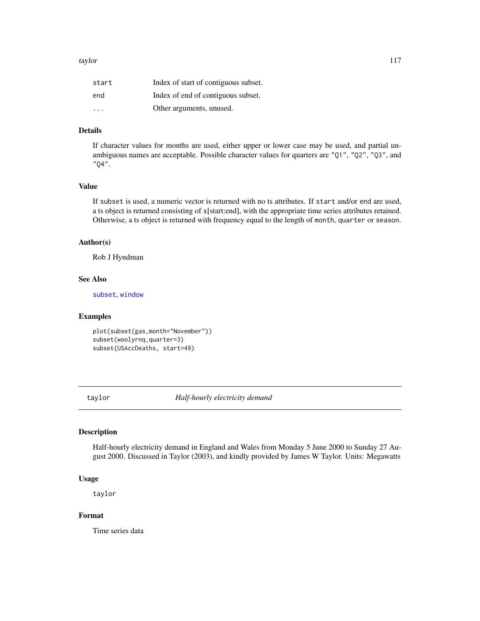<span id="page-116-0"></span>

| start                   | Index of start of contiguous subset. |
|-------------------------|--------------------------------------|
| end                     | Index of end of contiguous subset.   |
| $\cdot$ $\cdot$ $\cdot$ | Other arguments, unused.             |

# Details

If character values for months are used, either upper or lower case may be used, and partial unambiguous names are acceptable. Possible character values for quarters are "Q1", "Q2", "Q3", and "Q4".

## Value

If subset is used, a numeric vector is returned with no ts attributes. If start and/or end are used, a ts object is returned consisting of x[start:end], with the appropriate time series attributes retained. Otherwise, a ts object is returned with frequency equal to the length of month, quarter or season.

#### Author(s)

Rob J Hyndman

#### See Also

[subset](#page-0-0), [window](#page-0-0)

#### Examples

```
plot(subset(gas,month="November"))
subset(woolyrnq,quarter=3)
subset(USAccDeaths, start=49)
```
taylor *Half-hourly electricity demand*

# Description

Half-hourly electricity demand in England and Wales from Monday 5 June 2000 to Sunday 27 August 2000. Discussed in Taylor (2003), and kindly provided by James W Taylor. Units: Megawatts

# Usage

taylor

#### Format

Time series data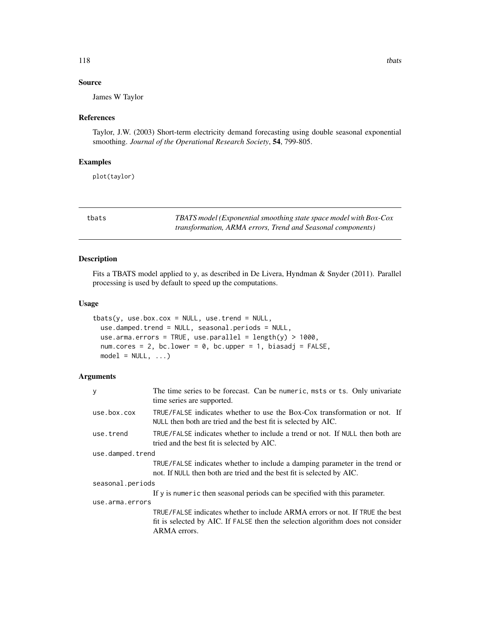# <span id="page-117-1"></span>Source

James W Taylor

#### References

Taylor, J.W. (2003) Short-term electricity demand forecasting using double seasonal exponential smoothing. *Journal of the Operational Research Society*, 54, 799-805.

#### Examples

plot(taylor)

<span id="page-117-0"></span>tbats *TBATS model (Exponential smoothing state space model with Box-Cox transformation, ARMA errors, Trend and Seasonal components)*

# Description

Fits a TBATS model applied to y, as described in De Livera, Hyndman & Snyder (2011). Parallel processing is used by default to speed up the computations.

#### Usage

```
tbats(y, use.box.cox = NULL, use.trend = NULL,
 use.damped.trend = NULL, seasonal.periods = NULL,
 use.arma.errors = TRUE, use.parallel = length(y) > 1000,
 num.cores = 2, bc.lower = 0, bc.upper = 1, biasadj = FALSE,
 model = NULL, ...)
```

| y                | The time series to be forecast. Can be numeric, msts or ts. Only univariate<br>time series are supported.                                                                       |  |
|------------------|---------------------------------------------------------------------------------------------------------------------------------------------------------------------------------|--|
| use.box.cox      | TRUE/FALSE indicates whether to use the Box-Cox transformation or not. If<br>NULL then both are tried and the best fit is selected by AIC.                                      |  |
| use.trend        | TRUE/FALSE indicates whether to include a trend or not. If NULL then both are<br>tried and the best fit is selected by AIC.                                                     |  |
| use.damped.trend |                                                                                                                                                                                 |  |
|                  | TRUE/FALSE indicates whether to include a damping parameter in the trend or<br>not. If NULL then both are tried and the best fit is selected by AIC.                            |  |
| seasonal.periods |                                                                                                                                                                                 |  |
|                  | If y is numeric then seasonal periods can be specified with this parameter.                                                                                                     |  |
| use.arma.errors  |                                                                                                                                                                                 |  |
|                  | TRUE/FALSE indicates whether to include ARMA errors or not. If TRUE the best<br>fit is selected by AIC. If FALSE then the selection algorithm does not consider<br>ARMA errors. |  |
|                  |                                                                                                                                                                                 |  |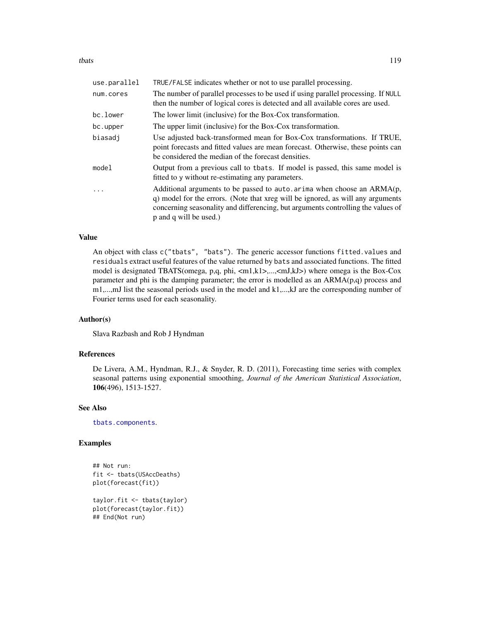<span id="page-118-0"></span>tbats that the contract of the contract of the contract of the contract of the contract of the contract of the contract of the contract of the contract of the contract of the contract of the contract of the contract of the

| use.parallel | TRUE/FALSE indicates whether or not to use parallel processing.                                                                                                                                                                                                            |
|--------------|----------------------------------------------------------------------------------------------------------------------------------------------------------------------------------------------------------------------------------------------------------------------------|
| num.cores    | The number of parallel processes to be used if using parallel processing. If NULL<br>then the number of logical cores is detected and all available cores are used.                                                                                                        |
| bc.lower     | The lower limit (inclusive) for the Box-Cox transformation.                                                                                                                                                                                                                |
| bc.upper     | The upper limit (inclusive) for the Box-Cox transformation.                                                                                                                                                                                                                |
| biasadi      | Use adjusted back-transformed mean for Box-Cox transformations. If TRUE,<br>point forecasts and fitted values are mean forecast. Otherwise, these points can<br>be considered the median of the forecast densities.                                                        |
| model        | Output from a previous call to tbats. If model is passed, this same model is<br>fitted to y without re-estimating any parameters.                                                                                                                                          |
| .            | Additional arguments to be passed to auto. arima when choose an $ARMA(p,$<br>q) model for the errors. (Note that xreg will be ignored, as will any arguments<br>concerning seasonality and differencing, but arguments controlling the values of<br>p and q will be used.) |

# Value

An object with class c("tbats", "bats"). The generic accessor functions fitted.values and residuals extract useful features of the value returned by bats and associated functions. The fitted model is designated TBATS(omega, p,q, phi, <m1,k1>,...,<mJ,kJ>) where omega is the Box-Cox parameter and phi is the damping parameter; the error is modelled as an ARMA(p,q) process and m1,...,mJ list the seasonal periods used in the model and k1,...,kJ are the corresponding number of Fourier terms used for each seasonality.

# Author(s)

Slava Razbash and Rob J Hyndman

# References

De Livera, A.M., Hyndman, R.J., & Snyder, R. D. (2011), Forecasting time series with complex seasonal patterns using exponential smoothing, *Journal of the American Statistical Association*, 106(496), 1513-1527.

#### See Also

[tbats.components](#page-119-0).

#### Examples

```
## Not run:
fit <- tbats(USAccDeaths)
plot(forecast(fit))
taylor.fit <- tbats(taylor)
plot(forecast(taylor.fit))
```

```
## End(Not run)
```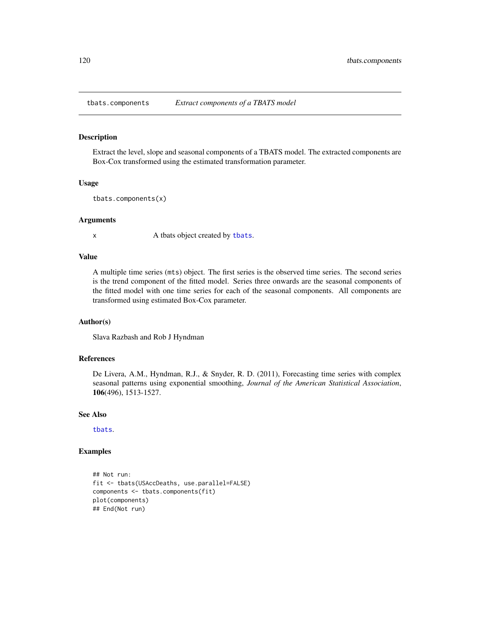<span id="page-119-1"></span><span id="page-119-0"></span>

#### Description

Extract the level, slope and seasonal components of a TBATS model. The extracted components are Box-Cox transformed using the estimated transformation parameter.

#### Usage

```
tbats.components(x)
```
#### Arguments

x A [tbats](#page-117-0) object created by tbats.

#### Value

A multiple time series (mts) object. The first series is the observed time series. The second series is the trend component of the fitted model. Series three onwards are the seasonal components of the fitted model with one time series for each of the seasonal components. All components are transformed using estimated Box-Cox parameter.

#### Author(s)

Slava Razbash and Rob J Hyndman

#### References

De Livera, A.M., Hyndman, R.J., & Snyder, R. D. (2011), Forecasting time series with complex seasonal patterns using exponential smoothing, *Journal of the American Statistical Association*, 106(496), 1513-1527.

#### See Also

[tbats](#page-117-0).

# Examples

```
## Not run:
fit <- tbats(USAccDeaths, use.parallel=FALSE)
components <- tbats.components(fit)
plot(components)
## End(Not run)
```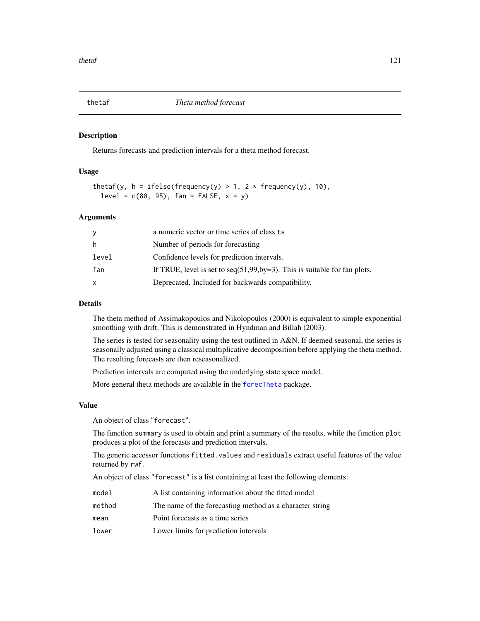<span id="page-120-0"></span>

#### Description

Returns forecasts and prediction intervals for a theta method forecast.

# Usage

```
thetaf(y, h = ifelse(frequency(y) > 1, 2 * frequency(y), 10),
  level = c(80, 95), fan = FALSE, x = y)
```
#### Arguments

| у     | a numeric vector or time series of class ts                                    |
|-------|--------------------------------------------------------------------------------|
| h.    | Number of periods for forecasting                                              |
| level | Confidence levels for prediction intervals.                                    |
| fan   | If TRUE, level is set to $seq(51, 99, by=3)$ . This is suitable for fan plots. |
| x     | Deprecated. Included for backwards compatibility.                              |

# Details

The theta method of Assimakopoulos and Nikolopoulos (2000) is equivalent to simple exponential smoothing with drift. This is demonstrated in Hyndman and Billah (2003).

The series is tested for seasonality using the test outlined in A&N. If deemed seasonal, the series is seasonally adjusted using a classical multiplicative decomposition before applying the theta method. The resulting forecasts are then reseasonalized.

Prediction intervals are computed using the underlying state space model.

More general theta methods are available in the [forecTheta](#page-0-0) package.

#### Value

An object of class "forecast".

The function summary is used to obtain and print a summary of the results, while the function plot produces a plot of the forecasts and prediction intervals.

The generic accessor functions fitted.values and residuals extract useful features of the value returned by rwf.

An object of class "forecast" is a list containing at least the following elements:

| model  | A list containing information about the fitted model     |
|--------|----------------------------------------------------------|
| method | The name of the forecasting method as a character string |
| mean   | Point forecasts as a time series                         |
| lower  | Lower limits for prediction intervals                    |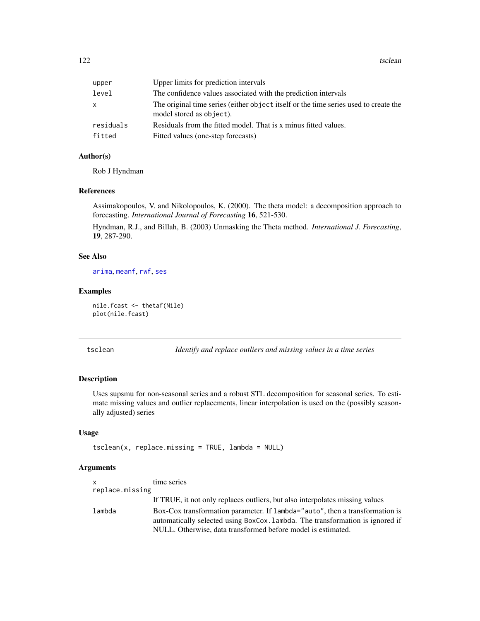<span id="page-121-1"></span>122 tsclean

| upper     | Upper limits for prediction intervals                                                                            |
|-----------|------------------------------------------------------------------------------------------------------------------|
| level     | The confidence values associated with the prediction intervals                                                   |
| x         | The original time series (either object itself or the time series used to create the<br>model stored as object). |
| residuals | Residuals from the fitted model. That is x minus fitted values.                                                  |
| fitted    | Fitted values (one-step forecasts)                                                                               |
|           |                                                                                                                  |

# Author(s)

Rob J Hyndman

#### References

Assimakopoulos, V. and Nikolopoulos, K. (2000). The theta model: a decomposition approach to forecasting. *International Journal of Forecasting* 16, 521-530.

Hyndman, R.J., and Billah, B. (2003) Unmasking the Theta method. *International J. Forecasting*, 19, 287-290.

# See Also

[arima](#page-0-0), [meanf](#page-80-0), [rwf](#page-100-0), [ses](#page-106-1)

#### Examples

nile.fcast <- thetaf(Nile) plot(nile.fcast)

<span id="page-121-0"></span>tsclean *Identify and replace outliers and missing values in a time series*

# Description

Uses supsmu for non-seasonal series and a robust STL decomposition for seasonal series. To estimate missing values and outlier replacements, linear interpolation is used on the (possibly seasonally adjusted) series

#### Usage

```
tsclean(x, replace.missing = TRUE, lambda = NULL)
```

| $\mathsf{x}$    | time series                                                                                                                                                   |
|-----------------|---------------------------------------------------------------------------------------------------------------------------------------------------------------|
| replace.missing |                                                                                                                                                               |
|                 | If TRUE, it not only replaces outliers, but also interpolates missing values                                                                                  |
| lambda          | Box-Cox transformation parameter. If lambda="auto", then a transformation is<br>automatically selected using BoxCox. Lambda. The transformation is ignored if |
|                 | NULL. Otherwise, data transformed before model is estimated.                                                                                                  |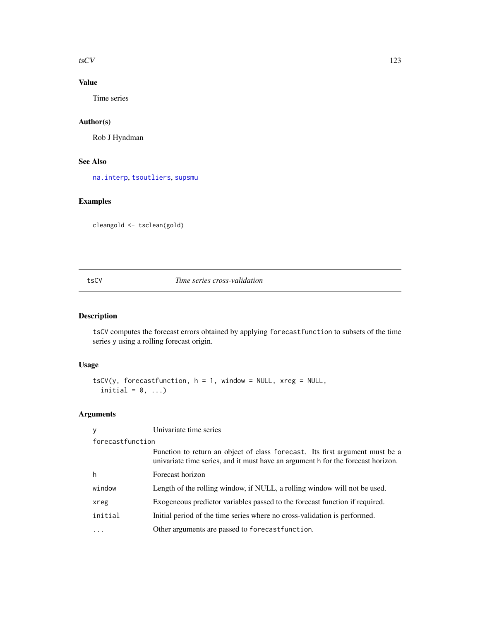#### <span id="page-122-0"></span> $t$ sCV 123

# Value

Time series

# Author(s)

Rob J Hyndman

# See Also

[na.interp](#page-86-0), [tsoutliers](#page-125-0), [supsmu](#page-0-0)

# Examples

cleangold <- tsclean(gold)

# tsCV *Time series cross-validation*

# Description

tsCV computes the forecast errors obtained by applying forecastfunction to subsets of the time series y using a rolling forecast origin.

# Usage

```
tsCV(y, forecastfunction, h = 1, window = NULL, xreg = NULL,
  initial = 0, \ldots)
```

| y                | Univariate time series                                                                                                                                           |  |
|------------------|------------------------------------------------------------------------------------------------------------------------------------------------------------------|--|
| forecastfunction |                                                                                                                                                                  |  |
|                  | Function to return an object of class forecast. Its first argument must be a<br>univariate time series, and it must have an argument h for the forecast horizon. |  |
| h                | Forecast horizon                                                                                                                                                 |  |
| window           | Length of the rolling window, if NULL, a rolling window will not be used.                                                                                        |  |
| xreg             | Exogeneous predictor variables passed to the forecast function if required.                                                                                      |  |
| initial          | Initial period of the time series where no cross-validation is performed.                                                                                        |  |
|                  | Other arguments are passed to forecast function.                                                                                                                 |  |
|                  |                                                                                                                                                                  |  |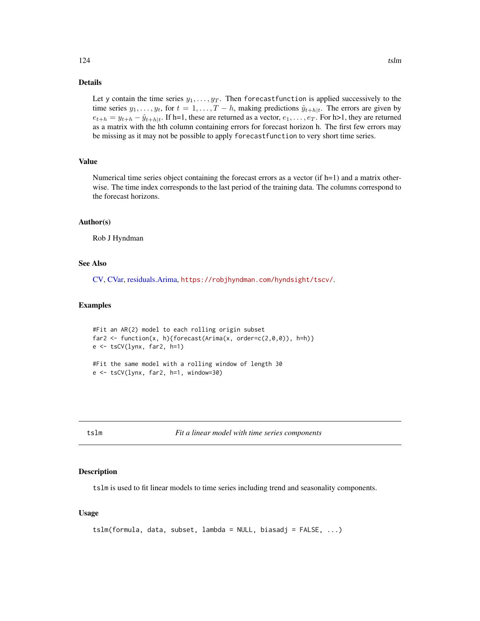# Details

Let y contain the time series  $y_1, \ldots, y_T$ . Then forecast function is applied successively to the time series  $y_1, \ldots, y_t$ , for  $t = 1, \ldots, T - h$ , making predictions  $\hat{y}_{t+h|t}$ . The errors are given by  $e_{t+h} = y_{t+h} - \hat{y}_{t+h|t}$ . If h=1, these are returned as a vector,  $e_1, \ldots, e_T$ . For h>1, they are returned as a matrix with the hth column containing errors for forecast horizon h. The first few errors may be missing as it may not be possible to apply forecastfunction to very short time series.

#### Value

Numerical time series object containing the forecast errors as a vector (if  $h=1$ ) and a matrix otherwise. The time index corresponds to the last period of the training data. The columns correspond to the forecast horizons.

#### Author(s)

Rob J Hyndman

# See Also

[CV,](#page-32-0) [CVar,](#page-33-0) [residuals.Arima,](#page-98-0) <https://robjhyndman.com/hyndsight/tscv/>.

#### Examples

```
#Fit an AR(2) model to each rolling origin subset
far2 <- function(x, h){forecast(Arima(x, order=c(2,0,0)), h=h)}
e <- tsCV(lynx, far2, h=1)
#Fit the same model with a rolling window of length 30
e <- tsCV(lynx, far2, h=1, window=30)
```
tslm *Fit a linear model with time series components*

#### **Description**

tslm is used to fit linear models to time series including trend and seasonality components.

#### Usage

```
tslm(formula, data, subset, lambda = NULL, biasadj = FALSE, ...)
```
<span id="page-123-0"></span>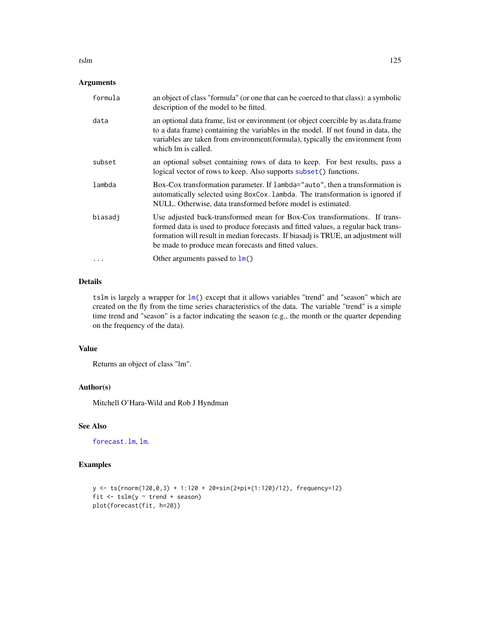# <span id="page-124-0"></span>Arguments

| formula  | an object of class "formula" (or one that can be coerced to that class): a symbolic<br>description of the model to be fitted.                                                                                                                                                                               |
|----------|-------------------------------------------------------------------------------------------------------------------------------------------------------------------------------------------------------------------------------------------------------------------------------------------------------------|
| data     | an optional data frame, list or environment (or object coercible by as data frame<br>to a data frame) containing the variables in the model. If not found in data, the<br>variables are taken from environment (formula), typically the environment from<br>which lm is called.                             |
| subset   | an optional subset containing rows of data to keep. For best results, pass a<br>logical vector of rows to keep. Also supports subset() functions.                                                                                                                                                           |
| lambda   | Box-Cox transformation parameter. If lambda="auto", then a transformation is<br>automatically selected using BoxCox. Lambda. The transformation is ignored if<br>NULL. Otherwise, data transformed before model is estimated.                                                                               |
| biasadj  | Use adjusted back-transformed mean for Box-Cox transformations. If trans-<br>formed data is used to produce forecasts and fitted values, a regular back trans-<br>formation will result in median forecasts. If biasadj is TRUE, an adjustment will<br>be made to produce mean forecasts and fitted values. |
| $\cdots$ | Other arguments passed to $\text{Im}()$                                                                                                                                                                                                                                                                     |

#### Details

tslm is largely a wrapper for  $lm()$  $lm()$  except that it allows variables "trend" and "season" which are created on the fly from the time series characteristics of the data. The variable "trend" is a simple time trend and "season" is a factor indicating the season (e.g., the month or the quarter depending on the frequency of the data).

# Value

Returns an object of class "lm".

# Author(s)

Mitchell O'Hara-Wild and Rob J Hyndman

# See Also

[forecast.lm](#page-54-0), [lm](#page-0-0).

# Examples

```
y \leq -ts(rnorm(120,0,3) + 1:120 + 20*sin(2*pi*(1:120)/12), frequency=12)
fit \le tslm(y \sim trend + season)
plot(forecast(fit, h=20))
```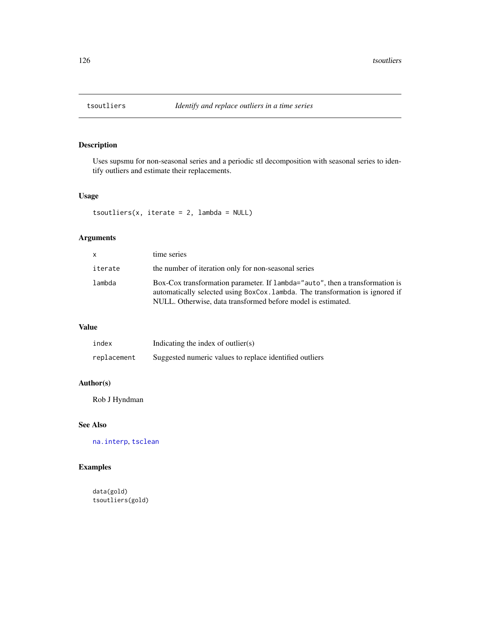<span id="page-125-1"></span><span id="page-125-0"></span>

# Description

Uses supsmu for non-seasonal series and a periodic stl decomposition with seasonal series to identify outliers and estimate their replacements.

## Usage

tsoutliers(x, iterate =  $2$ , lambda = NULL)

# Arguments

| <b>X</b> | time series                                                                                                                                                                                                                   |
|----------|-------------------------------------------------------------------------------------------------------------------------------------------------------------------------------------------------------------------------------|
| iterate  | the number of iteration only for non-seasonal series                                                                                                                                                                          |
| lambda   | Box-Cox transformation parameter. If lambda="auto", then a transformation is<br>automatically selected using BoxCox. Lambda. The transformation is ignored if<br>NULL. Otherwise, data transformed before model is estimated. |

# Value

| index       | Indicating the index of outlier $(s)$                   |
|-------------|---------------------------------------------------------|
| replacement | Suggested numeric values to replace identified outliers |

# Author(s)

Rob J Hyndman

# See Also

[na.interp](#page-86-0), [tsclean](#page-121-0)

# Examples

data(gold) tsoutliers(gold)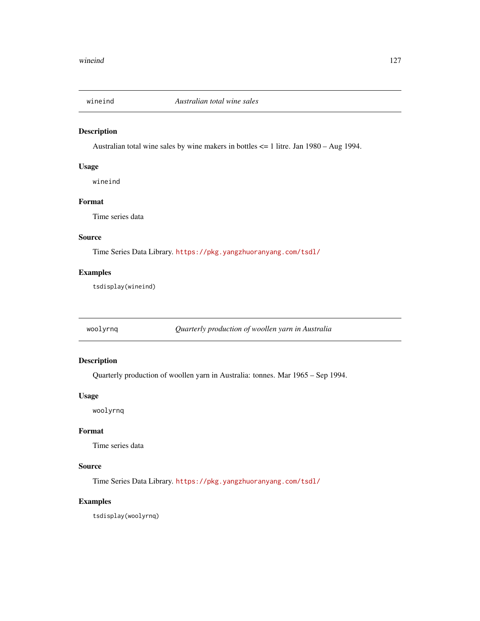<span id="page-126-0"></span>

# Description

Australian total wine sales by wine makers in bottles <= 1 litre. Jan 1980 – Aug 1994.

#### Usage

wineind

# Format

Time series data

# Source

Time Series Data Library. <https://pkg.yangzhuoranyang.com/tsdl/>

# Examples

tsdisplay(wineind)

woolyrnq *Quarterly production of woollen yarn in Australia*

# Description

Quarterly production of woollen yarn in Australia: tonnes. Mar 1965 – Sep 1994.

#### Usage

woolyrnq

# Format

Time series data

# Source

Time Series Data Library. <https://pkg.yangzhuoranyang.com/tsdl/>

# Examples

tsdisplay(woolyrnq)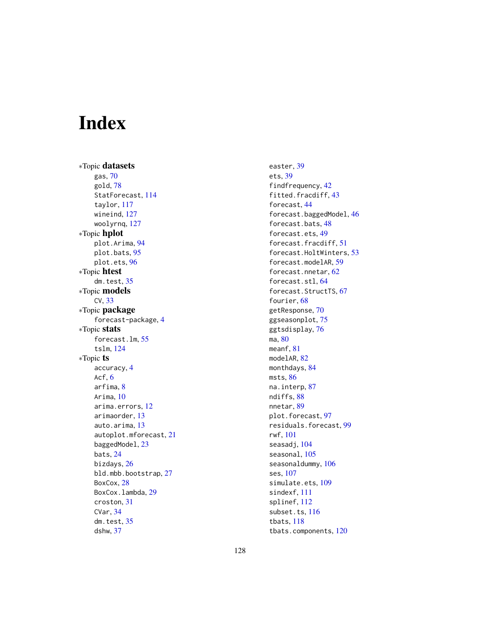# Index

∗Topic datasets gas, [70](#page-69-0) gold, [78](#page-77-0) StatForecast, [114](#page-113-0) taylor, [117](#page-116-0) wineind, [127](#page-126-0) woolyrnq, [127](#page-126-0) ∗Topic hplot plot.Arima, [94](#page-93-0) plot.bats, [95](#page-94-0) plot.ets, [96](#page-95-0) ∗Topic htest dm.test, [35](#page-34-0) ∗Topic models CV, [33](#page-32-1) ∗Topic package forecast-package, [4](#page-3-0) ∗Topic stats forecast.lm, [55](#page-54-1) tslm, [124](#page-123-0) ∗Topic ts accuracy, [4](#page-3-0) Acf.  $6$ arfima, [8](#page-7-1) Arima, [10](#page-9-1) arima.errors, [12](#page-11-0) arimaorder, [13](#page-12-1) auto.arima, [13](#page-12-1) autoplot.mforecast, [21](#page-20-0) baggedModel, [23](#page-22-0) bats, [24](#page-23-0) bizdays, [26](#page-25-0) bld.mbb.bootstrap, [27](#page-26-0) BoxCox, [28](#page-27-0) BoxCox.lambda, [29](#page-28-0) croston, [31](#page-30-0) CVar, [34](#page-33-1) dm.test, [35](#page-34-0) dshw, [37](#page-36-0)

easter, [39](#page-38-1) ets, [39](#page-38-1) findfrequency, [42](#page-41-0) fitted.fracdiff, [43](#page-42-0) forecast, [44](#page-43-2) forecast.baggedModel, [46](#page-45-0) forecast.bats, [48](#page-47-0) forecast.ets, [49](#page-48-0) forecast.fracdiff, [51](#page-50-0) forecast.HoltWinters, [53](#page-52-0) forecast.modelAR, [59](#page-58-0) forecast.nnetar, [62](#page-61-0) forecast.stl, [64](#page-63-0) forecast.StructTS, [67](#page-66-0) fourier, [68](#page-67-0) getResponse, [70](#page-69-0) ggseasonplot, [75](#page-74-0) ggtsdisplay, [76](#page-75-0) ma, [80](#page-79-0) meanf, [81](#page-80-1) modelAR, [82](#page-81-0) monthdays, [84](#page-83-0) msts, [86](#page-85-0) na.interp, [87](#page-86-1) ndiffs, [88](#page-87-0) nnetar, [89](#page-88-1) plot.forecast, [97](#page-96-0) residuals.forecast, [99](#page-98-1) rwf, [101](#page-100-1) seasadj, [104](#page-103-0) seasonal, [105](#page-104-0) seasonaldummy, [106](#page-105-0) ses, [107](#page-106-2) simulate.ets, [109](#page-108-0) sindexf, [111](#page-110-0) splinef, [112](#page-111-0) subset.ts, [116](#page-115-0) tbats, [118](#page-117-1) tbats.components, [120](#page-119-1)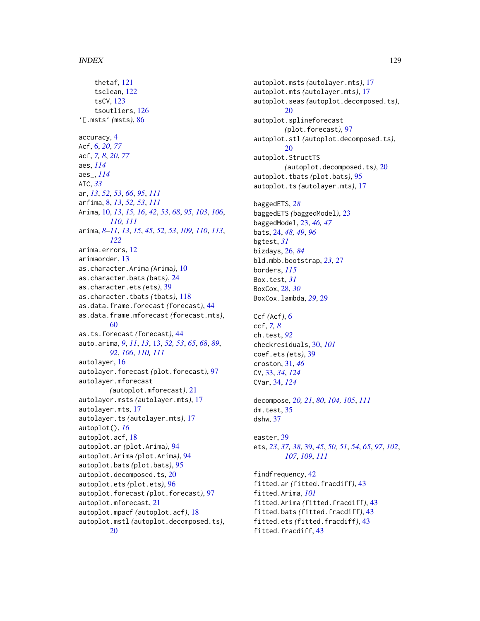thetaf, [121](#page-120-0) tsclean, [122](#page-121-1) tsCV, [123](#page-122-0) tsoutliers, [126](#page-125-1) '[.msts' *(*msts*)*, [86](#page-85-0) accuracy, [4](#page-3-0) Acf, [6,](#page-5-0) *[20](#page-19-0)*, *[77](#page-76-0)* acf, *[7,](#page-6-0) [8](#page-7-1)*, *[20](#page-19-0)*, *[77](#page-76-0)* aes, *[114](#page-113-0)* aes\_, *[114](#page-113-0)* AIC, *[33](#page-32-1)* ar, *[13](#page-12-1)*, *[52,](#page-51-0) [53](#page-52-0)*, *[66](#page-65-0)*, *[95](#page-94-0)*, *[111](#page-110-0)* arfima, [8,](#page-7-1) *[13](#page-12-1)*, *[52,](#page-51-0) [53](#page-52-0)*, *[111](#page-110-0)* Arima, [10,](#page-9-1) *[13](#page-12-1)*, *[15,](#page-14-0) [16](#page-15-0)*, *[42](#page-41-0)*, *[53](#page-52-0)*, *[68](#page-67-0)*, *[95](#page-94-0)*, *[103](#page-102-0)*, *[106](#page-105-0)*, *[110,](#page-109-0) [111](#page-110-0)* arima, *[8](#page-7-1)[–11](#page-10-0)*, *[13](#page-12-1)*, *[15](#page-14-0)*, *[45](#page-44-0)*, *[52,](#page-51-0) [53](#page-52-0)*, *[109,](#page-108-0) [110](#page-109-0)*, *[113](#page-112-0)*, *[122](#page-121-1)* arima.errors, [12](#page-11-0) arimaorder, [13](#page-12-1) as.character.Arima *(*Arima*)*, [10](#page-9-1) as.character.bats *(*bats*)*, [24](#page-23-0) as.character.ets *(*ets*)*, [39](#page-38-1) as.character.tbats *(*tbats*)*, [118](#page-117-1) as.data.frame.forecast *(*forecast*)*, [44](#page-43-2) as.data.frame.mforecast *(*forecast.mts*)*, [60](#page-59-0) as.ts.forecast *(*forecast*)*, [44](#page-43-2) auto.arima, *[9](#page-8-0)*, *[11](#page-10-0)*, *[13](#page-12-1)*, [13,](#page-12-1) *[52,](#page-51-0) [53](#page-52-0)*, *[65](#page-64-0)*, *[68](#page-67-0)*, *[89](#page-88-1)*, *[92](#page-91-0)*, *[106](#page-105-0)*, *[110,](#page-109-0) [111](#page-110-0)* autolayer, [16](#page-15-0) autolayer.forecast *(*plot.forecast*)*, [97](#page-96-0) autolayer.mforecast *(*autoplot.mforecast*)*, [21](#page-20-0) autolayer.msts *(*autolayer.mts*)*, [17](#page-16-0) autolayer.mts, [17](#page-16-0) autolayer.ts *(*autolayer.mts*)*, [17](#page-16-0) autoplot(), *[16](#page-15-0)* autoplot.acf, [18](#page-17-0) autoplot.ar *(*plot.Arima*)*, [94](#page-93-0) autoplot.Arima *(*plot.Arima*)*, [94](#page-93-0) autoplot.bats *(*plot.bats*)*, [95](#page-94-0) autoplot.decomposed.ts, [20](#page-19-0) autoplot.ets *(*plot.ets*)*, [96](#page-95-0) autoplot.forecast *(*plot.forecast*)*, [97](#page-96-0) autoplot.mforecast, [21](#page-20-0) autoplot.mpacf *(*autoplot.acf*)*, [18](#page-17-0) autoplot.mstl *(*autoplot.decomposed.ts*)*, [20](#page-19-0)

autoplot.msts *(*autolayer.mts*)*, [17](#page-16-0) autoplot.mts *(*autolayer.mts*)*, [17](#page-16-0) autoplot.seas *(*autoplot.decomposed.ts*)*,  $20$ autoplot.splineforecast *(*plot.forecast*)*, [97](#page-96-0) autoplot.stl *(*autoplot.decomposed.ts*)*,  $20$ autoplot.StructTS *(*autoplot.decomposed.ts*)*, [20](#page-19-0) autoplot.tbats *(*plot.bats*)*, [95](#page-94-0) autoplot.ts *(*autolayer.mts*)*, [17](#page-16-0) baggedETS, *[28](#page-27-0)* baggedETS *(*baggedModel*)*, [23](#page-22-0) baggedModel, [23,](#page-22-0) *[46,](#page-45-0) [47](#page-46-0)* bats, [24,](#page-23-0) *[48,](#page-47-0) [49](#page-48-0)*, *[96](#page-95-0)* bgtest, *[31](#page-30-0)* bizdays, [26,](#page-25-0) *[84](#page-83-0)* bld.mbb.bootstrap, *[23](#page-22-0)*, [27](#page-26-0) borders, *[115](#page-114-0)* Box.test, *[31](#page-30-0)* BoxCox, [28,](#page-27-0) *[30](#page-29-0)* BoxCox.lambda, *[29](#page-28-0)*, [29](#page-28-0) Ccf *(*Acf*)*, [6](#page-5-0) ccf, *[7,](#page-6-0) [8](#page-7-1)* ch.test, *[92](#page-91-0)* checkresiduals, [30,](#page-29-0) *[101](#page-100-1)* coef.ets *(*ets*)*, [39](#page-38-1) croston, [31,](#page-30-0) *[46](#page-45-0)* CV, [33,](#page-32-1) *[34](#page-33-1)*, *[124](#page-123-0)* CVar, [34,](#page-33-1) *[124](#page-123-0)* decompose, *[20,](#page-19-0) [21](#page-20-0)*, *[80](#page-79-0)*, *[104,](#page-103-0) [105](#page-104-0)*, *[111](#page-110-0)* dm.test, [35](#page-34-0) dshw, [37](#page-36-0) easter, [39](#page-38-1) ets, *[23](#page-22-0)*, *[37,](#page-36-0) [38](#page-37-0)*, [39,](#page-38-1) *[45](#page-44-0)*, *[50,](#page-49-0) [51](#page-50-0)*, *[54](#page-53-0)*, *[65](#page-64-0)*, *[97](#page-96-0)*, *[102](#page-101-0)*, *[107](#page-106-2)*, *[109](#page-108-0)*, *[111](#page-110-0)* findfrequency, [42](#page-41-0) fitted.ar *(*fitted.fracdiff*)*, [43](#page-42-0) fitted.Arima, *[101](#page-100-1)* fitted.Arima *(*fitted.fracdiff*)*, [43](#page-42-0) fitted.bats *(*fitted.fracdiff*)*, [43](#page-42-0) fitted.ets *(*fitted.fracdiff*)*, [43](#page-42-0) fitted.fracdiff, [43](#page-42-0)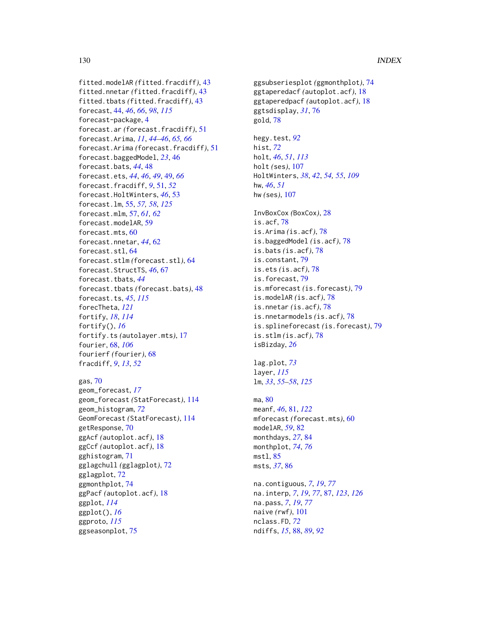fitted.modelAR *(*fitted.fracdiff*)*, [43](#page-42-0) fitted.nnetar *(*fitted.fracdiff*)*, [43](#page-42-0) fitted.tbats *(*fitted.fracdiff*)*, [43](#page-42-0) forecast, [44,](#page-43-2) *[46](#page-45-0)*, *[66](#page-65-0)*, *[98](#page-97-0)*, *[115](#page-114-0)* forecast-package, [4](#page-3-0) forecast.ar *(*forecast.fracdiff*)*, [51](#page-50-0) forecast.Arima, *[11](#page-10-0)*, *[44–](#page-43-2)[46](#page-45-0)*, *[65,](#page-64-0) [66](#page-65-0)* forecast.Arima *(*forecast.fracdiff*)*, [51](#page-50-0) forecast.baggedModel, *[23](#page-22-0)*, [46](#page-45-0) forecast.bats, *[44](#page-43-2)*, [48](#page-47-0) forecast.ets, *[44](#page-43-2)*, *[46](#page-45-0)*, *[49](#page-48-0)*, [49,](#page-48-0) *[66](#page-65-0)* forecast.fracdiff, *[9](#page-8-0)*, [51,](#page-50-0) *[52](#page-51-0)* forecast.HoltWinters, *[46](#page-45-0)*, [53](#page-52-0) forecast.lm, [55,](#page-54-1) *[57,](#page-56-0) [58](#page-57-0)*, *[125](#page-124-0)* forecast.mlm, [57,](#page-56-0) *[61,](#page-60-0) [62](#page-61-0)* forecast.modelAR, [59](#page-58-0) forecast.mts, [60](#page-59-0) forecast.nnetar, *[44](#page-43-2)*, [62](#page-61-0) forecast.stl, [64](#page-63-0) forecast.stlm *(*forecast.stl*)*, [64](#page-63-0) forecast.StructTS, *[46](#page-45-0)*, [67](#page-66-0) forecast.tbats, *[44](#page-43-2)* forecast.tbats *(*forecast.bats*)*, [48](#page-47-0) forecast.ts, *[45](#page-44-0)*, *[115](#page-114-0)* forecTheta, *[121](#page-120-0)* fortify, *[18](#page-17-0)*, *[114](#page-113-0)* fortify(), *[16](#page-15-0)* fortify.ts *(*autolayer.mts*)*, [17](#page-16-0) fourier, [68,](#page-67-0) *[106](#page-105-0)* fourierf *(*fourier*)*, [68](#page-67-0) fracdiff, *[9](#page-8-0)*, *[13](#page-12-1)*, *[52](#page-51-0)*

```
gas, 70
geom_forecast, 17
geom_forecast (StatForecast), 114
geom_histogram, 72
GeomForecast (StatForecast), 114
getResponse, 70
ggAcf (autoplot.acf), 18
ggCcf (autoplot.acf), 18
gghistogram, 71
gglagchull (gglagplot), 72
gglagplot, 72
ggmonthplot, 74
ggPacf (autoplot.acf), 18
ggplot, 114
ggplot(), 16
ggproto, 115
ggseasonplot, 75
```
ggsubseriesplot *(*ggmonthplot*)*, [74](#page-73-0) ggtaperedacf *(*autoplot.acf*)*, [18](#page-17-0) ggtaperedpacf *(*autoplot.acf*)*, [18](#page-17-0) ggtsdisplay, *[31](#page-30-0)*, [76](#page-75-0) gold, [78](#page-77-0) hegy.test, *[92](#page-91-0)* hist, *[72](#page-71-0)* holt, *[46](#page-45-0)*, *[51](#page-50-0)*, *[113](#page-112-0)* holt *(*ses*)*, [107](#page-106-2) HoltWinters, *[38](#page-37-0)*, *[42](#page-41-0)*, *[54,](#page-53-0) [55](#page-54-1)*, *[109](#page-108-0)* hw, *[46](#page-45-0)*, *[51](#page-50-0)* hw *(*ses*)*, [107](#page-106-2) InvBoxCox *(*BoxCox*)*, [28](#page-27-0) is.acf, [78](#page-77-0) is.Arima *(*is.acf*)*, [78](#page-77-0) is.baggedModel *(*is.acf*)*, [78](#page-77-0) is.bats *(*is.acf*)*, [78](#page-77-0) is.constant, [79](#page-78-0) is.ets *(*is.acf*)*, [78](#page-77-0) is.forecast, [79](#page-78-0) is.mforecast *(*is.forecast*)*, [79](#page-78-0) is.modelAR *(*is.acf*)*, [78](#page-77-0) is.nnetar *(*is.acf*)*, [78](#page-77-0) is.nnetarmodels *(*is.acf*)*, [78](#page-77-0) is.splineforecast *(*is.forecast*)*, [79](#page-78-0) is.stlm *(*is.acf*)*, [78](#page-77-0) isBizday, *[26](#page-25-0)*

```
lag.plot, 73
layer, 115
lm, 33, 55–58, 125
```
ma, [80](#page-79-0) meanf, *[46](#page-45-0)*, [81,](#page-80-1) *[122](#page-121-1)* mforecast *(*forecast.mts*)*, [60](#page-59-0) modelAR, *[59](#page-58-0)*, [82](#page-81-0) monthdays, *[27](#page-26-0)*, [84](#page-83-0) monthplot, *[74](#page-73-0)*, *[76](#page-75-0)* mstl, [85](#page-84-0) msts, *[37](#page-36-0)*, [86](#page-85-0)

na.contiguous, *[7](#page-6-0)*, *[19](#page-18-0)*, *[77](#page-76-0)* na.interp, *[7](#page-6-0)*, *[19](#page-18-0)*, *[77](#page-76-0)*, [87,](#page-86-1) *[123](#page-122-0)*, *[126](#page-125-1)* na.pass, *[7](#page-6-0)*, *[19](#page-18-0)*, *[77](#page-76-0)* naive *(*rwf*)*, [101](#page-100-1) nclass.FD, *[72](#page-71-0)* ndiffs, *[15](#page-14-0)*, [88,](#page-87-0) *[89](#page-88-1)*, *[92](#page-91-0)*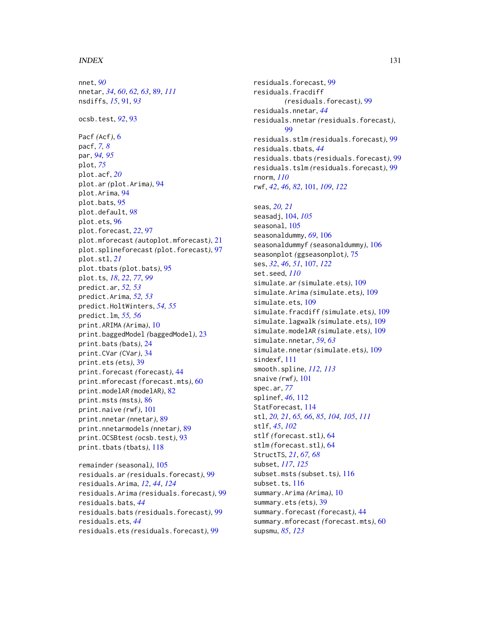#### $I<sub>31</sub>$  is a set of  $I<sub>31</sub>$  is a set of  $I<sub>31</sub>$  is a set of  $I<sub>31</sub>$  is a set of  $I<sub>31</sub>$  is a set of  $I<sub>31</sub>$  is a set of  $I<sub>31</sub>$  is a set of  $I<sub>31</sub>$  is a set of  $I<sub>31</sub>$  is a set of  $I$

nnet, *[90](#page-89-0)* nnetar, *[34](#page-33-1)*, *[60](#page-59-0)*, *[62,](#page-61-0) [63](#page-62-0)*, [89,](#page-88-1) *[111](#page-110-0)* nsdiffs, *[15](#page-14-0)*, [91,](#page-90-0) *[93](#page-92-0)* ocsb.test, *[92](#page-91-0)*, [93](#page-92-0) Pacf *(*Acf*)*, [6](#page-5-0) pacf, *[7,](#page-6-0) [8](#page-7-1)* par, *[94,](#page-93-0) [95](#page-94-0)* plot, *[75](#page-74-0)* plot.acf, *[20](#page-19-0)* plot.ar *(*plot.Arima*)*, [94](#page-93-0) plot.Arima, [94](#page-93-0) plot.bats, [95](#page-94-0) plot.default, *[98](#page-97-0)* plot.ets, [96](#page-95-0) plot.forecast, *[22](#page-21-0)*, [97](#page-96-0) plot.mforecast *(*autoplot.mforecast*)*, [21](#page-20-0) plot.splineforecast *(*plot.forecast*)*, [97](#page-96-0) plot.stl, *[21](#page-20-0)* plot.tbats *(*plot.bats*)*, [95](#page-94-0) plot.ts, *[18](#page-17-0)*, *[22](#page-21-0)*, *[77](#page-76-0)*, *[99](#page-98-1)* predict.ar, *[52,](#page-51-0) [53](#page-52-0)* predict.Arima, *[52,](#page-51-0) [53](#page-52-0)* predict.HoltWinters, *[54,](#page-53-0) [55](#page-54-1)* predict.lm, *[55,](#page-54-1) [56](#page-55-0)* print.ARIMA *(*Arima*)*, [10](#page-9-1) print.baggedModel *(*baggedModel*)*, [23](#page-22-0) print.bats *(*bats*)*, [24](#page-23-0) print.CVar *(*CVar*)*, [34](#page-33-1) print.ets *(*ets*)*, [39](#page-38-1) print.forecast *(*forecast*)*, [44](#page-43-2) print.mforecast *(*forecast.mts*)*, [60](#page-59-0) print.modelAR *(*modelAR*)*, [82](#page-81-0) print.msts *(*msts*)*, [86](#page-85-0) print.naive *(*rwf*)*, [101](#page-100-1) print.nnetar *(*nnetar*)*, [89](#page-88-1) print.nnetarmodels *(*nnetar*)*, [89](#page-88-1) print.OCSBtest *(*ocsb.test*)*, [93](#page-92-0) print.tbats *(*tbats*)*, [118](#page-117-1)

remainder *(*seasonal*)*, [105](#page-104-0) residuals.ar *(*residuals.forecast*)*, [99](#page-98-1) residuals.Arima, *[12](#page-11-0)*, *[44](#page-43-2)*, *[124](#page-123-0)* residuals.Arima *(*residuals.forecast*)*, [99](#page-98-1) residuals.bats, *[44](#page-43-2)* residuals.bats *(*residuals.forecast*)*, [99](#page-98-1) residuals.ets, *[44](#page-43-2)* residuals.ets *(*residuals.forecast*)*, [99](#page-98-1)

residuals.forecast, [99](#page-98-1) residuals.fracdiff *(*residuals.forecast*)*, [99](#page-98-1) residuals.nnetar, *[44](#page-43-2)* residuals.nnetar *(*residuals.forecast*)*, [99](#page-98-1) residuals.stlm *(*residuals.forecast*)*, [99](#page-98-1) residuals.tbats, *[44](#page-43-2)* residuals.tbats *(*residuals.forecast*)*, [99](#page-98-1) residuals.tslm *(*residuals.forecast*)*, [99](#page-98-1) rnorm, *[110](#page-109-0)* rwf, *[42](#page-41-0)*, *[46](#page-45-0)*, *[82](#page-81-0)*, [101,](#page-100-1) *[109](#page-108-0)*, *[122](#page-121-1)*

seas, *[20,](#page-19-0) [21](#page-20-0)* seasadj, [104,](#page-103-0) *[105](#page-104-0)* seasonal, [105](#page-104-0) seasonaldummy, *[69](#page-68-0)*, [106](#page-105-0) seasonaldummyf *(*seasonaldummy*)*, [106](#page-105-0) seasonplot *(*ggseasonplot*)*, [75](#page-74-0) ses, *[32](#page-31-0)*, *[46](#page-45-0)*, *[51](#page-50-0)*, [107,](#page-106-2) *[122](#page-121-1)* set.seed, *[110](#page-109-0)* simulate.ar *(*simulate.ets*)*, [109](#page-108-0) simulate.Arima *(*simulate.ets*)*, [109](#page-108-0) simulate.ets, [109](#page-108-0) simulate.fracdiff *(*simulate.ets*)*, [109](#page-108-0) simulate.lagwalk *(*simulate.ets*)*, [109](#page-108-0) simulate.modelAR *(*simulate.ets*)*, [109](#page-108-0) simulate.nnetar, *[59](#page-58-0)*, *[63](#page-62-0)* simulate.nnetar *(*simulate.ets*)*, [109](#page-108-0) sindexf, [111](#page-110-0) smooth.spline, *[112,](#page-111-0) [113](#page-112-0)* snaive *(*rwf*)*, [101](#page-100-1) spec.ar, *[77](#page-76-0)* splinef, *[46](#page-45-0)*, [112](#page-111-0) StatForecast, [114](#page-113-0) stl, *[20,](#page-19-0) [21](#page-20-0)*, *[65,](#page-64-0) [66](#page-65-0)*, *[85](#page-84-0)*, *[104,](#page-103-0) [105](#page-104-0)*, *[111](#page-110-0)* stlf, *[45](#page-44-0)*, *[102](#page-101-0)* stlf *(*forecast.stl*)*, [64](#page-63-0) stlm *(*forecast.stl*)*, [64](#page-63-0) StructTS, *[21](#page-20-0)*, *[67,](#page-66-0) [68](#page-67-0)* subset, *[117](#page-116-0)*, *[125](#page-124-0)* subset.msts *(*subset.ts*)*, [116](#page-115-0) subset.ts, [116](#page-115-0) summary.Arima *(*Arima*)*, [10](#page-9-1) summary.ets *(*ets*)*, [39](#page-38-1) summary.forecast *(*forecast*)*, [44](#page-43-2) summary.mforecast *(*forecast.mts*)*, [60](#page-59-0) supsmu, *[85](#page-84-0)*, *[123](#page-122-0)*